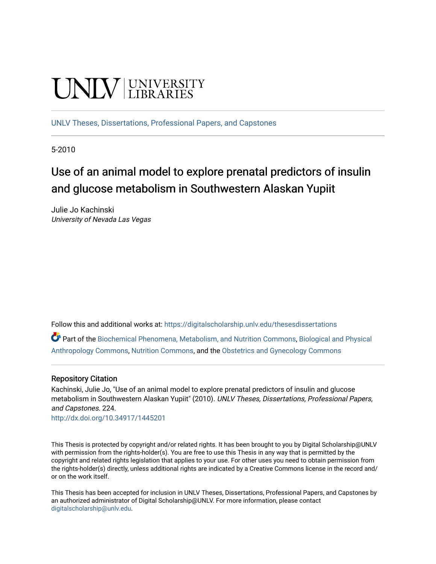# **UNIVERSITY**

[UNLV Theses, Dissertations, Professional Papers, and Capstones](https://digitalscholarship.unlv.edu/thesesdissertations)

5-2010

# Use of an animal model to explore prenatal predictors of insulin and glucose metabolism in Southwestern Alaskan Yupiit

Julie Jo Kachinski University of Nevada Las Vegas

Follow this and additional works at: [https://digitalscholarship.unlv.edu/thesesdissertations](https://digitalscholarship.unlv.edu/thesesdissertations?utm_source=digitalscholarship.unlv.edu%2Fthesesdissertations%2F224&utm_medium=PDF&utm_campaign=PDFCoverPages)

Part of the [Biochemical Phenomena, Metabolism, and Nutrition Commons,](http://network.bepress.com/hgg/discipline/1012?utm_source=digitalscholarship.unlv.edu%2Fthesesdissertations%2F224&utm_medium=PDF&utm_campaign=PDFCoverPages) [Biological and Physical](http://network.bepress.com/hgg/discipline/320?utm_source=digitalscholarship.unlv.edu%2Fthesesdissertations%2F224&utm_medium=PDF&utm_campaign=PDFCoverPages)  [Anthropology Commons](http://network.bepress.com/hgg/discipline/320?utm_source=digitalscholarship.unlv.edu%2Fthesesdissertations%2F224&utm_medium=PDF&utm_campaign=PDFCoverPages), [Nutrition Commons,](http://network.bepress.com/hgg/discipline/95?utm_source=digitalscholarship.unlv.edu%2Fthesesdissertations%2F224&utm_medium=PDF&utm_campaign=PDFCoverPages) and the [Obstetrics and Gynecology Commons](http://network.bepress.com/hgg/discipline/693?utm_source=digitalscholarship.unlv.edu%2Fthesesdissertations%2F224&utm_medium=PDF&utm_campaign=PDFCoverPages)

#### Repository Citation

Kachinski, Julie Jo, "Use of an animal model to explore prenatal predictors of insulin and glucose metabolism in Southwestern Alaskan Yupiit" (2010). UNLV Theses, Dissertations, Professional Papers, and Capstones. 224.

<http://dx.doi.org/10.34917/1445201>

This Thesis is protected by copyright and/or related rights. It has been brought to you by Digital Scholarship@UNLV with permission from the rights-holder(s). You are free to use this Thesis in any way that is permitted by the copyright and related rights legislation that applies to your use. For other uses you need to obtain permission from the rights-holder(s) directly, unless additional rights are indicated by a Creative Commons license in the record and/ or on the work itself.

This Thesis has been accepted for inclusion in UNLV Theses, Dissertations, Professional Papers, and Capstones by an authorized administrator of Digital Scholarship@UNLV. For more information, please contact [digitalscholarship@unlv.edu](mailto:digitalscholarship@unlv.edu).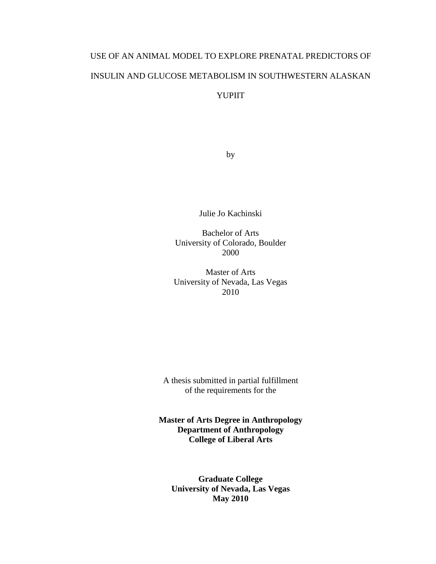# USE OF AN ANIMAL MODEL TO EXPLORE PRENATAL PREDICTORS OF INSULIN AND GLUCOSE METABOLISM IN SOUTHWESTERN ALASKAN YUPIIT

by

Julie Jo Kachinski

Bachelor of Arts University of Colorado, Boulder 2000

Master of Arts University of Nevada, Las Vegas 2010

A thesis submitted in partial fulfillment of the requirements for the

**Master of Arts Degree in Anthropology Department of Anthropology College of Liberal Arts** 

**Graduate College University of Nevada, Las Vegas May 2010**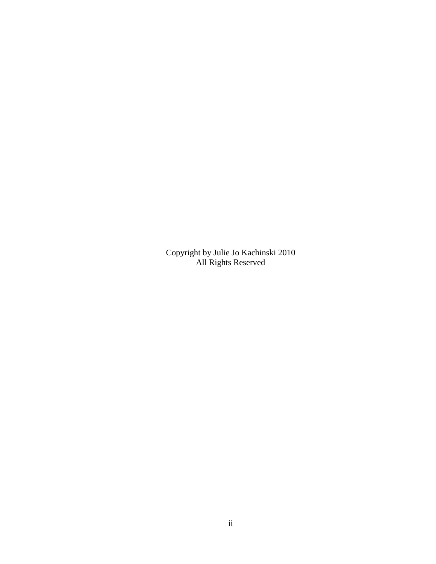Copyright by Julie Jo Kachinski 2010 All Rights Reserved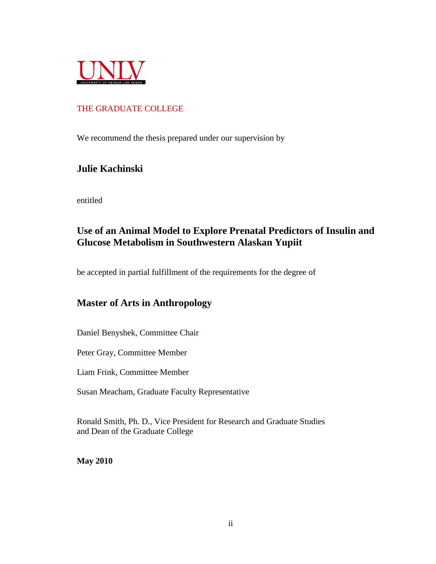

### THE GRADUATE COLLEGE

We recommend the thesis prepared under our supervision by

## **Julie Kachinski**

entitled

## **Use of an Animal Model to Explore Prenatal Predictors of Insulin and Glucose Metabolism in Southwestern Alaskan Yupiit**

be accepted in partial fulfillment of the requirements for the degree of

## **Master of Arts in Anthropology**

Daniel Benyshek, Committee Chair

Peter Gray, Committee Member

Liam Frink, Committee Member

Susan Meacham, Graduate Faculty Representative

Ronald Smith, Ph. D., Vice President for Research and Graduate Studies and Dean of the Graduate College

**May 2010**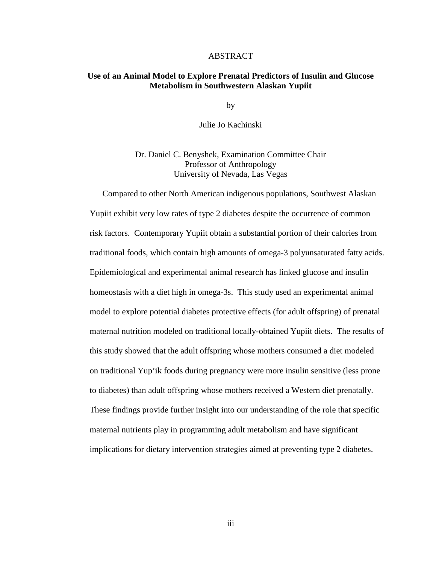#### ABSTRACT

#### **Use of an Animal Model to Explore Prenatal Predictors of Insulin and Glucose Metabolism in Southwestern Alaskan Yupiit**

by

Julie Jo Kachinski

Dr. Daniel C. Benyshek, Examination Committee Chair Professor of Anthropology University of Nevada, Las Vegas

 Compared to other North American indigenous populations, Southwest Alaskan Yupiit exhibit very low rates of type 2 diabetes despite the occurrence of common risk factors. Contemporary Yupiit obtain a substantial portion of their calories from traditional foods, which contain high amounts of omega-3 polyunsaturated fatty acids. Epidemiological and experimental animal research has linked glucose and insulin homeostasis with a diet high in omega-3s. This study used an experimental animal model to explore potential diabetes protective effects (for adult offspring) of prenatal maternal nutrition modeled on traditional locally-obtained Yupiit diets. The results of this study showed that the adult offspring whose mothers consumed a diet modeled on traditional Yup'ik foods during pregnancy were more insulin sensitive (less prone to diabetes) than adult offspring whose mothers received a Western diet prenatally. These findings provide further insight into our understanding of the role that specific maternal nutrients play in programming adult metabolism and have significant implications for dietary intervention strategies aimed at preventing type 2 diabetes.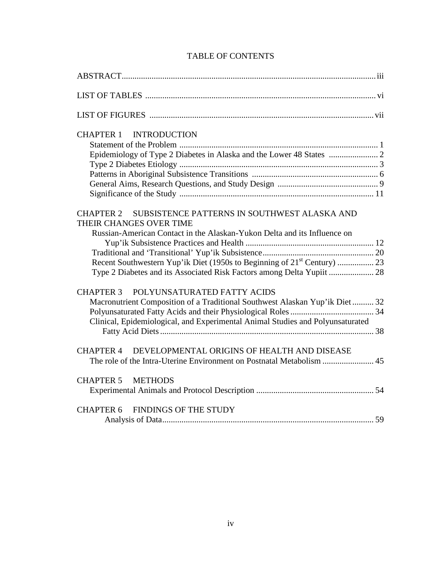| <b>CHAPTER 1 INTRODUCTION</b>                                                                                                                                                                                                                     |
|---------------------------------------------------------------------------------------------------------------------------------------------------------------------------------------------------------------------------------------------------|
| SUBSISTENCE PATTERNS IN SOUTHWEST ALASKA AND<br><b>CHAPTER 2</b><br>THEIR CHANGES OVER TIME<br>Russian-American Contact in the Alaskan-Yukon Delta and its Influence on<br>Type 2 Diabetes and its Associated Risk Factors among Delta Yupiit  28 |
| CHAPTER 3 POLYUNSATURATED FATTY ACIDS<br>Macronutrient Composition of a Traditional Southwest Alaskan Yup'ik Diet 32<br>Clinical, Epidemiological, and Experimental Animal Studies and Polyunsaturated                                            |
| CHAPTER 4 DEVELOPMENTAL ORIGINS OF HEALTH AND DISEASE                                                                                                                                                                                             |
| CHAPTER 5 METHODS                                                                                                                                                                                                                                 |
| CHAPTER 6 FINDINGS OF THE STUDY                                                                                                                                                                                                                   |

## TABLE OF CONTENTS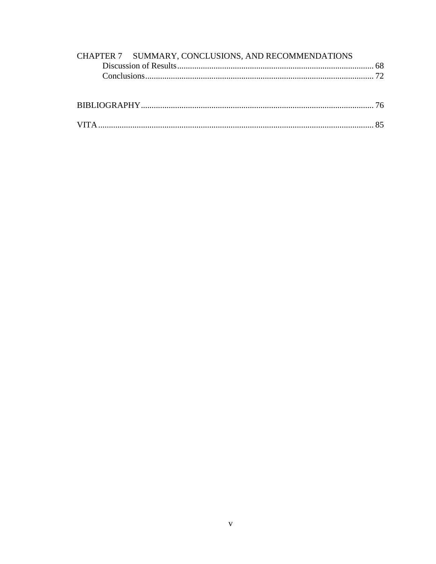| CHAPTER 7 SUMMARY, CONCLUSIONS, AND RECOMMENDATIONS |  |
|-----------------------------------------------------|--|
|                                                     |  |
|                                                     |  |
|                                                     |  |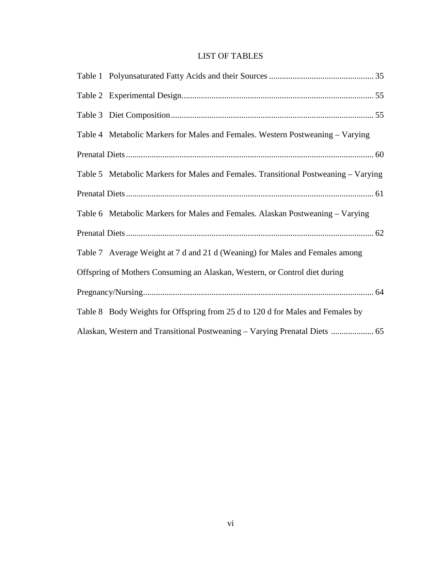## LIST OF TABLES

| Table 4 Metabolic Markers for Males and Females. Western Postweaning - Varying      |  |
|-------------------------------------------------------------------------------------|--|
|                                                                                     |  |
| Table 5 Metabolic Markers for Males and Females. Transitional Postweaning – Varying |  |
|                                                                                     |  |
| Table 6 Metabolic Markers for Males and Females. Alaskan Postweaning - Varying      |  |
|                                                                                     |  |
| Table 7 Average Weight at 7 d and 21 d (Weaning) for Males and Females among        |  |
| Offspring of Mothers Consuming an Alaskan, Western, or Control diet during          |  |
|                                                                                     |  |
| Table 8 Body Weights for Offspring from 25 d to 120 d for Males and Females by      |  |
| Alaskan, Western and Transitional Postweaning - Varying Prenatal Diets  65          |  |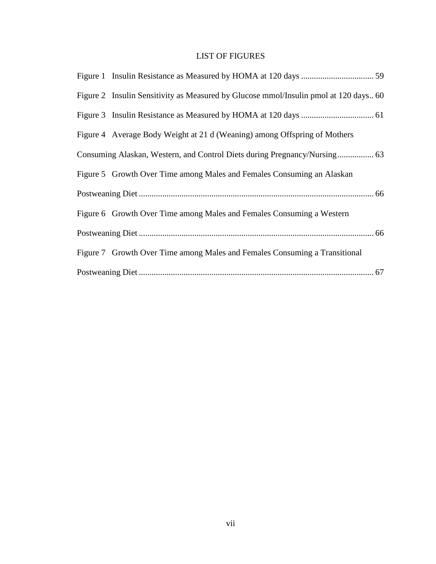## LIST OF FIGURES

| Figure 2 Insulin Sensitivity as Measured by Glucose mmol/Insulin pmol at 120 days 60 |
|--------------------------------------------------------------------------------------|
|                                                                                      |
| Figure 4 Average Body Weight at 21 d (Weaning) among Offspring of Mothers            |
|                                                                                      |
| Figure 5 Growth Over Time among Males and Females Consuming an Alaskan               |
|                                                                                      |
| Figure 6 Growth Over Time among Males and Females Consuming a Western                |
|                                                                                      |
| Figure 7 Growth Over Time among Males and Females Consuming a Transitional           |
|                                                                                      |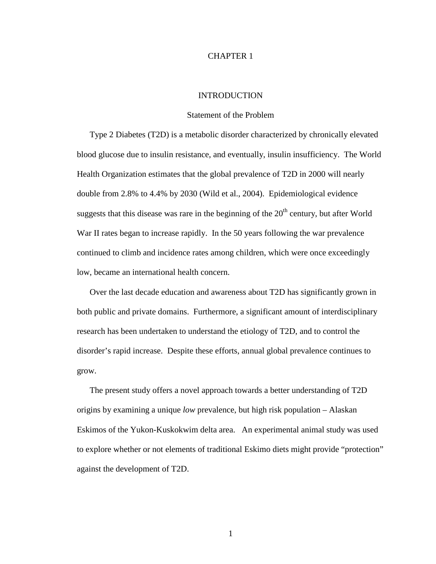#### CHAPTER 1

#### INTRODUCTION

#### Statement of the Problem

Type 2 Diabetes (T2D) is a metabolic disorder characterized by chronically elevated blood glucose due to insulin resistance, and eventually, insulin insufficiency. The World Health Organization estimates that the global prevalence of T2D in 2000 will nearly double from 2.8% to 4.4% by 2030 (Wild et al., 2004). Epidemiological evidence suggests that this disease was rare in the beginning of the  $20<sup>th</sup>$  century, but after World War II rates began to increase rapidly. In the 50 years following the war prevalence continued to climb and incidence rates among children, which were once exceedingly low, became an international health concern.

Over the last decade education and awareness about T2D has significantly grown in both public and private domains. Furthermore, a significant amount of interdisciplinary research has been undertaken to understand the etiology of T2D, and to control the disorder's rapid increase. Despite these efforts, annual global prevalence continues to grow.

The present study offers a novel approach towards a better understanding of T2D origins by examining a unique *low* prevalence, but high risk population – Alaskan Eskimos of the Yukon-Kuskokwim delta area. An experimental animal study was used to explore whether or not elements of traditional Eskimo diets might provide "protection" against the development of T2D.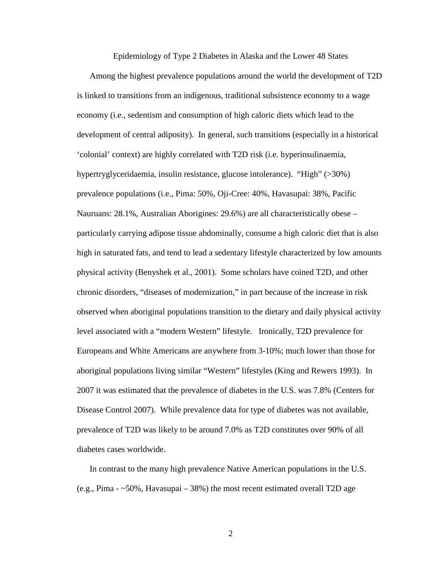Epidemiology of Type 2 Diabetes in Alaska and the Lower 48 States

Among the highest prevalence populations around the world the development of T2D is linked to transitions from an indigenous, traditional subsistence economy to a wage economy (i.e., sedentism and consumption of high caloric diets which lead to the development of central adiposity). In general, such transitions (especially in a historical 'colonial' context) are highly correlated with T2D risk (i.e. hyperinsulinaemia, hypertryglyceridaemia, insulin resistance, glucose intolerance). "High" (>30%) prevalence populations (i.e., Pima: 50%, Oji-Cree: 40%, Havasupai: 38%, Pacific Nauruans: 28.1%, Australian Aborigines: 29.6%) are all characteristically obese – particularly carrying adipose tissue abdominally, consume a high caloric diet that is also high in saturated fats, and tend to lead a sedentary lifestyle characterized by low amounts physical activity (Benyshek et al., 2001). Some scholars have coined T2D, and other chronic disorders, "diseases of modernization," in part because of the increase in risk observed when aboriginal populations transition to the dietary and daily physical activity level associated with a "modern Western" lifestyle. Ironically, T2D prevalence for Europeans and White Americans are anywhere from 3-10%; much lower than those for aboriginal populations living similar "Western" lifestyles (King and Rewers 1993). In 2007 it was estimated that the prevalence of diabetes in the U.S. was 7.8% (Centers for Disease Control 2007). While prevalence data for type of diabetes was not available, prevalence of T2D was likely to be around 7.0% as T2D constitutes over 90% of all diabetes cases worldwide.

In contrast to the many high prevalence Native American populations in the U.S. (e.g., Pima - ~50%, Havasupai – 38%) the most recent estimated overall T2D age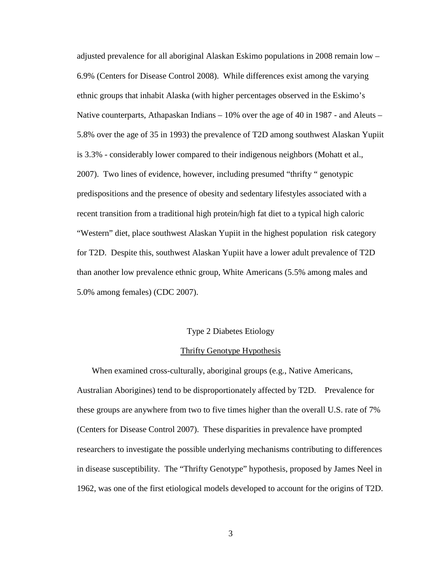adjusted prevalence for all aboriginal Alaskan Eskimo populations in 2008 remain low – 6.9% (Centers for Disease Control 2008). While differences exist among the varying ethnic groups that inhabit Alaska (with higher percentages observed in the Eskimo's Native counterparts, Athapaskan Indians  $-10\%$  over the age of 40 in 1987 - and Aleuts  $-$ 5.8% over the age of 35 in 1993) the prevalence of T2D among southwest Alaskan Yupiit is 3.3% - considerably lower compared to their indigenous neighbors (Mohatt et al., 2007). Two lines of evidence, however, including presumed "thrifty " genotypic predispositions and the presence of obesity and sedentary lifestyles associated with a recent transition from a traditional high protein/high fat diet to a typical high caloric "Western" diet, place southwest Alaskan Yupiit in the highest population risk category for T2D. Despite this, southwest Alaskan Yupiit have a lower adult prevalence of T2D than another low prevalence ethnic group, White Americans (5.5% among males and 5.0% among females) (CDC 2007).

#### Type 2 Diabetes Etiology

#### Thrifty Genotype Hypothesis

 When examined cross-culturally, aboriginal groups (e.g., Native Americans, Australian Aborigines) tend to be disproportionately affected by T2D. Prevalence for these groups are anywhere from two to five times higher than the overall U.S. rate of 7% (Centers for Disease Control 2007). These disparities in prevalence have prompted researchers to investigate the possible underlying mechanisms contributing to differences in disease susceptibility. The "Thrifty Genotype" hypothesis, proposed by James Neel in 1962, was one of the first etiological models developed to account for the origins of T2D.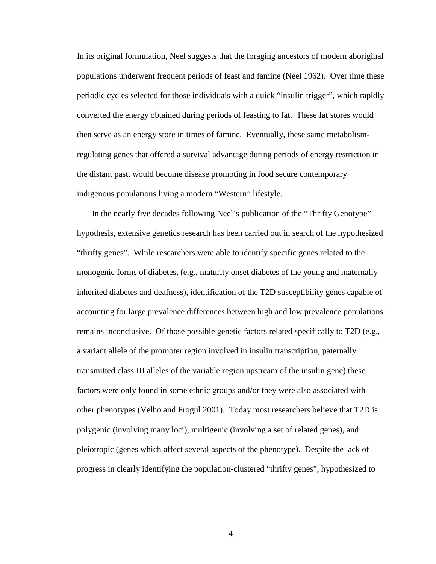In its original formulation, Neel suggests that the foraging ancestors of modern aboriginal populations underwent frequent periods of feast and famine (Neel 1962). Over time these periodic cycles selected for those individuals with a quick "insulin trigger", which rapidly converted the energy obtained during periods of feasting to fat. These fat stores would then serve as an energy store in times of famine. Eventually, these same metabolismregulating genes that offered a survival advantage during periods of energy restriction in the distant past, would become disease promoting in food secure contemporary indigenous populations living a modern "Western" lifestyle.

 In the nearly five decades following Neel's publication of the "Thrifty Genotype" hypothesis, extensive genetics research has been carried out in search of the hypothesized "thrifty genes". While researchers were able to identify specific genes related to the monogenic forms of diabetes, (e.g., maturity onset diabetes of the young and maternally inherited diabetes and deafness), identification of the T2D susceptibility genes capable of accounting for large prevalence differences between high and low prevalence populations remains inconclusive. Of those possible genetic factors related specifically to T2D (e.g., a variant allele of the promoter region involved in insulin transcription, paternally transmitted class III alleles of the variable region upstream of the insulin gene) these factors were only found in some ethnic groups and/or they were also associated with other phenotypes (Velho and Frogul 2001). Today most researchers believe that T2D is polygenic (involving many loci), multigenic (involving a set of related genes), and pleiotropic (genes which affect several aspects of the phenotype). Despite the lack of progress in clearly identifying the population-clustered "thrifty genes", hypothesized to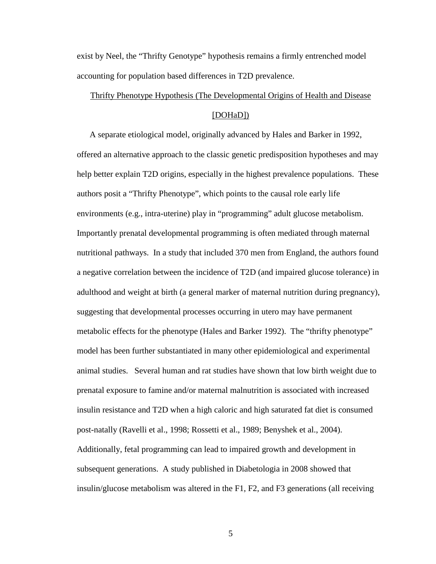exist by Neel, the "Thrifty Genotype" hypothesis remains a firmly entrenched model accounting for population based differences in T2D prevalence.

#### Thrifty Phenotype Hypothesis (The Developmental Origins of Health and Disease

#### [DOHaD])

A separate etiological model, originally advanced by Hales and Barker in 1992, offered an alternative approach to the classic genetic predisposition hypotheses and may help better explain T2D origins, especially in the highest prevalence populations. These authors posit a "Thrifty Phenotype", which points to the causal role early life environments (e.g., intra-uterine) play in "programming" adult glucose metabolism. Importantly prenatal developmental programming is often mediated through maternal nutritional pathways. In a study that included 370 men from England, the authors found a negative correlation between the incidence of T2D (and impaired glucose tolerance) in adulthood and weight at birth (a general marker of maternal nutrition during pregnancy), suggesting that developmental processes occurring in utero may have permanent metabolic effects for the phenotype (Hales and Barker 1992). The "thrifty phenotype" model has been further substantiated in many other epidemiological and experimental animal studies. Several human and rat studies have shown that low birth weight due to prenatal exposure to famine and/or maternal malnutrition is associated with increased insulin resistance and T2D when a high caloric and high saturated fat diet is consumed post-natally (Ravelli et al., 1998; Rossetti et al., 1989; Benyshek et al., 2004). Additionally, fetal programming can lead to impaired growth and development in subsequent generations. A study published in Diabetologia in 2008 showed that insulin/glucose metabolism was altered in the F1, F2, and F3 generations (all receiving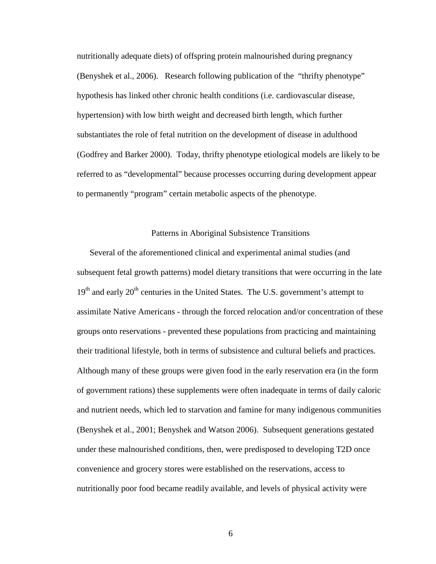nutritionally adequate diets) of offspring protein malnourished during pregnancy (Benyshek et al., 2006). Research following publication of the "thrifty phenotype" hypothesis has linked other chronic health conditions (i.e. cardiovascular disease, hypertension) with low birth weight and decreased birth length, which further substantiates the role of fetal nutrition on the development of disease in adulthood (Godfrey and Barker 2000). Today, thrifty phenotype etiological models are likely to be referred to as "developmental" because processes occurring during development appear to permanently "program" certain metabolic aspects of the phenotype.

#### Patterns in Aboriginal Subsistence Transitions

Several of the aforementioned clinical and experimental animal studies (and subsequent fetal growth patterns) model dietary transitions that were occurring in the late  $19<sup>th</sup>$  and early  $20<sup>th</sup>$  centuries in the United States. The U.S. government's attempt to assimilate Native Americans - through the forced relocation and/or concentration of these groups onto reservations - prevented these populations from practicing and maintaining their traditional lifestyle, both in terms of subsistence and cultural beliefs and practices. Although many of these groups were given food in the early reservation era (in the form of government rations) these supplements were often inadequate in terms of daily caloric and nutrient needs, which led to starvation and famine for many indigenous communities (Benyshek et al., 2001; Benyshek and Watson 2006). Subsequent generations gestated under these malnourished conditions, then, were predisposed to developing T2D once convenience and grocery stores were established on the reservations, access to nutritionally poor food became readily available, and levels of physical activity were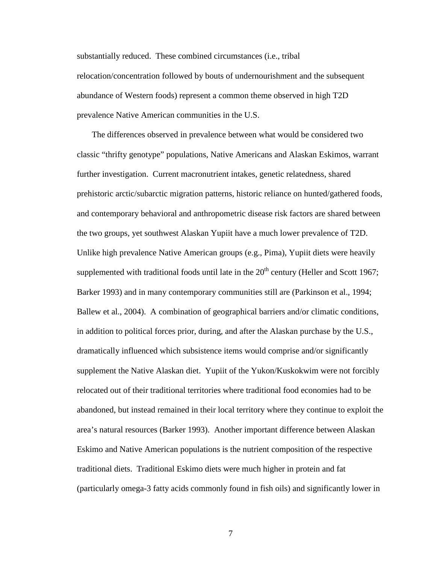substantially reduced. These combined circumstances (i.e., tribal relocation/concentration followed by bouts of undernourishment and the subsequent abundance of Western foods) represent a common theme observed in high T2D prevalence Native American communities in the U.S.

 The differences observed in prevalence between what would be considered two classic "thrifty genotype" populations, Native Americans and Alaskan Eskimos, warrant further investigation. Current macronutrient intakes, genetic relatedness, shared prehistoric arctic/subarctic migration patterns, historic reliance on hunted/gathered foods, and contemporary behavioral and anthropometric disease risk factors are shared between the two groups, yet southwest Alaskan Yupiit have a much lower prevalence of T2D. Unlike high prevalence Native American groups (e.g., Pima), Yupiit diets were heavily supplemented with traditional foods until late in the  $20<sup>th</sup>$  century (Heller and Scott 1967; Barker 1993) and in many contemporary communities still are (Parkinson et al., 1994; Ballew et al., 2004). A combination of geographical barriers and/or climatic conditions, in addition to political forces prior, during, and after the Alaskan purchase by the U.S., dramatically influenced which subsistence items would comprise and/or significantly supplement the Native Alaskan diet. Yupiit of the Yukon/Kuskokwim were not forcibly relocated out of their traditional territories where traditional food economies had to be abandoned, but instead remained in their local territory where they continue to exploit the area's natural resources (Barker 1993). Another important difference between Alaskan Eskimo and Native American populations is the nutrient composition of the respective traditional diets. Traditional Eskimo diets were much higher in protein and fat (particularly omega-3 fatty acids commonly found in fish oils) and significantly lower in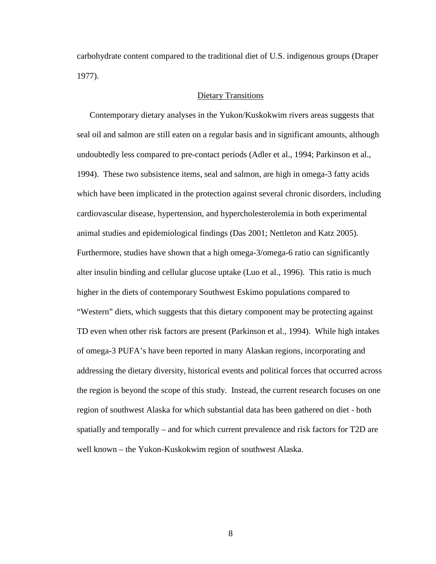carbohydrate content compared to the traditional diet of U.S. indigenous groups (Draper 1977).

#### Dietary Transitions

Contemporary dietary analyses in the Yukon/Kuskokwim rivers areas suggests that seal oil and salmon are still eaten on a regular basis and in significant amounts, although undoubtedly less compared to pre-contact periods (Adler et al., 1994; Parkinson et al., 1994). These two subsistence items, seal and salmon, are high in omega-3 fatty acids which have been implicated in the protection against several chronic disorders, including cardiovascular disease, hypertension, and hypercholesterolemia in both experimental animal studies and epidemiological findings (Das 2001; Nettleton and Katz 2005). Furthermore, studies have shown that a high omega-3/omega-6 ratio can significantly alter insulin binding and cellular glucose uptake (Luo et al., 1996). This ratio is much higher in the diets of contemporary Southwest Eskimo populations compared to "Western" diets, which suggests that this dietary component may be protecting against TD even when other risk factors are present (Parkinson et al., 1994). While high intakes of omega-3 PUFA's have been reported in many Alaskan regions, incorporating and addressing the dietary diversity, historical events and political forces that occurred across the region is beyond the scope of this study. Instead, the current research focuses on one region of southwest Alaska for which substantial data has been gathered on diet - both spatially and temporally – and for which current prevalence and risk factors for T2D are well known – the Yukon-Kuskokwim region of southwest Alaska.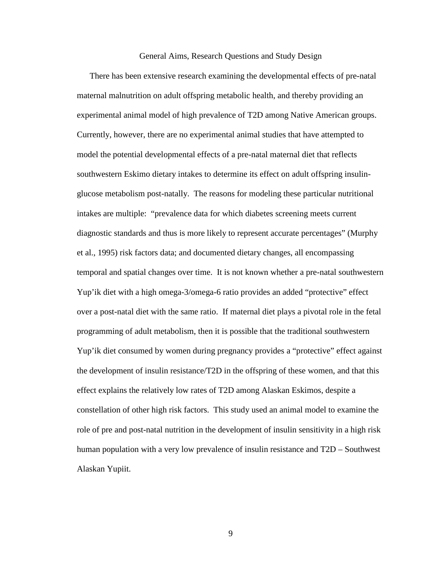#### General Aims, Research Questions and Study Design

There has been extensive research examining the developmental effects of pre-natal maternal malnutrition on adult offspring metabolic health, and thereby providing an experimental animal model of high prevalence of T2D among Native American groups. Currently, however, there are no experimental animal studies that have attempted to model the potential developmental effects of a pre-natal maternal diet that reflects southwestern Eskimo dietary intakes to determine its effect on adult offspring insulinglucose metabolism post-natally. The reasons for modeling these particular nutritional intakes are multiple: "prevalence data for which diabetes screening meets current diagnostic standards and thus is more likely to represent accurate percentages" (Murphy et al., 1995) risk factors data; and documented dietary changes, all encompassing temporal and spatial changes over time. It is not known whether a pre-natal southwestern Yup'ik diet with a high omega-3/omega-6 ratio provides an added "protective" effect over a post-natal diet with the same ratio. If maternal diet plays a pivotal role in the fetal programming of adult metabolism, then it is possible that the traditional southwestern Yup'ik diet consumed by women during pregnancy provides a "protective" effect against the development of insulin resistance/T2D in the offspring of these women, and that this effect explains the relatively low rates of T2D among Alaskan Eskimos, despite a constellation of other high risk factors. This study used an animal model to examine the role of pre and post-natal nutrition in the development of insulin sensitivity in a high risk human population with a very low prevalence of insulin resistance and T2D – Southwest Alaskan Yupiit.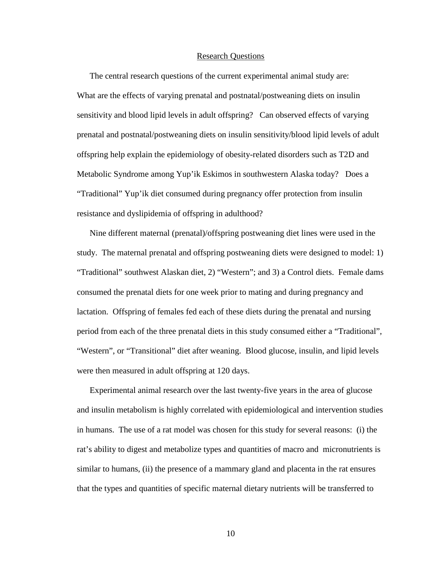#### Research Questions

The central research questions of the current experimental animal study are: What are the effects of varying prenatal and postnatal/postweaning diets on insulin sensitivity and blood lipid levels in adult offspring? Can observed effects of varying prenatal and postnatal/postweaning diets on insulin sensitivity/blood lipid levels of adult offspring help explain the epidemiology of obesity-related disorders such as T2D and Metabolic Syndrome among Yup'ik Eskimos in southwestern Alaska today? Does a "Traditional" Yup'ik diet consumed during pregnancy offer protection from insulin resistance and dyslipidemia of offspring in adulthood?

Nine different maternal (prenatal)/offspring postweaning diet lines were used in the study. The maternal prenatal and offspring postweaning diets were designed to model: 1) "Traditional" southwest Alaskan diet, 2) "Western"; and 3) a Control diets. Female dams consumed the prenatal diets for one week prior to mating and during pregnancy and lactation. Offspring of females fed each of these diets during the prenatal and nursing period from each of the three prenatal diets in this study consumed either a "Traditional", "Western", or "Transitional" diet after weaning. Blood glucose, insulin, and lipid levels were then measured in adult offspring at 120 days.

Experimental animal research over the last twenty-five years in the area of glucose and insulin metabolism is highly correlated with epidemiological and intervention studies in humans. The use of a rat model was chosen for this study for several reasons: (i) the rat's ability to digest and metabolize types and quantities of macro and micronutrients is similar to humans, (ii) the presence of a mammary gland and placenta in the rat ensures that the types and quantities of specific maternal dietary nutrients will be transferred to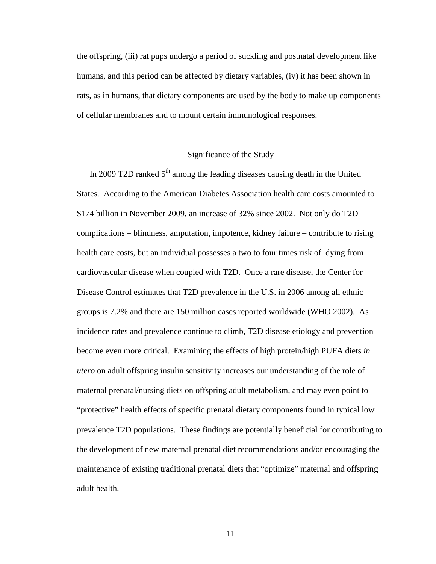the offspring, (iii) rat pups undergo a period of suckling and postnatal development like humans, and this period can be affected by dietary variables, (iv) it has been shown in rats, as in humans, that dietary components are used by the body to make up components of cellular membranes and to mount certain immunological responses.

#### Significance of the Study

In 2009 T2D ranked  $5<sup>th</sup>$  among the leading diseases causing death in the United States. According to the American Diabetes Association health care costs amounted to \$174 billion in November 2009, an increase of 32% since 2002. Not only do T2D complications – blindness, amputation, impotence, kidney failure – contribute to rising health care costs, but an individual possesses a two to four times risk of dying from cardiovascular disease when coupled with T2D. Once a rare disease, the Center for Disease Control estimates that T2D prevalence in the U.S. in 2006 among all ethnic groups is 7.2% and there are 150 million cases reported worldwide (WHO 2002). As incidence rates and prevalence continue to climb, T2D disease etiology and prevention become even more critical. Examining the effects of high protein/high PUFA diets *in utero* on adult offspring insulin sensitivity increases our understanding of the role of maternal prenatal/nursing diets on offspring adult metabolism, and may even point to "protective" health effects of specific prenatal dietary components found in typical low prevalence T2D populations. These findings are potentially beneficial for contributing to the development of new maternal prenatal diet recommendations and/or encouraging the maintenance of existing traditional prenatal diets that "optimize" maternal and offspring adult health.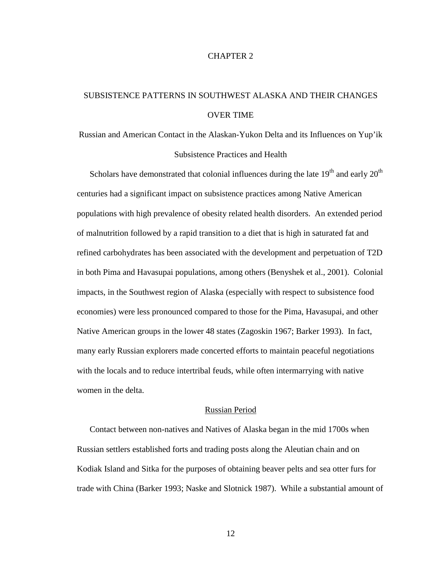#### CHAPTER 2

## SUBSISTENCE PATTERNS IN SOUTHWEST ALASKA AND THEIR CHANGES OVER TIME

Russian and American Contact in the Alaskan-Yukon Delta and its Influences on Yup'ik Subsistence Practices and Health

Scholars have demonstrated that colonial influences during the late  $19<sup>th</sup>$  and early  $20<sup>th</sup>$ centuries had a significant impact on subsistence practices among Native American populations with high prevalence of obesity related health disorders. An extended period of malnutrition followed by a rapid transition to a diet that is high in saturated fat and refined carbohydrates has been associated with the development and perpetuation of T2D in both Pima and Havasupai populations, among others (Benyshek et al., 2001). Colonial impacts, in the Southwest region of Alaska (especially with respect to subsistence food economies) were less pronounced compared to those for the Pima, Havasupai, and other Native American groups in the lower 48 states (Zagoskin 1967; Barker 1993). In fact, many early Russian explorers made concerted efforts to maintain peaceful negotiations with the locals and to reduce intertribal feuds, while often intermarrying with native women in the delta.

#### Russian Period

Contact between non-natives and Natives of Alaska began in the mid 1700s when Russian settlers established forts and trading posts along the Aleutian chain and on Kodiak Island and Sitka for the purposes of obtaining beaver pelts and sea otter furs for trade with China (Barker 1993; Naske and Slotnick 1987). While a substantial amount of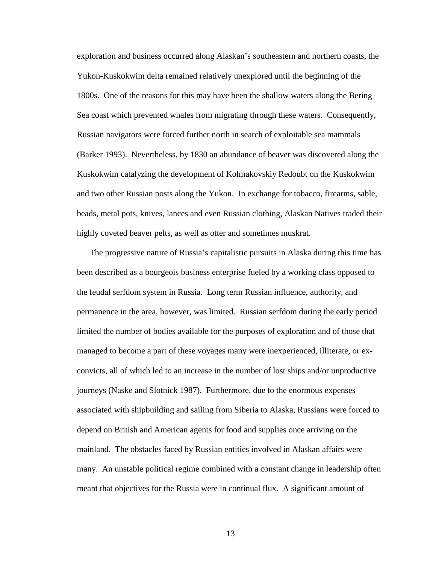exploration and business occurred along Alaskan's southeastern and northern coasts, the Yukon-Kuskokwim delta remained relatively unexplored until the beginning of the 1800s. One of the reasons for this may have been the shallow waters along the Bering Sea coast which prevented whales from migrating through these waters. Consequently, Russian navigators were forced further north in search of exploitable sea mammals (Barker 1993). Nevertheless, by 1830 an abundance of beaver was discovered along the Kuskokwim catalyzing the development of Kolmakovskiy Redoubt on the Kuskokwim and two other Russian posts along the Yukon. In exchange for tobacco, firearms, sable, beads, metal pots, knives, lances and even Russian clothing, Alaskan Natives traded their highly coveted beaver pelts, as well as otter and sometimes muskrat.

The progressive nature of Russia's capitalistic pursuits in Alaska during this time has been described as a bourgeois business enterprise fueled by a working class opposed to the feudal serfdom system in Russia. Long term Russian influence, authority, and permanence in the area, however, was limited. Russian serfdom during the early period limited the number of bodies available for the purposes of exploration and of those that managed to become a part of these voyages many were inexperienced, illiterate, or exconvicts, all of which led to an increase in the number of lost ships and/or unproductive journeys (Naske and Slotnick 1987). Furthermore, due to the enormous expenses associated with shipbuilding and sailing from Siberia to Alaska, Russians were forced to depend on British and American agents for food and supplies once arriving on the mainland. The obstacles faced by Russian entities involved in Alaskan affairs were many. An unstable political regime combined with a constant change in leadership often meant that objectives for the Russia were in continual flux. A significant amount of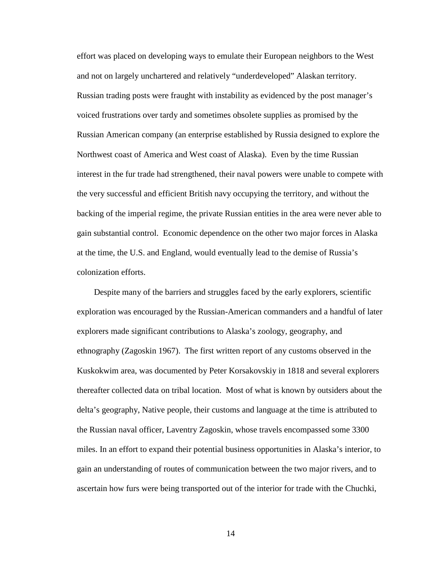effort was placed on developing ways to emulate their European neighbors to the West and not on largely unchartered and relatively "underdeveloped" Alaskan territory. Russian trading posts were fraught with instability as evidenced by the post manager's voiced frustrations over tardy and sometimes obsolete supplies as promised by the Russian American company (an enterprise established by Russia designed to explore the Northwest coast of America and West coast of Alaska). Even by the time Russian interest in the fur trade had strengthened, their naval powers were unable to compete with the very successful and efficient British navy occupying the territory, and without the backing of the imperial regime, the private Russian entities in the area were never able to gain substantial control. Economic dependence on the other two major forces in Alaska at the time, the U.S. and England, would eventually lead to the demise of Russia's colonization efforts.

 Despite many of the barriers and struggles faced by the early explorers, scientific exploration was encouraged by the Russian-American commanders and a handful of later explorers made significant contributions to Alaska's zoology, geography, and ethnography (Zagoskin 1967). The first written report of any customs observed in the Kuskokwim area, was documented by Peter Korsakovskiy in 1818 and several explorers thereafter collected data on tribal location. Most of what is known by outsiders about the delta's geography, Native people, their customs and language at the time is attributed to the Russian naval officer, Laventry Zagoskin, whose travels encompassed some 3300 miles. In an effort to expand their potential business opportunities in Alaska's interior, to gain an understanding of routes of communication between the two major rivers, and to ascertain how furs were being transported out of the interior for trade with the Chuchki,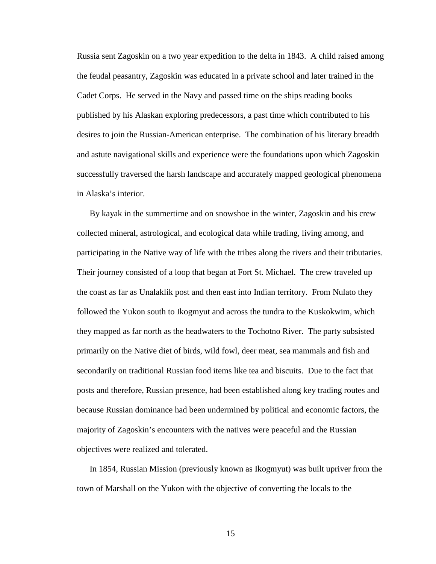Russia sent Zagoskin on a two year expedition to the delta in 1843. A child raised among the feudal peasantry, Zagoskin was educated in a private school and later trained in the Cadet Corps. He served in the Navy and passed time on the ships reading books published by his Alaskan exploring predecessors, a past time which contributed to his desires to join the Russian-American enterprise. The combination of his literary breadth and astute navigational skills and experience were the foundations upon which Zagoskin successfully traversed the harsh landscape and accurately mapped geological phenomena in Alaska's interior.

By kayak in the summertime and on snowshoe in the winter, Zagoskin and his crew collected mineral, astrological, and ecological data while trading, living among, and participating in the Native way of life with the tribes along the rivers and their tributaries. Their journey consisted of a loop that began at Fort St. Michael. The crew traveled up the coast as far as Unalaklik post and then east into Indian territory. From Nulato they followed the Yukon south to Ikogmyut and across the tundra to the Kuskokwim, which they mapped as far north as the headwaters to the Tochotno River. The party subsisted primarily on the Native diet of birds, wild fowl, deer meat, sea mammals and fish and secondarily on traditional Russian food items like tea and biscuits. Due to the fact that posts and therefore, Russian presence, had been established along key trading routes and because Russian dominance had been undermined by political and economic factors, the majority of Zagoskin's encounters with the natives were peaceful and the Russian objectives were realized and tolerated.

In 1854, Russian Mission (previously known as Ikogmyut) was built upriver from the town of Marshall on the Yukon with the objective of converting the locals to the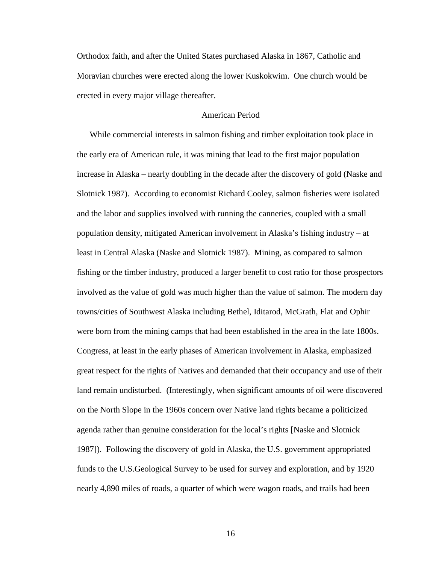Orthodox faith, and after the United States purchased Alaska in 1867, Catholic and Moravian churches were erected along the lower Kuskokwim. One church would be erected in every major village thereafter.

#### American Period

While commercial interests in salmon fishing and timber exploitation took place in the early era of American rule, it was mining that lead to the first major population increase in Alaska – nearly doubling in the decade after the discovery of gold (Naske and Slotnick 1987). According to economist Richard Cooley, salmon fisheries were isolated and the labor and supplies involved with running the canneries, coupled with a small population density, mitigated American involvement in Alaska's fishing industry – at least in Central Alaska (Naske and Slotnick 1987). Mining, as compared to salmon fishing or the timber industry, produced a larger benefit to cost ratio for those prospectors involved as the value of gold was much higher than the value of salmon. The modern day towns/cities of Southwest Alaska including Bethel, Iditarod, McGrath, Flat and Ophir were born from the mining camps that had been established in the area in the late 1800s. Congress, at least in the early phases of American involvement in Alaska, emphasized great respect for the rights of Natives and demanded that their occupancy and use of their land remain undisturbed. (Interestingly, when significant amounts of oil were discovered on the North Slope in the 1960s concern over Native land rights became a politicized agenda rather than genuine consideration for the local's rights [Naske and Slotnick 1987]). Following the discovery of gold in Alaska, the U.S. government appropriated funds to the U.S.Geological Survey to be used for survey and exploration, and by 1920 nearly 4,890 miles of roads, a quarter of which were wagon roads, and trails had been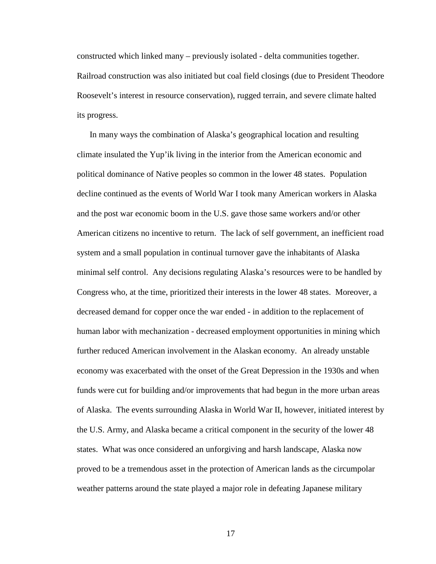constructed which linked many – previously isolated - delta communities together. Railroad construction was also initiated but coal field closings (due to President Theodore Roosevelt's interest in resource conservation), rugged terrain, and severe climate halted its progress.

In many ways the combination of Alaska's geographical location and resulting climate insulated the Yup'ik living in the interior from the American economic and political dominance of Native peoples so common in the lower 48 states. Population decline continued as the events of World War I took many American workers in Alaska and the post war economic boom in the U.S. gave those same workers and/or other American citizens no incentive to return. The lack of self government, an inefficient road system and a small population in continual turnover gave the inhabitants of Alaska minimal self control. Any decisions regulating Alaska's resources were to be handled by Congress who, at the time, prioritized their interests in the lower 48 states. Moreover, a decreased demand for copper once the war ended - in addition to the replacement of human labor with mechanization - decreased employment opportunities in mining which further reduced American involvement in the Alaskan economy. An already unstable economy was exacerbated with the onset of the Great Depression in the 1930s and when funds were cut for building and/or improvements that had begun in the more urban areas of Alaska. The events surrounding Alaska in World War II, however, initiated interest by the U.S. Army, and Alaska became a critical component in the security of the lower 48 states. What was once considered an unforgiving and harsh landscape, Alaska now proved to be a tremendous asset in the protection of American lands as the circumpolar weather patterns around the state played a major role in defeating Japanese military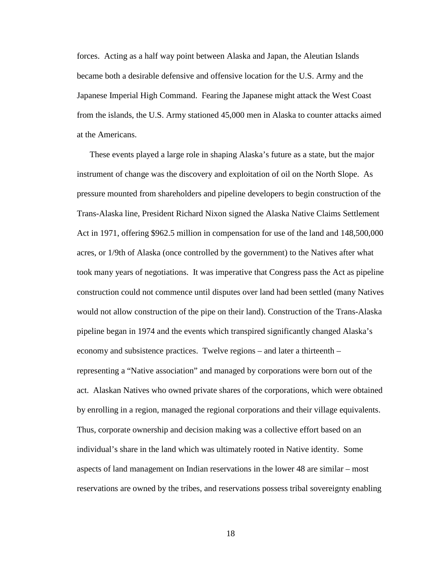forces. Acting as a half way point between Alaska and Japan, the Aleutian Islands became both a desirable defensive and offensive location for the U.S. Army and the Japanese Imperial High Command. Fearing the Japanese might attack the West Coast from the islands, the U.S. Army stationed 45,000 men in Alaska to counter attacks aimed at the Americans.

These events played a large role in shaping Alaska's future as a state, but the major instrument of change was the discovery and exploitation of oil on the North Slope. As pressure mounted from shareholders and pipeline developers to begin construction of the Trans-Alaska line, President Richard Nixon signed the Alaska Native Claims Settlement Act in 1971, offering \$962.5 million in compensation for use of the land and 148,500,000 acres, or 1/9th of Alaska (once controlled by the government) to the Natives after what took many years of negotiations. It was imperative that Congress pass the Act as pipeline construction could not commence until disputes over land had been settled (many Natives would not allow construction of the pipe on their land). Construction of the Trans-Alaska pipeline began in 1974 and the events which transpired significantly changed Alaska's economy and subsistence practices. Twelve regions – and later a thirteenth – representing a "Native association" and managed by corporations were born out of the act. Alaskan Natives who owned private shares of the corporations, which were obtained by enrolling in a region, managed the regional corporations and their village equivalents. Thus, corporate ownership and decision making was a collective effort based on an individual's share in the land which was ultimately rooted in Native identity. Some aspects of land management on Indian reservations in the lower 48 are similar – most reservations are owned by the tribes, and reservations possess tribal sovereignty enabling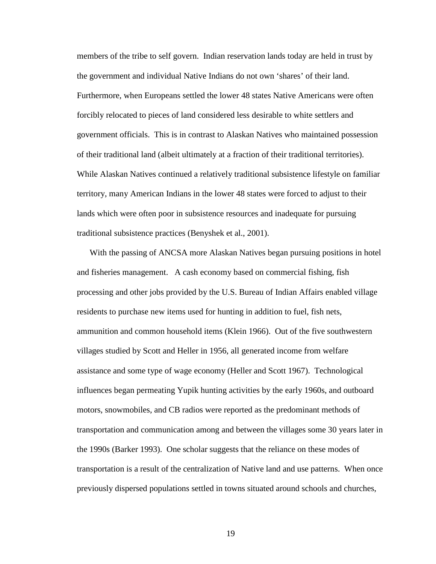members of the tribe to self govern. Indian reservation lands today are held in trust by the government and individual Native Indians do not own 'shares' of their land. Furthermore, when Europeans settled the lower 48 states Native Americans were often forcibly relocated to pieces of land considered less desirable to white settlers and government officials. This is in contrast to Alaskan Natives who maintained possession of their traditional land (albeit ultimately at a fraction of their traditional territories). While Alaskan Natives continued a relatively traditional subsistence lifestyle on familiar territory, many American Indians in the lower 48 states were forced to adjust to their lands which were often poor in subsistence resources and inadequate for pursuing traditional subsistence practices (Benyshek et al., 2001).

With the passing of ANCSA more Alaskan Natives began pursuing positions in hotel and fisheries management. A cash economy based on commercial fishing, fish processing and other jobs provided by the U.S. Bureau of Indian Affairs enabled village residents to purchase new items used for hunting in addition to fuel, fish nets, ammunition and common household items (Klein 1966). Out of the five southwestern villages studied by Scott and Heller in 1956, all generated income from welfare assistance and some type of wage economy (Heller and Scott 1967). Technological influences began permeating Yupik hunting activities by the early 1960s, and outboard motors, snowmobiles, and CB radios were reported as the predominant methods of transportation and communication among and between the villages some 30 years later in the 1990s (Barker 1993). One scholar suggests that the reliance on these modes of transportation is a result of the centralization of Native land and use patterns. When once previously dispersed populations settled in towns situated around schools and churches,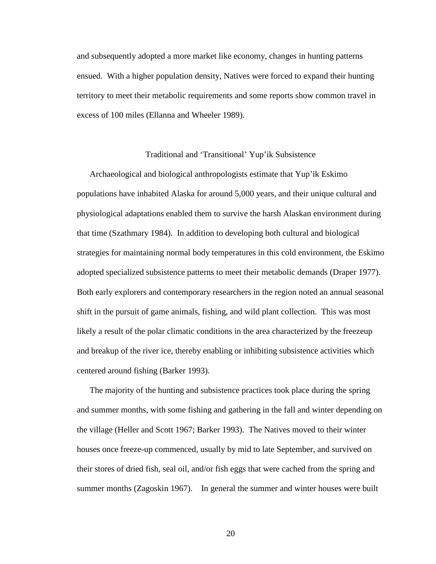and subsequently adopted a more market like economy, changes in hunting patterns ensued. With a higher population density, Natives were forced to expand their hunting territory to meet their metabolic requirements and some reports show common travel in excess of 100 miles (Ellanna and Wheeler 1989).

#### Traditional and 'Transitional' Yup'ik Subsistence

Archaeological and biological anthropologists estimate that Yup'ik Eskimo populations have inhabited Alaska for around 5,000 years, and their unique cultural and physiological adaptations enabled them to survive the harsh Alaskan environment during that time (Szathmary 1984). In addition to developing both cultural and biological strategies for maintaining normal body temperatures in this cold environment, the Eskimo adopted specialized subsistence patterns to meet their metabolic demands (Draper 1977). Both early explorers and contemporary researchers in the region noted an annual seasonal shift in the pursuit of game animals, fishing, and wild plant collection. This was most likely a result of the polar climatic conditions in the area characterized by the freezeup and breakup of the river ice, thereby enabling or inhibiting subsistence activities which centered around fishing (Barker 1993).

The majority of the hunting and subsistence practices took place during the spring and summer months, with some fishing and gathering in the fall and winter depending on the village (Heller and Scott 1967; Barker 1993). The Natives moved to their winter houses once freeze-up commenced, usually by mid to late September, and survived on their stores of dried fish, seal oil, and/or fish eggs that were cached from the spring and summer months (Zagoskin 1967). In general the summer and winter houses were built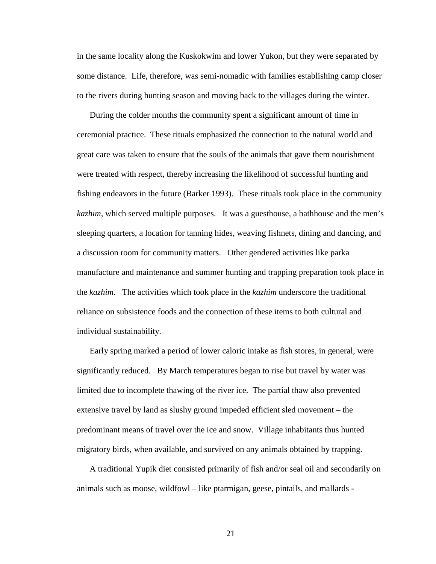in the same locality along the Kuskokwim and lower Yukon, but they were separated by some distance. Life, therefore, was semi-nomadic with families establishing camp closer to the rivers during hunting season and moving back to the villages during the winter.

During the colder months the community spent a significant amount of time in ceremonial practice. These rituals emphasized the connection to the natural world and great care was taken to ensure that the souls of the animals that gave them nourishment were treated with respect, thereby increasing the likelihood of successful hunting and fishing endeavors in the future (Barker 1993). These rituals took place in the community *kazhim*, which served multiple purposes. It was a guesthouse, a bathhouse and the men's sleeping quarters, a location for tanning hides, weaving fishnets, dining and dancing, and a discussion room for community matters. Other gendered activities like parka manufacture and maintenance and summer hunting and trapping preparation took place in the *kazhim*. The activities which took place in the *kazhim* underscore the traditional reliance on subsistence foods and the connection of these items to both cultural and individual sustainability.

Early spring marked a period of lower caloric intake as fish stores, in general, were significantly reduced. By March temperatures began to rise but travel by water was limited due to incomplete thawing of the river ice. The partial thaw also prevented extensive travel by land as slushy ground impeded efficient sled movement – the predominant means of travel over the ice and snow. Village inhabitants thus hunted migratory birds, when available, and survived on any animals obtained by trapping.

A traditional Yupik diet consisted primarily of fish and/or seal oil and secondarily on animals such as moose, wildfowl – like ptarmigan, geese, pintails, and mallards -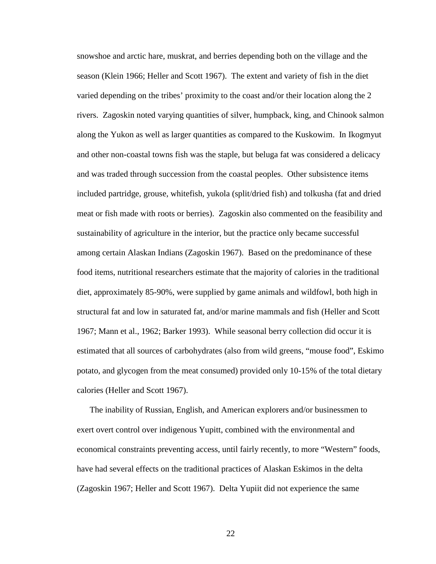snowshoe and arctic hare, muskrat, and berries depending both on the village and the season (Klein 1966; Heller and Scott 1967). The extent and variety of fish in the diet varied depending on the tribes' proximity to the coast and/or their location along the 2 rivers. Zagoskin noted varying quantities of silver, humpback, king, and Chinook salmon along the Yukon as well as larger quantities as compared to the Kuskowim. In Ikogmyut and other non-coastal towns fish was the staple, but beluga fat was considered a delicacy and was traded through succession from the coastal peoples. Other subsistence items included partridge, grouse, whitefish, yukola (split/dried fish) and tolkusha (fat and dried meat or fish made with roots or berries). Zagoskin also commented on the feasibility and sustainability of agriculture in the interior, but the practice only became successful among certain Alaskan Indians (Zagoskin 1967). Based on the predominance of these food items, nutritional researchers estimate that the majority of calories in the traditional diet, approximately 85-90%, were supplied by game animals and wildfowl, both high in structural fat and low in saturated fat, and/or marine mammals and fish (Heller and Scott 1967; Mann et al., 1962; Barker 1993). While seasonal berry collection did occur it is estimated that all sources of carbohydrates (also from wild greens, "mouse food", Eskimo potato, and glycogen from the meat consumed) provided only 10-15% of the total dietary calories (Heller and Scott 1967).

The inability of Russian, English, and American explorers and/or businessmen to exert overt control over indigenous Yupitt, combined with the environmental and economical constraints preventing access, until fairly recently, to more "Western" foods, have had several effects on the traditional practices of Alaskan Eskimos in the delta (Zagoskin 1967; Heller and Scott 1967). Delta Yupiit did not experience the same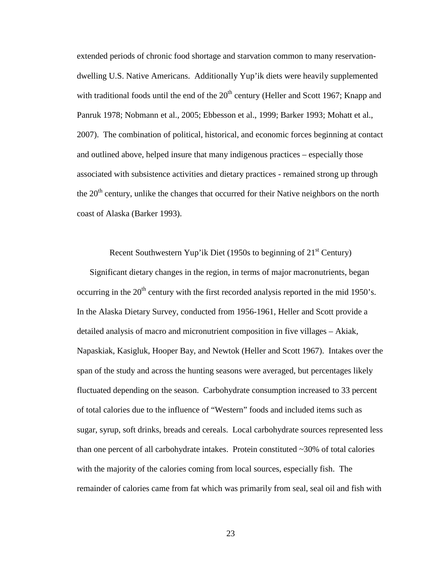extended periods of chronic food shortage and starvation common to many reservationdwelling U.S. Native Americans. Additionally Yup'ik diets were heavily supplemented with traditional foods until the end of the  $20<sup>th</sup>$  century (Heller and Scott 1967; Knapp and Panruk 1978; Nobmann et al., 2005; Ebbesson et al., 1999; Barker 1993; Mohatt et al., 2007). The combination of political, historical, and economic forces beginning at contact and outlined above, helped insure that many indigenous practices – especially those associated with subsistence activities and dietary practices - remained strong up through the  $20<sup>th</sup>$  century, unlike the changes that occurred for their Native neighbors on the north coast of Alaska (Barker 1993).

Recent Southwestern Yup'ik Diet (1950s to beginning of  $21<sup>st</sup>$  Century)

Significant dietary changes in the region, in terms of major macronutrients, began occurring in the  $20<sup>th</sup>$  century with the first recorded analysis reported in the mid 1950's. In the Alaska Dietary Survey, conducted from 1956-1961, Heller and Scott provide a detailed analysis of macro and micronutrient composition in five villages – Akiak, Napaskiak, Kasigluk, Hooper Bay, and Newtok (Heller and Scott 1967). Intakes over the span of the study and across the hunting seasons were averaged, but percentages likely fluctuated depending on the season. Carbohydrate consumption increased to 33 percent of total calories due to the influence of "Western" foods and included items such as sugar, syrup, soft drinks, breads and cereals. Local carbohydrate sources represented less than one percent of all carbohydrate intakes. Protein constituted  $\sim$ 30% of total calories with the majority of the calories coming from local sources, especially fish. The remainder of calories came from fat which was primarily from seal, seal oil and fish with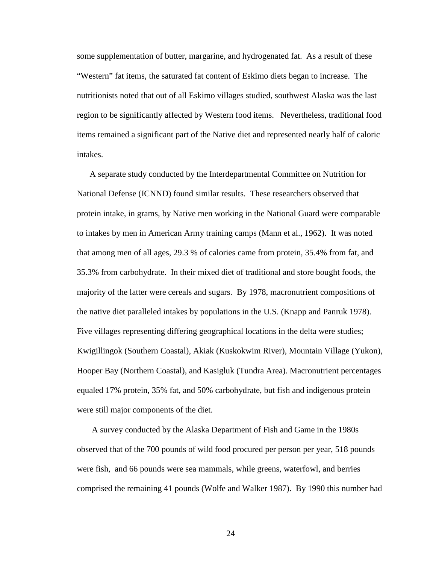some supplementation of butter, margarine, and hydrogenated fat. As a result of these "Western" fat items, the saturated fat content of Eskimo diets began to increase. The nutritionists noted that out of all Eskimo villages studied, southwest Alaska was the last region to be significantly affected by Western food items. Nevertheless, traditional food items remained a significant part of the Native diet and represented nearly half of caloric intakes.

A separate study conducted by the Interdepartmental Committee on Nutrition for National Defense (ICNND) found similar results. These researchers observed that protein intake, in grams, by Native men working in the National Guard were comparable to intakes by men in American Army training camps (Mann et al., 1962). It was noted that among men of all ages, 29.3 % of calories came from protein, 35.4% from fat, and 35.3% from carbohydrate. In their mixed diet of traditional and store bought foods, the majority of the latter were cereals and sugars. By 1978, macronutrient compositions of the native diet paralleled intakes by populations in the U.S. (Knapp and Panruk 1978). Five villages representing differing geographical locations in the delta were studies; Kwigillingok (Southern Coastal), Akiak (Kuskokwim River), Mountain Village (Yukon), Hooper Bay (Northern Coastal), and Kasigluk (Tundra Area). Macronutrient percentages equaled 17% protein, 35% fat, and 50% carbohydrate, but fish and indigenous protein were still major components of the diet.

 A survey conducted by the Alaska Department of Fish and Game in the 1980s observed that of the 700 pounds of wild food procured per person per year, 518 pounds were fish, and 66 pounds were sea mammals, while greens, waterfowl, and berries comprised the remaining 41 pounds (Wolfe and Walker 1987). By 1990 this number had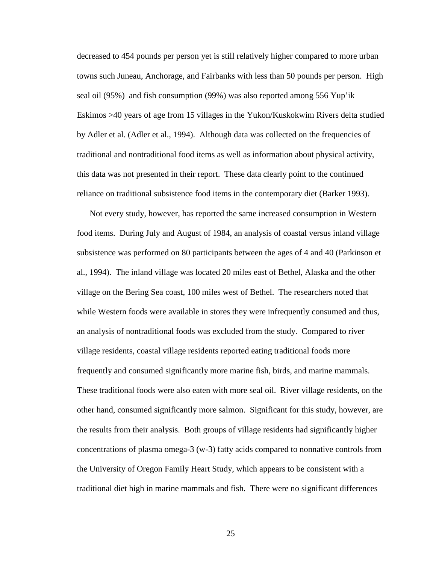decreased to 454 pounds per person yet is still relatively higher compared to more urban towns such Juneau, Anchorage, and Fairbanks with less than 50 pounds per person. High seal oil (95%) and fish consumption (99%) was also reported among 556 Yup'ik Eskimos >40 years of age from 15 villages in the Yukon/Kuskokwim Rivers delta studied by Adler et al. (Adler et al., 1994). Although data was collected on the frequencies of traditional and nontraditional food items as well as information about physical activity, this data was not presented in their report. These data clearly point to the continued reliance on traditional subsistence food items in the contemporary diet (Barker 1993).

Not every study, however, has reported the same increased consumption in Western food items. During July and August of 1984, an analysis of coastal versus inland village subsistence was performed on 80 participants between the ages of 4 and 40 (Parkinson et al., 1994). The inland village was located 20 miles east of Bethel, Alaska and the other village on the Bering Sea coast, 100 miles west of Bethel. The researchers noted that while Western foods were available in stores they were infrequently consumed and thus, an analysis of nontraditional foods was excluded from the study. Compared to river village residents, coastal village residents reported eating traditional foods more frequently and consumed significantly more marine fish, birds, and marine mammals. These traditional foods were also eaten with more seal oil. River village residents, on the other hand, consumed significantly more salmon. Significant for this study, however, are the results from their analysis. Both groups of village residents had significantly higher concentrations of plasma omega-3 (w-3) fatty acids compared to nonnative controls from the University of Oregon Family Heart Study, which appears to be consistent with a traditional diet high in marine mammals and fish. There were no significant differences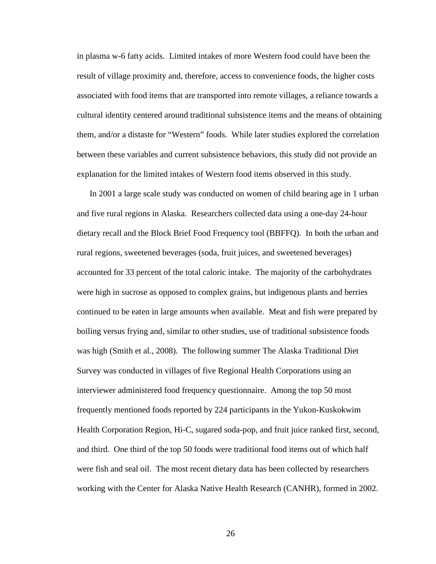in plasma w-6 fatty acids. Limited intakes of more Western food could have been the result of village proximity and, therefore, access to convenience foods, the higher costs associated with food items that are transported into remote villages, a reliance towards a cultural identity centered around traditional subsistence items and the means of obtaining them, and/or a distaste for "Western" foods. While later studies explored the correlation between these variables and current subsistence behaviors, this study did not provide an explanation for the limited intakes of Western food items observed in this study.

In 2001 a large scale study was conducted on women of child bearing age in 1 urban and five rural regions in Alaska. Researchers collected data using a one-day 24-hour dietary recall and the Block Brief Food Frequency tool (BBFFQ). In both the urban and rural regions, sweetened beverages (soda, fruit juices, and sweetened beverages) accounted for 33 percent of the total caloric intake. The majority of the carbohydrates were high in sucrose as opposed to complex grains, but indigenous plants and berries continued to be eaten in large amounts when available. Meat and fish were prepared by boiling versus frying and, similar to other studies, use of traditional subsistence foods was high (Smith et al., 2008). The following summer The Alaska Traditional Diet Survey was conducted in villages of five Regional Health Corporations using an interviewer administered food frequency questionnaire. Among the top 50 most frequently mentioned foods reported by 224 participants in the Yukon-Kuskokwim Health Corporation Region, Hi-C, sugared soda-pop, and fruit juice ranked first, second, and third. One third of the top 50 foods were traditional food items out of which half were fish and seal oil. The most recent dietary data has been collected by researchers working with the Center for Alaska Native Health Research (CANHR), formed in 2002.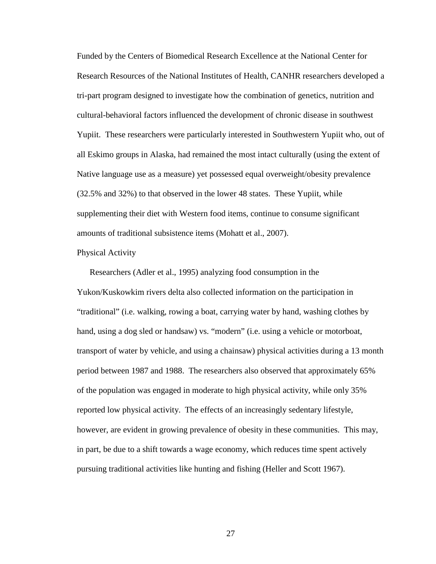Funded by the Centers of Biomedical Research Excellence at the National Center for Research Resources of the National Institutes of Health, CANHR researchers developed a tri-part program designed to investigate how the combination of genetics, nutrition and cultural-behavioral factors influenced the development of chronic disease in southwest Yupiit. These researchers were particularly interested in Southwestern Yupiit who, out of all Eskimo groups in Alaska, had remained the most intact culturally (using the extent of Native language use as a measure) yet possessed equal overweight/obesity prevalence (32.5% and 32%) to that observed in the lower 48 states. These Yupiit, while supplementing their diet with Western food items, continue to consume significant amounts of traditional subsistence items (Mohatt et al., 2007).

#### Physical Activity

Researchers (Adler et al., 1995) analyzing food consumption in the Yukon/Kuskowkim rivers delta also collected information on the participation in "traditional" (i.e. walking, rowing a boat, carrying water by hand, washing clothes by hand, using a dog sled or handsaw) vs. "modern" (i.e. using a vehicle or motorboat, transport of water by vehicle, and using a chainsaw) physical activities during a 13 month period between 1987 and 1988. The researchers also observed that approximately 65% of the population was engaged in moderate to high physical activity, while only 35% reported low physical activity. The effects of an increasingly sedentary lifestyle, however, are evident in growing prevalence of obesity in these communities. This may, in part, be due to a shift towards a wage economy, which reduces time spent actively pursuing traditional activities like hunting and fishing (Heller and Scott 1967).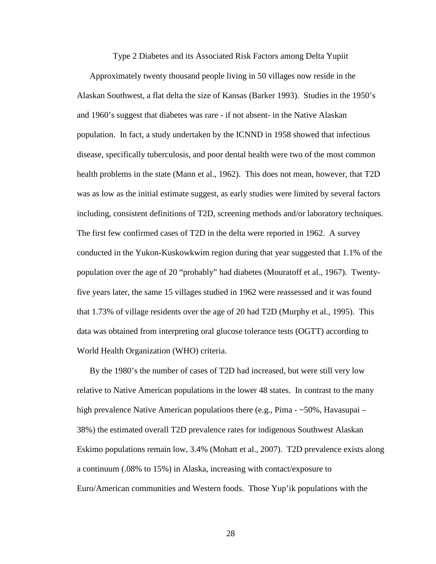Type 2 Diabetes and its Associated Risk Factors among Delta Yupiit

Approximately twenty thousand people living in 50 villages now reside in the Alaskan Southwest, a flat delta the size of Kansas (Barker 1993). Studies in the 1950's and 1960's suggest that diabetes was rare - if not absent- in the Native Alaskan population. In fact, a study undertaken by the ICNND in 1958 showed that infectious disease, specifically tuberculosis, and poor dental health were two of the most common health problems in the state (Mann et al., 1962). This does not mean, however, that T2D was as low as the initial estimate suggest, as early studies were limited by several factors including, consistent definitions of T2D, screening methods and/or laboratory techniques. The first few confirmed cases of T2D in the delta were reported in 1962. A survey conducted in the Yukon-Kuskowkwim region during that year suggested that 1.1% of the population over the age of 20 "probably" had diabetes (Mouratoff et al., 1967). Twentyfive years later, the same 15 villages studied in 1962 were reassessed and it was found that 1.73% of village residents over the age of 20 had T2D (Murphy et al., 1995). This data was obtained from interpreting oral glucose tolerance tests (OGTT) according to World Health Organization (WHO) criteria.

By the 1980's the number of cases of T2D had increased, but were still very low relative to Native American populations in the lower 48 states. In contrast to the many high prevalence Native American populations there (e.g., Pima - ~50%, Havasupai – 38%) the estimated overall T2D prevalence rates for indigenous Southwest Alaskan Eskimo populations remain low, 3.4% (Mohatt et al., 2007). T2D prevalence exists along a continuum (.08% to 15%) in Alaska, increasing with contact/exposure to Euro/American communities and Western foods. Those Yup'ik populations with the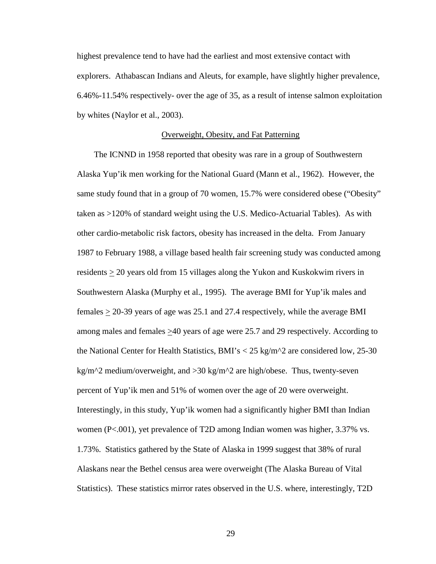highest prevalence tend to have had the earliest and most extensive contact with explorers. Athabascan Indians and Aleuts, for example, have slightly higher prevalence, 6.46%-11.54% respectively- over the age of 35, as a result of intense salmon exploitation by whites (Naylor et al., 2003).

### Overweight, Obesity, and Fat Patterning

 The ICNND in 1958 reported that obesity was rare in a group of Southwestern Alaska Yup'ik men working for the National Guard (Mann et al., 1962). However, the same study found that in a group of 70 women, 15.7% were considered obese ("Obesity" taken as >120% of standard weight using the U.S. Medico-Actuarial Tables). As with other cardio-metabolic risk factors, obesity has increased in the delta. From January 1987 to February 1988, a village based health fair screening study was conducted among residents  $\geq 20$  years old from 15 villages along the Yukon and Kuskokwim rivers in Southwestern Alaska (Murphy et al., 1995). The average BMI for Yup'ik males and females  $\geq$  20-39 years of age was 25.1 and 27.4 respectively, while the average BMI among males and females  $\geq 40$  years of age were 25.7 and 29 respectively. According to the National Center for Health Statistics, BMI's  $<$  25 kg/m<sup> $\gamma$ </sup> are considered low, 25-30 kg/m^2 medium/overweight, and >30 kg/m^2 are high/obese. Thus, twenty-seven percent of Yup'ik men and 51% of women over the age of 20 were overweight. Interestingly, in this study, Yup'ik women had a significantly higher BMI than Indian women (P<.001), yet prevalence of T2D among Indian women was higher, 3.37% vs. 1.73%. Statistics gathered by the State of Alaska in 1999 suggest that 38% of rural Alaskans near the Bethel census area were overweight (The Alaska Bureau of Vital Statistics). These statistics mirror rates observed in the U.S. where, interestingly, T2D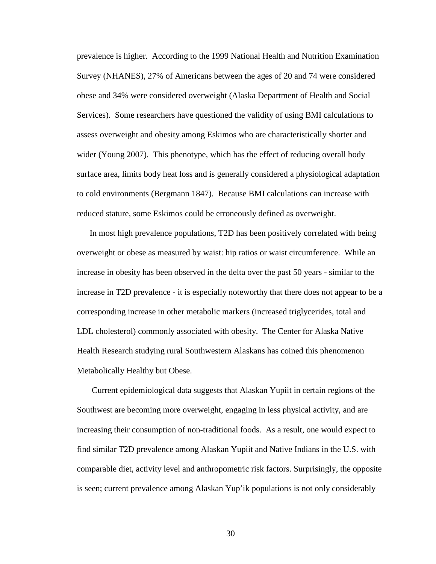prevalence is higher. According to the 1999 National Health and Nutrition Examination Survey (NHANES), 27% of Americans between the ages of 20 and 74 were considered obese and 34% were considered overweight (Alaska Department of Health and Social Services). Some researchers have questioned the validity of using BMI calculations to assess overweight and obesity among Eskimos who are characteristically shorter and wider (Young 2007). This phenotype, which has the effect of reducing overall body surface area, limits body heat loss and is generally considered a physiological adaptation to cold environments (Bergmann 1847). Because BMI calculations can increase with reduced stature, some Eskimos could be erroneously defined as overweight.

In most high prevalence populations, T2D has been positively correlated with being overweight or obese as measured by waist: hip ratios or waist circumference. While an increase in obesity has been observed in the delta over the past 50 years - similar to the increase in T2D prevalence - it is especially noteworthy that there does not appear to be a corresponding increase in other metabolic markers (increased triglycerides, total and LDL cholesterol) commonly associated with obesity. The Center for Alaska Native Health Research studying rural Southwestern Alaskans has coined this phenomenon Metabolically Healthy but Obese.

 Current epidemiological data suggests that Alaskan Yupiit in certain regions of the Southwest are becoming more overweight, engaging in less physical activity, and are increasing their consumption of non-traditional foods. As a result, one would expect to find similar T2D prevalence among Alaskan Yupiit and Native Indians in the U.S. with comparable diet, activity level and anthropometric risk factors. Surprisingly, the opposite is seen; current prevalence among Alaskan Yup'ik populations is not only considerably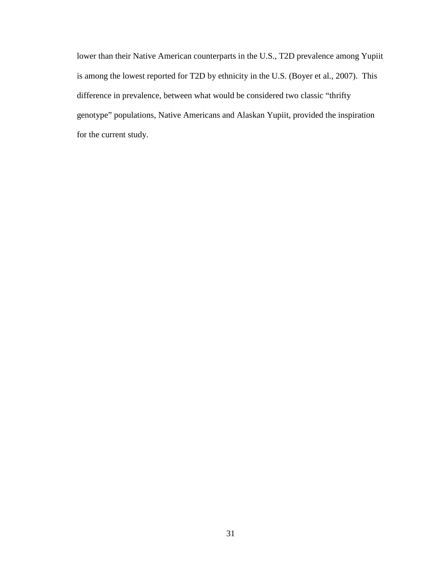lower than their Native American counterparts in the U.S., T2D prevalence among Yupiit is among the lowest reported for T2D by ethnicity in the U.S. (Boyer et al., 2007). This difference in prevalence, between what would be considered two classic "thrifty genotype" populations, Native Americans and Alaskan Yupiit, provided the inspiration for the current study.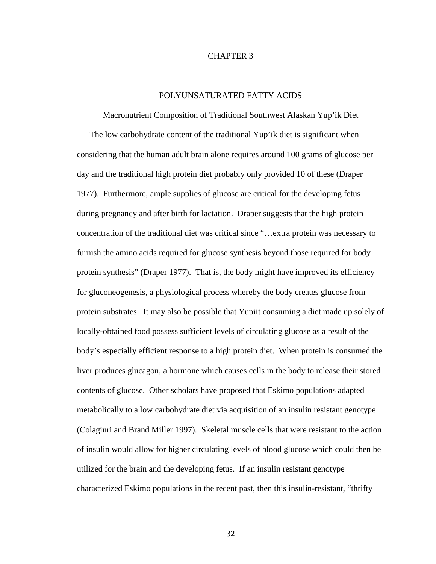# CHAPTER 3

# POLYUNSATURATED FATTY ACIDS

Macronutrient Composition of Traditional Southwest Alaskan Yup'ik Diet The low carbohydrate content of the traditional Yup'ik diet is significant when considering that the human adult brain alone requires around 100 grams of glucose per day and the traditional high protein diet probably only provided 10 of these (Draper 1977). Furthermore, ample supplies of glucose are critical for the developing fetus during pregnancy and after birth for lactation. Draper suggests that the high protein concentration of the traditional diet was critical since "…extra protein was necessary to furnish the amino acids required for glucose synthesis beyond those required for body protein synthesis" (Draper 1977). That is, the body might have improved its efficiency for gluconeogenesis, a physiological process whereby the body creates glucose from protein substrates. It may also be possible that Yupiit consuming a diet made up solely of locally-obtained food possess sufficient levels of circulating glucose as a result of the body's especially efficient response to a high protein diet. When protein is consumed the liver produces glucagon, a hormone which causes cells in the body to release their stored contents of glucose. Other scholars have proposed that Eskimo populations adapted metabolically to a low carbohydrate diet via acquisition of an insulin resistant genotype (Colagiuri and Brand Miller 1997). Skeletal muscle cells that were resistant to the action of insulin would allow for higher circulating levels of blood glucose which could then be utilized for the brain and the developing fetus. If an insulin resistant genotype characterized Eskimo populations in the recent past, then this insulin-resistant, "thrifty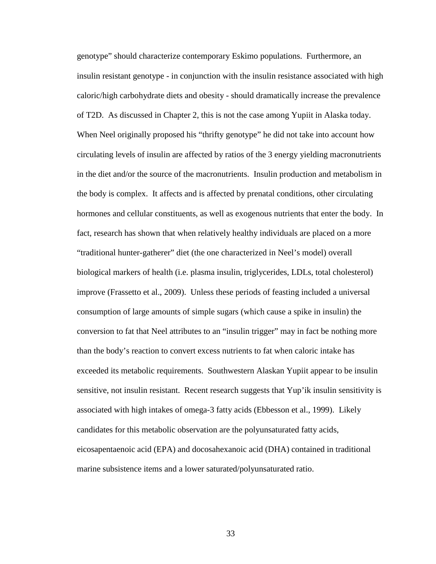genotype" should characterize contemporary Eskimo populations. Furthermore, an insulin resistant genotype - in conjunction with the insulin resistance associated with high caloric/high carbohydrate diets and obesity - should dramatically increase the prevalence of T2D. As discussed in Chapter 2, this is not the case among Yupiit in Alaska today. When Neel originally proposed his "thrifty genotype" he did not take into account how circulating levels of insulin are affected by ratios of the 3 energy yielding macronutrients in the diet and/or the source of the macronutrients. Insulin production and metabolism in the body is complex. It affects and is affected by prenatal conditions, other circulating hormones and cellular constituents, as well as exogenous nutrients that enter the body. In fact, research has shown that when relatively healthy individuals are placed on a more "traditional hunter-gatherer" diet (the one characterized in Neel's model) overall biological markers of health (i.e. plasma insulin, triglycerides, LDLs, total cholesterol) improve (Frassetto et al., 2009). Unless these periods of feasting included a universal consumption of large amounts of simple sugars (which cause a spike in insulin) the conversion to fat that Neel attributes to an "insulin trigger" may in fact be nothing more than the body's reaction to convert excess nutrients to fat when caloric intake has exceeded its metabolic requirements. Southwestern Alaskan Yupiit appear to be insulin sensitive, not insulin resistant. Recent research suggests that Yup'ik insulin sensitivity is associated with high intakes of omega-3 fatty acids (Ebbesson et al., 1999). Likely candidates for this metabolic observation are the polyunsaturated fatty acids, eicosapentaenoic acid (EPA) and docosahexanoic acid (DHA) contained in traditional marine subsistence items and a lower saturated/polyunsaturated ratio.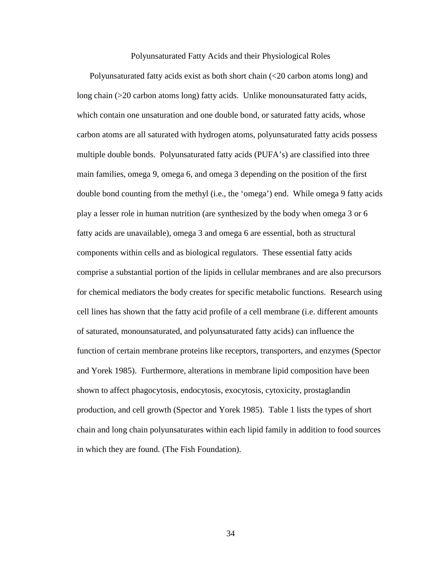Polyunsaturated Fatty Acids and their Physiological Roles

Polyunsaturated fatty acids exist as both short chain (<20 carbon atoms long) and long chain (>20 carbon atoms long) fatty acids. Unlike monounsaturated fatty acids, which contain one unsaturation and one double bond, or saturated fatty acids, whose carbon atoms are all saturated with hydrogen atoms, polyunsaturated fatty acids possess multiple double bonds. Polyunsaturated fatty acids (PUFA's) are classified into three main families, omega 9, omega 6, and omega 3 depending on the position of the first double bond counting from the methyl (i.e., the 'omega') end. While omega 9 fatty acids play a lesser role in human nutrition (are synthesized by the body when omega 3 or 6 fatty acids are unavailable), omega 3 and omega 6 are essential, both as structural components within cells and as biological regulators. These essential fatty acids comprise a substantial portion of the lipids in cellular membranes and are also precursors for chemical mediators the body creates for specific metabolic functions. Research using cell lines has shown that the fatty acid profile of a cell membrane (i.e. different amounts of saturated, monounsaturated, and polyunsaturated fatty acids) can influence the function of certain membrane proteins like receptors, transporters, and enzymes (Spector and Yorek 1985). Furthermore, alterations in membrane lipid composition have been shown to affect phagocytosis, endocytosis, exocytosis, cytoxicity, prostaglandin production, and cell growth (Spector and Yorek 1985). Table 1 lists the types of short chain and long chain polyunsaturates within each lipid family in addition to food sources in which they are found. (The Fish Foundation).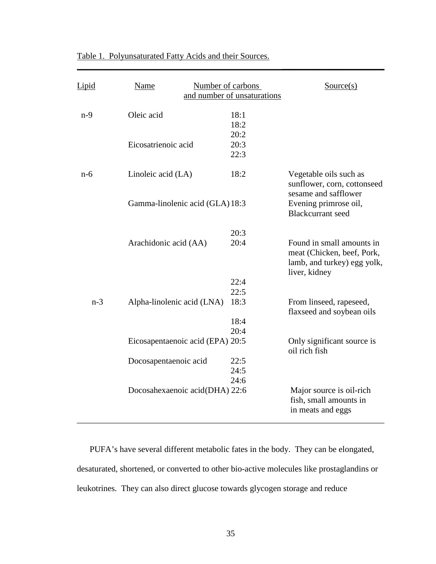| <b>Lipid</b> | Name                             | Number of carbons | and number of unsaturations | Source(s)                                                                                               |
|--------------|----------------------------------|-------------------|-----------------------------|---------------------------------------------------------------------------------------------------------|
| $n-9$        | Oleic acid                       |                   | 18:1<br>18:2<br>20:2        |                                                                                                         |
|              | Eicosatrienoic acid              |                   | 20:3<br>22:3                |                                                                                                         |
| $n-6$        | Linoleic acid (LA)               |                   | 18:2                        | Vegetable oils such as<br>sunflower, corn, cottonseed<br>sesame and safflower                           |
|              | Gamma-linolenic acid (GLA) 18:3  |                   |                             | Evening primrose oil,<br><b>Blackcurrant</b> seed                                                       |
|              |                                  |                   | 20:3                        |                                                                                                         |
|              | Arachidonic acid (AA)            |                   | 20:4                        | Found in small amounts in<br>meat (Chicken, beef, Pork,<br>lamb, and turkey) egg yolk,<br>liver, kidney |
|              |                                  |                   | 22:4                        |                                                                                                         |
| $n-3$        | Alpha-linolenic acid (LNA)       |                   | 22:5<br>18:3                | From linseed, rapeseed,<br>flaxseed and soybean oils                                                    |
|              |                                  |                   | 18:4<br>20:4                |                                                                                                         |
|              | Eicosapentaenoic acid (EPA) 20:5 |                   |                             | Only significant source is<br>oil rich fish                                                             |
|              | Docosapentaenoic acid            |                   | 22:5<br>24:5                |                                                                                                         |
|              | Docosahexaenoic acid(DHA) 22:6   |                   | 24:6                        | Major source is oil-rich<br>fish, small amounts in<br>in meats and eggs                                 |

\_\_\_\_\_\_\_\_\_\_\_\_\_\_\_\_\_\_\_\_\_\_\_\_\_\_\_\_\_\_\_\_\_\_\_\_\_\_\_\_\_\_\_\_\_\_\_\_**\_\_\_\_\_\_\_\_\_\_\_\_\_\_\_\_\_\_\_\_\_\_\_\_**

Table 1. Polyunsaturated Fatty Acids and their Sources.

PUFA's have several different metabolic fates in the body. They can be elongated, desaturated, shortened, or converted to other bio-active molecules like prostaglandins or leukotrines. They can also direct glucose towards glycogen storage and reduce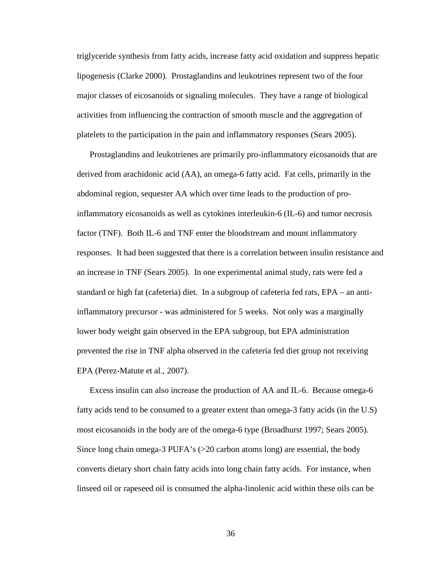triglyceride synthesis from fatty acids, increase fatty acid oxidation and suppress hepatic lipogenesis (Clarke 2000). Prostaglandins and leukotrines represent two of the four major classes of eicosanoids or signaling molecules. They have a range of biological activities from influencing the contraction of smooth muscle and the aggregation of platelets to the participation in the pain and inflammatory responses (Sears 2005).

Prostaglandins and leukotrienes are primarily pro-inflammatory eicosanoids that are derived from arachidonic acid (AA), an omega-6 fatty acid. Fat cells, primarily in the abdominal region, sequester AA which over time leads to the production of proinflammatory eicosanoids as well as cytokines interleukin-6 (IL-6) and tumor necrosis factor (TNF). Both IL-6 and TNF enter the bloodstream and mount inflammatory responses. It had been suggested that there is a correlation between insulin resistance and an increase in TNF (Sears 2005). In one experimental animal study, rats were fed a standard or high fat (cafeteria) diet. In a subgroup of cafeteria fed rats, EPA – an antiinflammatory precursor - was administered for 5 weeks. Not only was a marginally lower body weight gain observed in the EPA subgroup, but EPA administration prevented the rise in TNF alpha observed in the cafeteria fed diet group not receiving EPA (Perez-Matute et al., 2007).

Excess insulin can also increase the production of AA and IL-6. Because omega-6 fatty acids tend to be consumed to a greater extent than omega-3 fatty acids (in the U.S) most eicosanoids in the body are of the omega-6 type (Broadhurst 1997; Sears 2005). Since long chain omega-3 PUFA's (>20 carbon atoms long) are essential, the body converts dietary short chain fatty acids into long chain fatty acids. For instance, when linseed oil or rapeseed oil is consumed the alpha-linolenic acid within these oils can be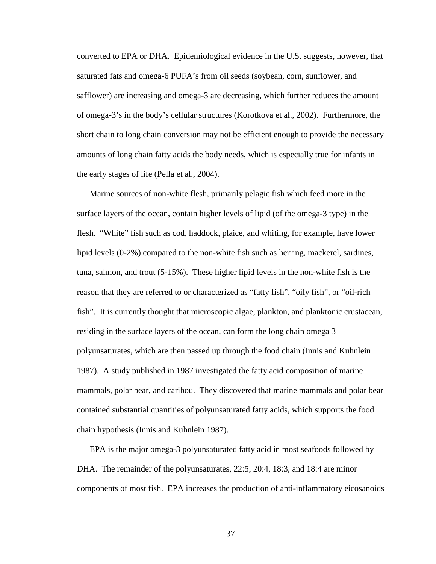converted to EPA or DHA. Epidemiological evidence in the U.S. suggests, however, that saturated fats and omega-6 PUFA's from oil seeds (soybean, corn, sunflower, and safflower) are increasing and omega-3 are decreasing, which further reduces the amount of omega-3's in the body's cellular structures (Korotkova et al., 2002). Furthermore, the short chain to long chain conversion may not be efficient enough to provide the necessary amounts of long chain fatty acids the body needs, which is especially true for infants in the early stages of life (Pella et al., 2004).

Marine sources of non-white flesh, primarily pelagic fish which feed more in the surface layers of the ocean, contain higher levels of lipid (of the omega-3 type) in the flesh. "White" fish such as cod, haddock, plaice, and whiting, for example, have lower lipid levels (0-2%) compared to the non-white fish such as herring, mackerel, sardines, tuna, salmon, and trout (5-15%). These higher lipid levels in the non-white fish is the reason that they are referred to or characterized as "fatty fish", "oily fish", or "oil-rich fish". It is currently thought that microscopic algae, plankton, and planktonic crustacean, residing in the surface layers of the ocean, can form the long chain omega 3 polyunsaturates, which are then passed up through the food chain (Innis and Kuhnlein 1987). A study published in 1987 investigated the fatty acid composition of marine mammals, polar bear, and caribou. They discovered that marine mammals and polar bear contained substantial quantities of polyunsaturated fatty acids, which supports the food chain hypothesis (Innis and Kuhnlein 1987).

EPA is the major omega-3 polyunsaturated fatty acid in most seafoods followed by DHA. The remainder of the polyunsaturates, 22:5, 20:4, 18:3, and 18:4 are minor components of most fish. EPA increases the production of anti-inflammatory eicosanoids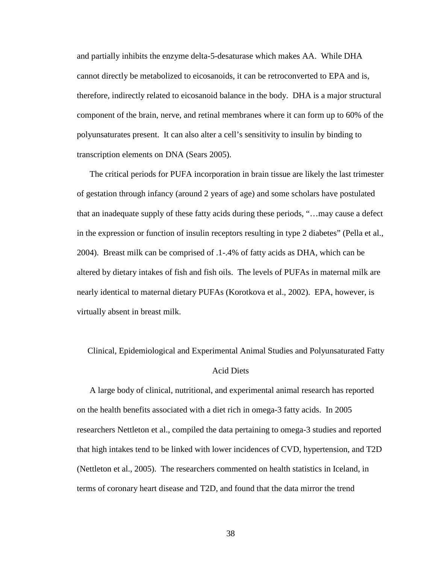and partially inhibits the enzyme delta-5-desaturase which makes AA. While DHA cannot directly be metabolized to eicosanoids, it can be retroconverted to EPA and is, therefore, indirectly related to eicosanoid balance in the body. DHA is a major structural component of the brain, nerve, and retinal membranes where it can form up to 60% of the polyunsaturates present. It can also alter a cell's sensitivity to insulin by binding to transcription elements on DNA (Sears 2005).

The critical periods for PUFA incorporation in brain tissue are likely the last trimester of gestation through infancy (around 2 years of age) and some scholars have postulated that an inadequate supply of these fatty acids during these periods, "…may cause a defect in the expression or function of insulin receptors resulting in type 2 diabetes" (Pella et al., 2004). Breast milk can be comprised of .1-.4% of fatty acids as DHA, which can be altered by dietary intakes of fish and fish oils. The levels of PUFAs in maternal milk are nearly identical to maternal dietary PUFAs (Korotkova et al., 2002). EPA, however, is virtually absent in breast milk.

 Clinical, Epidemiological and Experimental Animal Studies and Polyunsaturated Fatty Acid Diets

A large body of clinical, nutritional, and experimental animal research has reported on the health benefits associated with a diet rich in omega-3 fatty acids. In 2005 researchers Nettleton et al., compiled the data pertaining to omega-3 studies and reported that high intakes tend to be linked with lower incidences of CVD, hypertension, and T2D (Nettleton et al., 2005). The researchers commented on health statistics in Iceland, in terms of coronary heart disease and T2D, and found that the data mirror the trend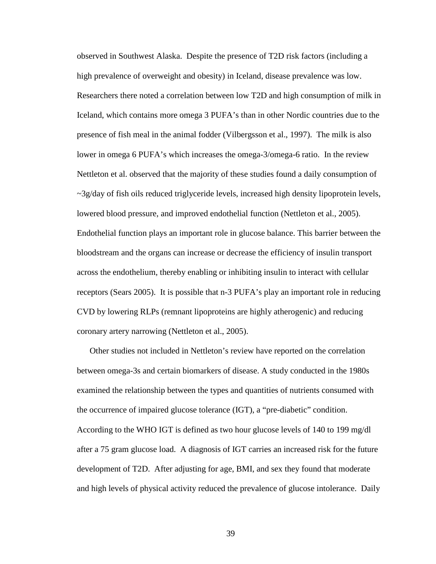observed in Southwest Alaska. Despite the presence of T2D risk factors (including a high prevalence of overweight and obesity) in Iceland, disease prevalence was low. Researchers there noted a correlation between low T2D and high consumption of milk in Iceland, which contains more omega 3 PUFA's than in other Nordic countries due to the presence of fish meal in the animal fodder (Vilbergsson et al., 1997). The milk is also lower in omega 6 PUFA's which increases the omega-3/omega-6 ratio. In the review Nettleton et al. observed that the majority of these studies found a daily consumption of  $\sim$ 3g/day of fish oils reduced triglyceride levels, increased high density lipoprotein levels, lowered blood pressure, and improved endothelial function (Nettleton et al., 2005). Endothelial function plays an important role in glucose balance. This barrier between the bloodstream and the organs can increase or decrease the efficiency of insulin transport across the endothelium, thereby enabling or inhibiting insulin to interact with cellular receptors (Sears 2005). It is possible that n-3 PUFA's play an important role in reducing CVD by lowering RLPs (remnant lipoproteins are highly atherogenic) and reducing coronary artery narrowing (Nettleton et al., 2005).

Other studies not included in Nettleton's review have reported on the correlation between omega-3s and certain biomarkers of disease. A study conducted in the 1980s examined the relationship between the types and quantities of nutrients consumed with the occurrence of impaired glucose tolerance (IGT), a "pre-diabetic" condition. According to the WHO IGT is defined as two hour glucose levels of 140 to 199 mg/dl after a 75 gram glucose load. A diagnosis of IGT carries an increased risk for the future development of T2D. After adjusting for age, BMI, and sex they found that moderate and high levels of physical activity reduced the prevalence of glucose intolerance. Daily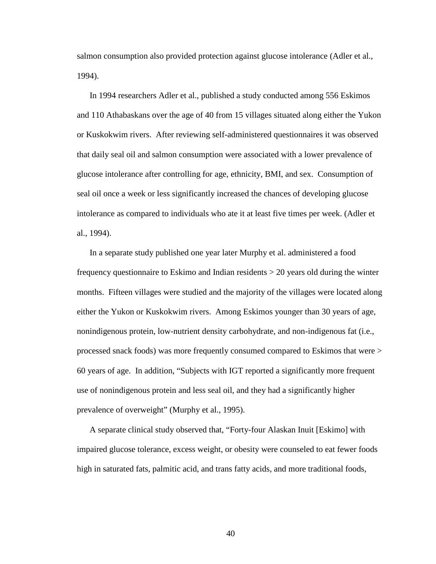salmon consumption also provided protection against glucose intolerance (Adler et al., 1994).

In 1994 researchers Adler et al., published a study conducted among 556 Eskimos and 110 Athabaskans over the age of 40 from 15 villages situated along either the Yukon or Kuskokwim rivers. After reviewing self-administered questionnaires it was observed that daily seal oil and salmon consumption were associated with a lower prevalence of glucose intolerance after controlling for age, ethnicity, BMI, and sex. Consumption of seal oil once a week or less significantly increased the chances of developing glucose intolerance as compared to individuals who ate it at least five times per week. (Adler et al., 1994).

In a separate study published one year later Murphy et al. administered a food frequency questionnaire to Eskimo and Indian residents > 20 years old during the winter months. Fifteen villages were studied and the majority of the villages were located along either the Yukon or Kuskokwim rivers. Among Eskimos younger than 30 years of age, nonindigenous protein, low-nutrient density carbohydrate, and non-indigenous fat (i.e., processed snack foods) was more frequently consumed compared to Eskimos that were > 60 years of age. In addition, "Subjects with IGT reported a significantly more frequent use of nonindigenous protein and less seal oil, and they had a significantly higher prevalence of overweight" (Murphy et al., 1995).

A separate clinical study observed that, "Forty-four Alaskan Inuit [Eskimo] with impaired glucose tolerance, excess weight, or obesity were counseled to eat fewer foods high in saturated fats, palmitic acid, and trans fatty acids, and more traditional foods,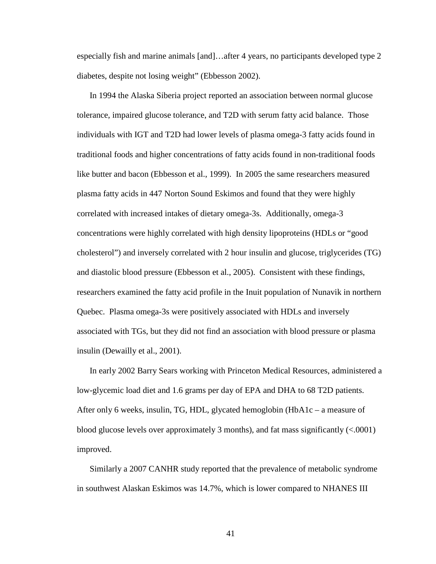especially fish and marine animals [and]…after 4 years, no participants developed type 2 diabetes, despite not losing weight" (Ebbesson 2002).

In 1994 the Alaska Siberia project reported an association between normal glucose tolerance, impaired glucose tolerance, and T2D with serum fatty acid balance. Those individuals with IGT and T2D had lower levels of plasma omega-3 fatty acids found in traditional foods and higher concentrations of fatty acids found in non-traditional foods like butter and bacon (Ebbesson et al., 1999). In 2005 the same researchers measured plasma fatty acids in 447 Norton Sound Eskimos and found that they were highly correlated with increased intakes of dietary omega-3s. Additionally, omega-3 concentrations were highly correlated with high density lipoproteins (HDLs or "good cholesterol") and inversely correlated with 2 hour insulin and glucose, triglycerides (TG) and diastolic blood pressure (Ebbesson et al., 2005). Consistent with these findings, researchers examined the fatty acid profile in the Inuit population of Nunavik in northern Quebec. Plasma omega-3s were positively associated with HDLs and inversely associated with TGs, but they did not find an association with blood pressure or plasma insulin (Dewailly et al., 2001).

In early 2002 Barry Sears working with Princeton Medical Resources, administered a low-glycemic load diet and 1.6 grams per day of EPA and DHA to 68 T2D patients. After only 6 weeks, insulin, TG, HDL, glycated hemoglobin (HbA1c – a measure of blood glucose levels over approximately 3 months), and fat mass significantly (<.0001) improved.

Similarly a 2007 CANHR study reported that the prevalence of metabolic syndrome in southwest Alaskan Eskimos was 14.7%, which is lower compared to NHANES III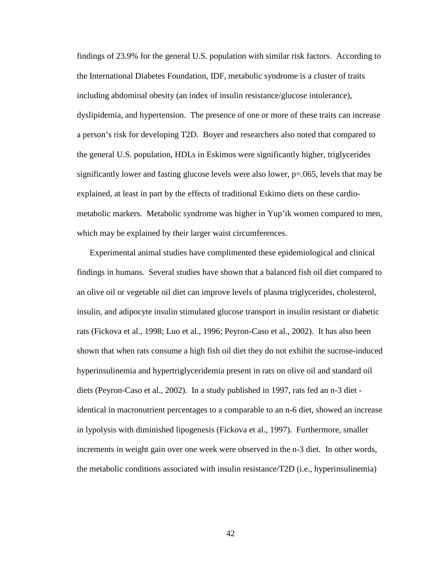findings of 23.9% for the general U.S. population with similar risk factors. According to the International Diabetes Foundation, IDF, metabolic syndrome is a cluster of traits including abdominal obesity (an index of insulin resistance/glucose intolerance), dyslipidemia, and hypertension. The presence of one or more of these traits can increase a person's risk for developing T2D. Boyer and researchers also noted that compared to the general U.S. population, HDLs in Eskimos were significantly higher, triglycerides significantly lower and fasting glucose levels were also lower, p=.065, levels that may be explained, at least in part by the effects of traditional Eskimo diets on these cardiometabolic markers. Metabolic syndrome was higher in Yup'ik women compared to men, which may be explained by their larger waist circumferences.

Experimental animal studies have complimented these epidemiological and clinical findings in humans. Several studies have shown that a balanced fish oil diet compared to an olive oil or vegetable oil diet can improve levels of plasma triglycerides, cholesterol, insulin, and adipocyte insulin stimulated glucose transport in insulin resistant or diabetic rats (Fickova et al., 1998; Luo et al., 1996; Peyron-Caso et al., 2002). It has also been shown that when rats consume a high fish oil diet they do not exhibit the sucrose-induced hyperinsulinemia and hypertriglyceridemia present in rats on olive oil and standard oil diets (Peyron-Caso et al., 2002). In a study published in 1997, rats fed an n-3 diet identical in macronutrient percentages to a comparable to an n-6 diet, showed an increase in lypolysis with diminished lipogenesis (Fickova et al., 1997). Furthermore, smaller increments in weight gain over one week were observed in the n-3 diet. In other words, the metabolic conditions associated with insulin resistance/T2D (i.e., hyperinsulinemia)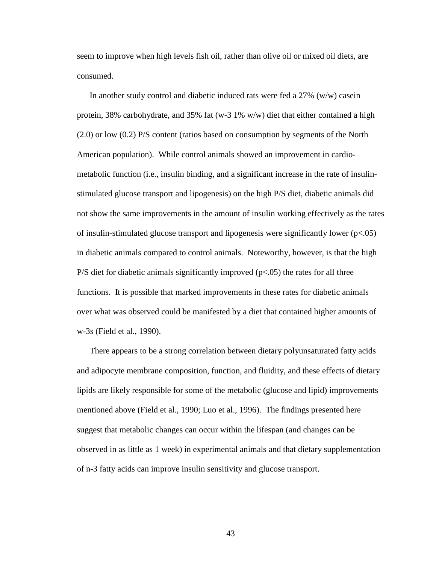seem to improve when high levels fish oil, rather than olive oil or mixed oil diets, are consumed.

In another study control and diabetic induced rats were fed a  $27\%$  (w/w) casein protein, 38% carbohydrate, and 35% fat (w-3 1% w/w) diet that either contained a high (2.0) or low (0.2) P/S content (ratios based on consumption by segments of the North American population). While control animals showed an improvement in cardiometabolic function (i.e., insulin binding, and a significant increase in the rate of insulinstimulated glucose transport and lipogenesis) on the high P/S diet, diabetic animals did not show the same improvements in the amount of insulin working effectively as the rates of insulin-stimulated glucose transport and lipogenesis were significantly lower  $(p<0.05)$ in diabetic animals compared to control animals. Noteworthy, however, is that the high  $P/S$  diet for diabetic animals significantly improved ( $p<0.05$ ) the rates for all three functions. It is possible that marked improvements in these rates for diabetic animals over what was observed could be manifested by a diet that contained higher amounts of w-3s (Field et al., 1990).

There appears to be a strong correlation between dietary polyunsaturated fatty acids and adipocyte membrane composition, function, and fluidity, and these effects of dietary lipids are likely responsible for some of the metabolic (glucose and lipid) improvements mentioned above (Field et al., 1990; Luo et al., 1996). The findings presented here suggest that metabolic changes can occur within the lifespan (and changes can be observed in as little as 1 week) in experimental animals and that dietary supplementation of n-3 fatty acids can improve insulin sensitivity and glucose transport.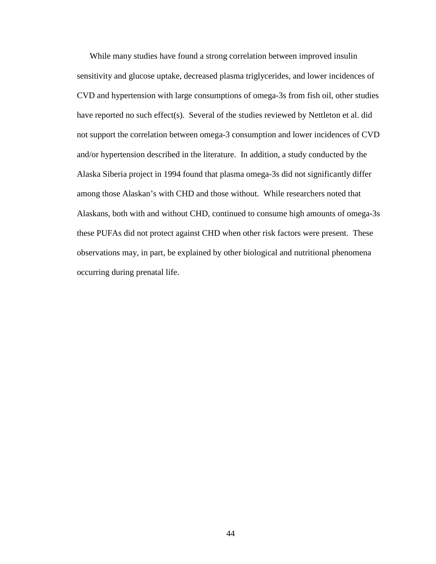While many studies have found a strong correlation between improved insulin sensitivity and glucose uptake, decreased plasma triglycerides, and lower incidences of CVD and hypertension with large consumptions of omega-3s from fish oil, other studies have reported no such effect(s). Several of the studies reviewed by Nettleton et al. did not support the correlation between omega-3 consumption and lower incidences of CVD and/or hypertension described in the literature. In addition, a study conducted by the Alaska Siberia project in 1994 found that plasma omega-3s did not significantly differ among those Alaskan's with CHD and those without. While researchers noted that Alaskans, both with and without CHD, continued to consume high amounts of omega-3s these PUFAs did not protect against CHD when other risk factors were present. These observations may, in part, be explained by other biological and nutritional phenomena occurring during prenatal life.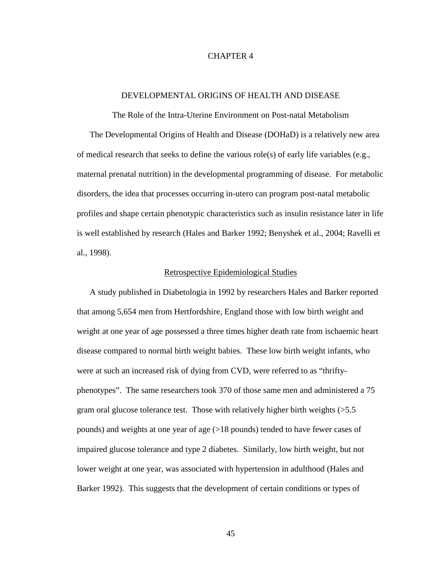# CHAPTER 4

### DEVELOPMENTAL ORIGINS OF HEALTH AND DISEASE

The Role of the Intra-Uterine Environment on Post-natal Metabolism The Developmental Origins of Health and Disease (DOHaD) is a relatively new area of medical research that seeks to define the various role(s) of early life variables (e.g., maternal prenatal nutrition) in the developmental programming of disease. For metabolic disorders, the idea that processes occurring in-utero can program post-natal metabolic profiles and shape certain phenotypic characteristics such as insulin resistance later in life is well established by research (Hales and Barker 1992; Benyshek et al., 2004; Ravelli et al., 1998).

### Retrospective Epidemiological Studies

A study published in Diabetologia in 1992 by researchers Hales and Barker reported that among 5,654 men from Hertfordshire, England those with low birth weight and weight at one year of age possessed a three times higher death rate from ischaemic heart disease compared to normal birth weight babies. These low birth weight infants, who were at such an increased risk of dying from CVD, were referred to as "thriftyphenotypes". The same researchers took 370 of those same men and administered a 75 gram oral glucose tolerance test. Those with relatively higher birth weights (>5.5 pounds) and weights at one year of age (>18 pounds) tended to have fewer cases of impaired glucose tolerance and type 2 diabetes. Similarly, low birth weight, but not lower weight at one year, was associated with hypertension in adulthood (Hales and Barker 1992). This suggests that the development of certain conditions or types of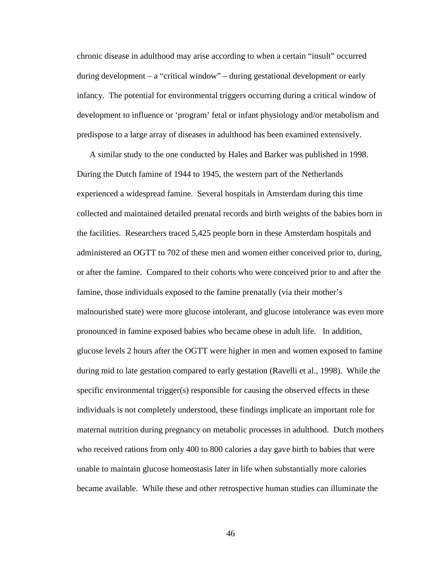chronic disease in adulthood may arise according to when a certain "insult" occurred during development – a "critical window" – during gestational development or early infancy. The potential for environmental triggers occurring during a critical window of development to influence or 'program' fetal or infant physiology and/or metabolism and predispose to a large array of diseases in adulthood has been examined extensively.

A similar study to the one conducted by Hales and Barker was published in 1998. During the Dutch famine of 1944 to 1945, the western part of the Netherlands experienced a widespread famine. Several hospitals in Amsterdam during this time collected and maintained detailed prenatal records and birth weights of the babies born in the facilities. Researchers traced 5,425 people born in these Amsterdam hospitals and administered an OGTT to 702 of these men and women either conceived prior to, during, or after the famine. Compared to their cohorts who were conceived prior to and after the famine, those individuals exposed to the famine prenatally (via their mother's malnourished state) were more glucose intolerant, and glucose intolerance was even more pronounced in famine exposed babies who became obese in adult life. In addition, glucose levels 2 hours after the OGTT were higher in men and women exposed to famine during mid to late gestation compared to early gestation (Ravelli et al., 1998). While the specific environmental trigger(s) responsible for causing the observed effects in these individuals is not completely understood, these findings implicate an important role for maternal nutrition during pregnancy on metabolic processes in adulthood. Dutch mothers who received rations from only 400 to 800 calories a day gave birth to babies that were unable to maintain glucose homeostasis later in life when substantially more calories became available. While these and other retrospective human studies can illuminate the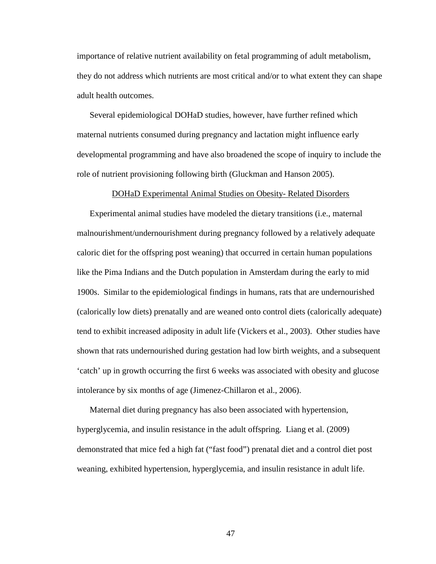importance of relative nutrient availability on fetal programming of adult metabolism, they do not address which nutrients are most critical and/or to what extent they can shape adult health outcomes.

Several epidemiological DOHaD studies, however, have further refined which maternal nutrients consumed during pregnancy and lactation might influence early developmental programming and have also broadened the scope of inquiry to include the role of nutrient provisioning following birth (Gluckman and Hanson 2005).

### DOHaD Experimental Animal Studies on Obesity- Related Disorders

Experimental animal studies have modeled the dietary transitions (i.e., maternal malnourishment/undernourishment during pregnancy followed by a relatively adequate caloric diet for the offspring post weaning) that occurred in certain human populations like the Pima Indians and the Dutch population in Amsterdam during the early to mid 1900s. Similar to the epidemiological findings in humans, rats that are undernourished (calorically low diets) prenatally and are weaned onto control diets (calorically adequate) tend to exhibit increased adiposity in adult life (Vickers et al., 2003). Other studies have shown that rats undernourished during gestation had low birth weights, and a subsequent 'catch' up in growth occurring the first 6 weeks was associated with obesity and glucose intolerance by six months of age (Jimenez-Chillaron et al., 2006).

Maternal diet during pregnancy has also been associated with hypertension, hyperglycemia, and insulin resistance in the adult offspring. Liang et al. (2009) demonstrated that mice fed a high fat ("fast food") prenatal diet and a control diet post weaning, exhibited hypertension, hyperglycemia, and insulin resistance in adult life.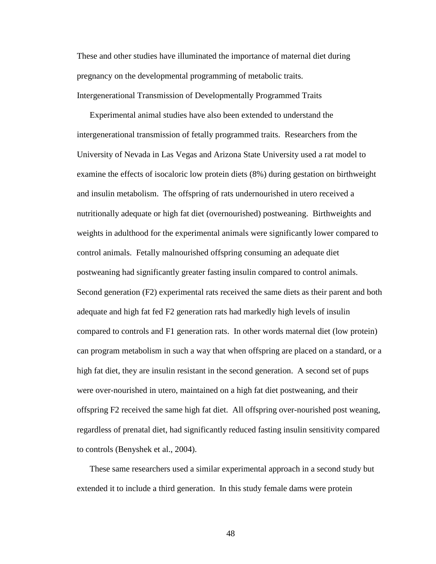These and other studies have illuminated the importance of maternal diet during pregnancy on the developmental programming of metabolic traits. Intergenerational Transmission of Developmentally Programmed Traits

Experimental animal studies have also been extended to understand the intergenerational transmission of fetally programmed traits. Researchers from the University of Nevada in Las Vegas and Arizona State University used a rat model to examine the effects of isocaloric low protein diets (8%) during gestation on birthweight and insulin metabolism. The offspring of rats undernourished in utero received a nutritionally adequate or high fat diet (overnourished) postweaning. Birthweights and weights in adulthood for the experimental animals were significantly lower compared to control animals. Fetally malnourished offspring consuming an adequate diet postweaning had significantly greater fasting insulin compared to control animals. Second generation (F2) experimental rats received the same diets as their parent and both adequate and high fat fed F2 generation rats had markedly high levels of insulin compared to controls and F1 generation rats. In other words maternal diet (low protein) can program metabolism in such a way that when offspring are placed on a standard, or a high fat diet, they are insulin resistant in the second generation. A second set of pups were over-nourished in utero, maintained on a high fat diet postweaning, and their offspring F2 received the same high fat diet. All offspring over-nourished post weaning, regardless of prenatal diet, had significantly reduced fasting insulin sensitivity compared to controls (Benyshek et al., 2004).

These same researchers used a similar experimental approach in a second study but extended it to include a third generation. In this study female dams were protein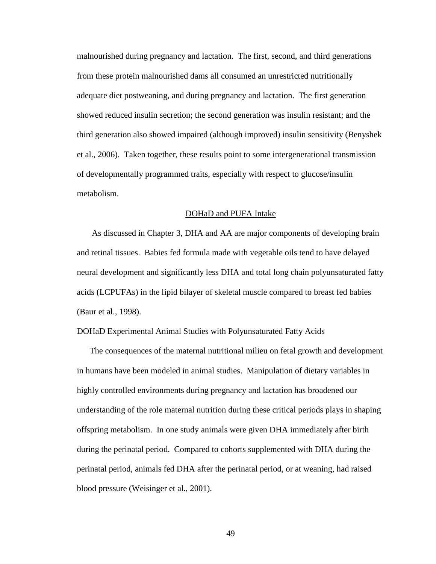malnourished during pregnancy and lactation. The first, second, and third generations from these protein malnourished dams all consumed an unrestricted nutritionally adequate diet postweaning, and during pregnancy and lactation. The first generation showed reduced insulin secretion; the second generation was insulin resistant; and the third generation also showed impaired (although improved) insulin sensitivity (Benyshek et al., 2006). Taken together, these results point to some intergenerational transmission of developmentally programmed traits, especially with respect to glucose/insulin metabolism.

### DOHaD and PUFA Intake

 As discussed in Chapter 3, DHA and AA are major components of developing brain and retinal tissues. Babies fed formula made with vegetable oils tend to have delayed neural development and significantly less DHA and total long chain polyunsaturated fatty acids (LCPUFAs) in the lipid bilayer of skeletal muscle compared to breast fed babies (Baur et al., 1998).

DOHaD Experimental Animal Studies with Polyunsaturated Fatty Acids

The consequences of the maternal nutritional milieu on fetal growth and development in humans have been modeled in animal studies. Manipulation of dietary variables in highly controlled environments during pregnancy and lactation has broadened our understanding of the role maternal nutrition during these critical periods plays in shaping offspring metabolism. In one study animals were given DHA immediately after birth during the perinatal period. Compared to cohorts supplemented with DHA during the perinatal period, animals fed DHA after the perinatal period, or at weaning, had raised blood pressure (Weisinger et al., 2001).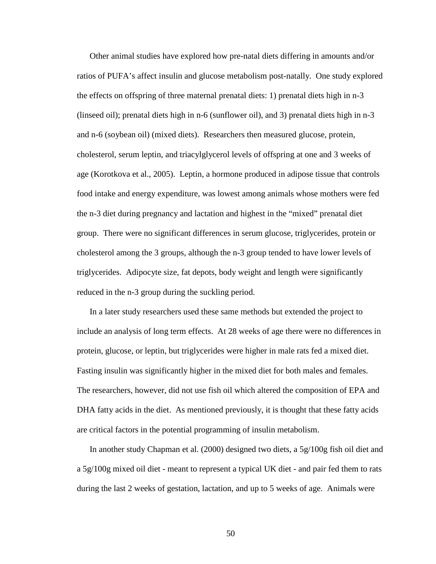Other animal studies have explored how pre-natal diets differing in amounts and/or ratios of PUFA's affect insulin and glucose metabolism post-natally. One study explored the effects on offspring of three maternal prenatal diets: 1) prenatal diets high in n-3 (linseed oil); prenatal diets high in n-6 (sunflower oil), and 3) prenatal diets high in n-3 and n-6 (soybean oil) (mixed diets). Researchers then measured glucose, protein, cholesterol, serum leptin, and triacylglycerol levels of offspring at one and 3 weeks of age (Korotkova et al., 2005). Leptin, a hormone produced in adipose tissue that controls food intake and energy expenditure, was lowest among animals whose mothers were fed the n-3 diet during pregnancy and lactation and highest in the "mixed" prenatal diet group. There were no significant differences in serum glucose, triglycerides, protein or cholesterol among the 3 groups, although the n-3 group tended to have lower levels of triglycerides. Adipocyte size, fat depots, body weight and length were significantly reduced in the n-3 group during the suckling period.

In a later study researchers used these same methods but extended the project to include an analysis of long term effects. At 28 weeks of age there were no differences in protein, glucose, or leptin, but triglycerides were higher in male rats fed a mixed diet. Fasting insulin was significantly higher in the mixed diet for both males and females. The researchers, however, did not use fish oil which altered the composition of EPA and DHA fatty acids in the diet. As mentioned previously, it is thought that these fatty acids are critical factors in the potential programming of insulin metabolism.

In another study Chapman et al. (2000) designed two diets, a 5g/100g fish oil diet and a 5g/100g mixed oil diet - meant to represent a typical UK diet - and pair fed them to rats during the last 2 weeks of gestation, lactation, and up to 5 weeks of age. Animals were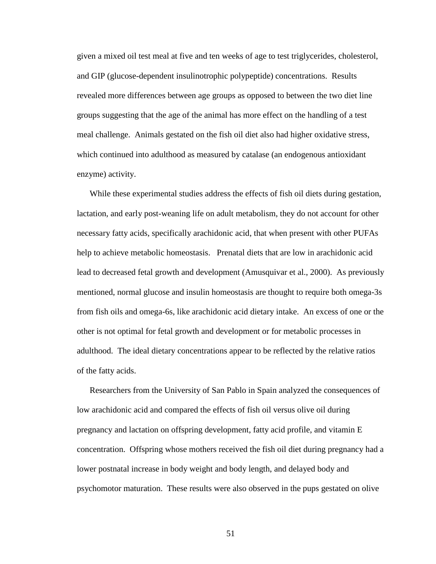given a mixed oil test meal at five and ten weeks of age to test triglycerides, cholesterol, and GIP (glucose-dependent insulinotrophic polypeptide) concentrations. Results revealed more differences between age groups as opposed to between the two diet line groups suggesting that the age of the animal has more effect on the handling of a test meal challenge. Animals gestated on the fish oil diet also had higher oxidative stress, which continued into adulthood as measured by catalase (an endogenous antioxidant enzyme) activity.

While these experimental studies address the effects of fish oil diets during gestation, lactation, and early post-weaning life on adult metabolism, they do not account for other necessary fatty acids, specifically arachidonic acid, that when present with other PUFAs help to achieve metabolic homeostasis. Prenatal diets that are low in arachidonic acid lead to decreased fetal growth and development (Amusquivar et al., 2000). As previously mentioned, normal glucose and insulin homeostasis are thought to require both omega-3s from fish oils and omega-6s, like arachidonic acid dietary intake. An excess of one or the other is not optimal for fetal growth and development or for metabolic processes in adulthood. The ideal dietary concentrations appear to be reflected by the relative ratios of the fatty acids.

Researchers from the University of San Pablo in Spain analyzed the consequences of low arachidonic acid and compared the effects of fish oil versus olive oil during pregnancy and lactation on offspring development, fatty acid profile, and vitamin E concentration. Offspring whose mothers received the fish oil diet during pregnancy had a lower postnatal increase in body weight and body length, and delayed body and psychomotor maturation. These results were also observed in the pups gestated on olive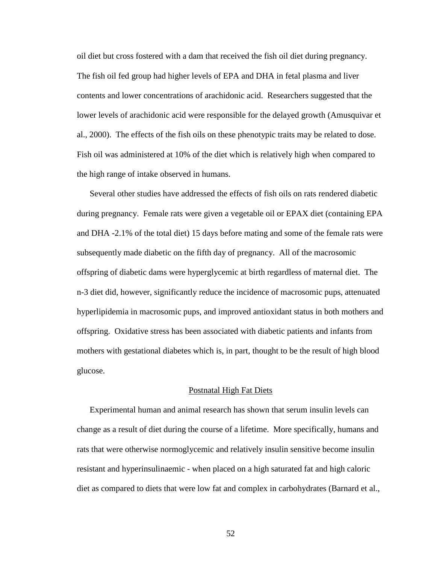oil diet but cross fostered with a dam that received the fish oil diet during pregnancy. The fish oil fed group had higher levels of EPA and DHA in fetal plasma and liver contents and lower concentrations of arachidonic acid. Researchers suggested that the lower levels of arachidonic acid were responsible for the delayed growth (Amusquivar et al., 2000). The effects of the fish oils on these phenotypic traits may be related to dose. Fish oil was administered at 10% of the diet which is relatively high when compared to the high range of intake observed in humans.

Several other studies have addressed the effects of fish oils on rats rendered diabetic during pregnancy. Female rats were given a vegetable oil or EPAX diet (containing EPA and DHA -2.1% of the total diet) 15 days before mating and some of the female rats were subsequently made diabetic on the fifth day of pregnancy. All of the macrosomic offspring of diabetic dams were hyperglycemic at birth regardless of maternal diet. The n-3 diet did, however, significantly reduce the incidence of macrosomic pups, attenuated hyperlipidemia in macrosomic pups, and improved antioxidant status in both mothers and offspring. Oxidative stress has been associated with diabetic patients and infants from mothers with gestational diabetes which is, in part, thought to be the result of high blood glucose.

### Postnatal High Fat Diets

Experimental human and animal research has shown that serum insulin levels can change as a result of diet during the course of a lifetime. More specifically, humans and rats that were otherwise normoglycemic and relatively insulin sensitive become insulin resistant and hyperinsulinaemic - when placed on a high saturated fat and high caloric diet as compared to diets that were low fat and complex in carbohydrates (Barnard et al.,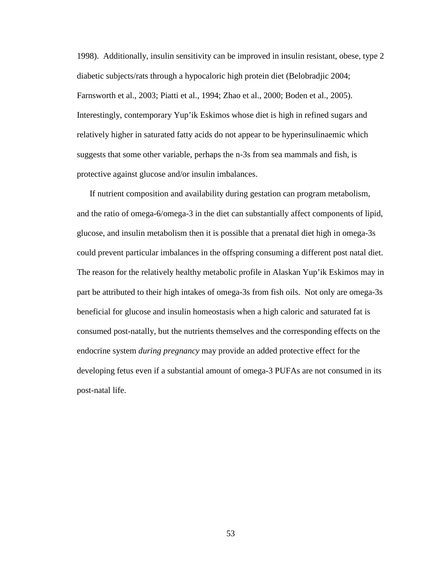1998). Additionally, insulin sensitivity can be improved in insulin resistant, obese, type 2 diabetic subjects/rats through a hypocaloric high protein diet (Belobradjic 2004; Farnsworth et al., 2003; Piatti et al., 1994; Zhao et al., 2000; Boden et al., 2005). Interestingly, contemporary Yup'ik Eskimos whose diet is high in refined sugars and relatively higher in saturated fatty acids do not appear to be hyperinsulinaemic which suggests that some other variable, perhaps the n-3s from sea mammals and fish, is protective against glucose and/or insulin imbalances.

If nutrient composition and availability during gestation can program metabolism, and the ratio of omega-6/omega-3 in the diet can substantially affect components of lipid, glucose, and insulin metabolism then it is possible that a prenatal diet high in omega-3s could prevent particular imbalances in the offspring consuming a different post natal diet. The reason for the relatively healthy metabolic profile in Alaskan Yup'ik Eskimos may in part be attributed to their high intakes of omega-3s from fish oils. Not only are omega-3s beneficial for glucose and insulin homeostasis when a high caloric and saturated fat is consumed post-natally, but the nutrients themselves and the corresponding effects on the endocrine system *during pregnancy* may provide an added protective effect for the developing fetus even if a substantial amount of omega-3 PUFAs are not consumed in its post-natal life.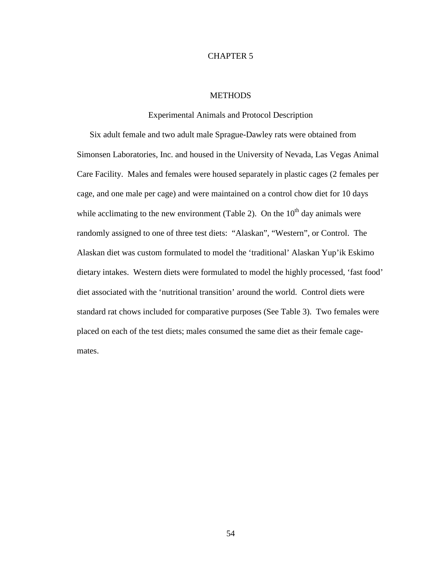# CHAPTER 5

# **METHODS**

Experimental Animals and Protocol Description

Six adult female and two adult male Sprague-Dawley rats were obtained from Simonsen Laboratories, Inc. and housed in the University of Nevada, Las Vegas Animal Care Facility. Males and females were housed separately in plastic cages (2 females per cage, and one male per cage) and were maintained on a control chow diet for 10 days while acclimating to the new environment (Table 2). On the  $10<sup>th</sup>$  day animals were randomly assigned to one of three test diets: "Alaskan", "Western", or Control. The Alaskan diet was custom formulated to model the 'traditional' Alaskan Yup'ik Eskimo dietary intakes. Western diets were formulated to model the highly processed, 'fast food' diet associated with the 'nutritional transition' around the world. Control diets were standard rat chows included for comparative purposes (See Table 3). Two females were placed on each of the test diets; males consumed the same diet as their female cagemates.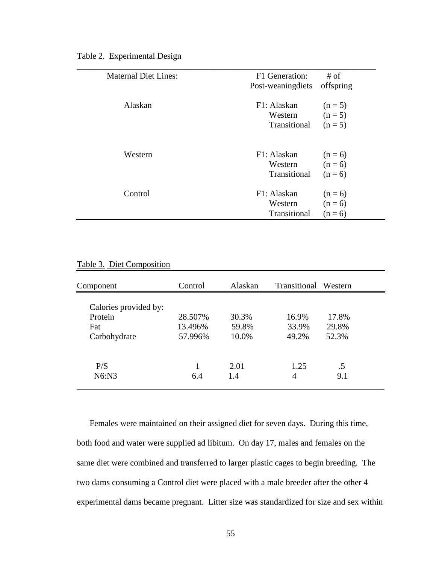|  | Table 2. Experimental Design |  |  |
|--|------------------------------|--|--|
|  |                              |  |  |

| <b>Maternal Diet Lines:</b> | F1 Generation:     | # of      |
|-----------------------------|--------------------|-----------|
|                             | Post-weaning diets | offspring |
| Alaskan                     | F1: Alaskan        | $(n = 5)$ |
|                             | Western            | $(n = 5)$ |
|                             | Transitional       | $(n = 5)$ |
| Western                     | F1: Alaskan        | $(n = 6)$ |
|                             | Western            | $(n = 6)$ |
|                             | Transitional       | $(n = 6)$ |
| Control                     | F1: Alaskan        | $(n = 6)$ |
|                             | Western            | $(n = 6)$ |
|                             | Transitional       | $(n = 6)$ |

| Table 3. Diet Composition |  |  |
|---------------------------|--|--|
|                           |  |  |

| Component                                               | Control                       | Alaskan                 | Transitional Western    |                         |  |
|---------------------------------------------------------|-------------------------------|-------------------------|-------------------------|-------------------------|--|
| Calories provided by:<br>Protein<br>Fat<br>Carbohydrate | 28.507%<br>13.496%<br>57.996% | 30.3%<br>59.8%<br>10.0% | 16.9%<br>33.9%<br>49.2% | 17.8%<br>29.8%<br>52.3% |  |
| P/S<br>N6: N3                                           | 6.4                           | 2.01<br>1.4             | 1.25<br>4               | .5<br>9.1               |  |

Females were maintained on their assigned diet for seven days. During this time, both food and water were supplied ad libitum. On day 17, males and females on the same diet were combined and transferred to larger plastic cages to begin breeding. The two dams consuming a Control diet were placed with a male breeder after the other 4 experimental dams became pregnant. Litter size was standardized for size and sex within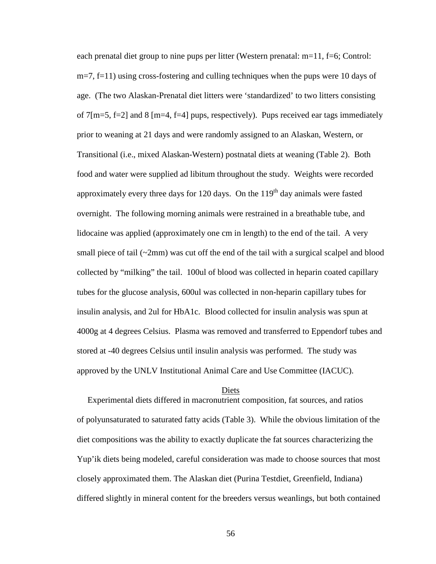each prenatal diet group to nine pups per litter (Western prenatal: m=11, f=6; Control: m=7, f=11) using cross-fostering and culling techniques when the pups were 10 days of age. (The two Alaskan-Prenatal diet litters were 'standardized' to two litters consisting of 7[m=5, f=2] and 8 [m=4, f=4] pups, respectively). Pups received ear tags immediately prior to weaning at 21 days and were randomly assigned to an Alaskan, Western, or Transitional (i.e., mixed Alaskan-Western) postnatal diets at weaning (Table 2). Both food and water were supplied ad libitum throughout the study. Weights were recorded approximately every three days for 120 days. On the  $119<sup>th</sup>$  day animals were fasted overnight. The following morning animals were restrained in a breathable tube, and lidocaine was applied (approximately one cm in length) to the end of the tail. A very small piece of tail  $(\sim 2 \text{mm})$  was cut off the end of the tail with a surgical scalpel and blood collected by "milking" the tail. 100ul of blood was collected in heparin coated capillary tubes for the glucose analysis, 600ul was collected in non-heparin capillary tubes for insulin analysis, and 2ul for HbA1c. Blood collected for insulin analysis was spun at 4000g at 4 degrees Celsius. Plasma was removed and transferred to Eppendorf tubes and stored at -40 degrees Celsius until insulin analysis was performed. The study was approved by the UNLV Institutional Animal Care and Use Committee (IACUC).

#### Diets

 Experimental diets differed in macronutrient composition, fat sources, and ratios of polyunsaturated to saturated fatty acids (Table 3). While the obvious limitation of the diet compositions was the ability to exactly duplicate the fat sources characterizing the Yup'ik diets being modeled, careful consideration was made to choose sources that most closely approximated them. The Alaskan diet (Purina Testdiet, Greenfield, Indiana) differed slightly in mineral content for the breeders versus weanlings, but both contained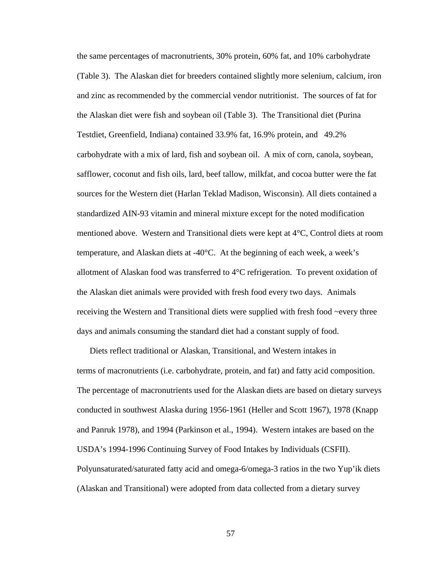the same percentages of macronutrients, 30% protein, 60% fat, and 10% carbohydrate (Table 3). The Alaskan diet for breeders contained slightly more selenium, calcium, iron and zinc as recommended by the commercial vendor nutritionist. The sources of fat for the Alaskan diet were fish and soybean oil (Table 3). The Transitional diet (Purina Testdiet, Greenfield, Indiana) contained 33.9% fat, 16.9% protein, and 49.2% carbohydrate with a mix of lard, fish and soybean oil. A mix of corn, canola, soybean, safflower, coconut and fish oils, lard, beef tallow, milkfat, and cocoa butter were the fat sources for the Western diet (Harlan Teklad Madison, Wisconsin). All diets contained a standardized AIN-93 vitamin and mineral mixture except for the noted modification mentioned above. Western and Transitional diets were kept at 4°C, Control diets at room temperature, and Alaskan diets at -40°C. At the beginning of each week, a week's allotment of Alaskan food was transferred to  $4^{\circ}$ C refrigeration. To prevent oxidation of the Alaskan diet animals were provided with fresh food every two days. Animals receiving the Western and Transitional diets were supplied with fresh food ~every three days and animals consuming the standard diet had a constant supply of food.

Diets reflect traditional or Alaskan, Transitional, and Western intakes in terms of macronutrients (i.e. carbohydrate, protein, and fat) and fatty acid composition. The percentage of macronutrients used for the Alaskan diets are based on dietary surveys conducted in southwest Alaska during 1956-1961 (Heller and Scott 1967), 1978 (Knapp and Panruk 1978), and 1994 (Parkinson et al., 1994). Western intakes are based on the USDA's 1994-1996 Continuing Survey of Food Intakes by Individuals (CSFII). Polyunsaturated/saturated fatty acid and omega-6/omega-3 ratios in the two Yup'ik diets (Alaskan and Transitional) were adopted from data collected from a dietary survey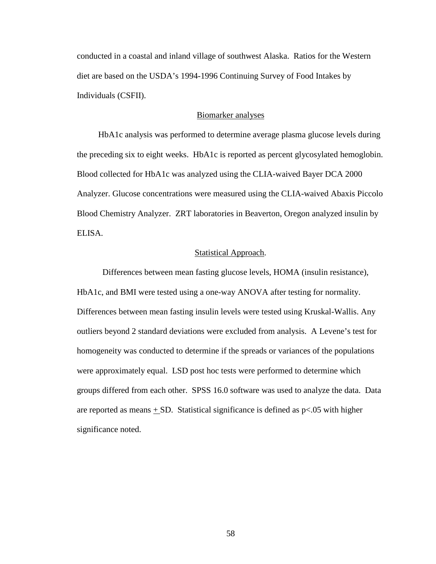conducted in a coastal and inland village of southwest Alaska. Ratios for the Western diet are based on the USDA's 1994-1996 Continuing Survey of Food Intakes by Individuals (CSFII).

# Biomarker analyses

 HbA1c analysis was performed to determine average plasma glucose levels during the preceding six to eight weeks. HbA1c is reported as percent glycosylated hemoglobin. Blood collected for HbA1c was analyzed using the CLIA-waived Bayer DCA 2000 Analyzer. Glucose concentrations were measured using the CLIA-waived Abaxis Piccolo Blood Chemistry Analyzer. ZRT laboratories in Beaverton, Oregon analyzed insulin by ELISA.

# Statistical Approach.

 Differences between mean fasting glucose levels, HOMA (insulin resistance), HbA1c, and BMI were tested using a one-way ANOVA after testing for normality. Differences between mean fasting insulin levels were tested using Kruskal-Wallis. Any outliers beyond 2 standard deviations were excluded from analysis. A Levene's test for homogeneity was conducted to determine if the spreads or variances of the populations were approximately equal. LSD post hoc tests were performed to determine which groups differed from each other. SPSS 16.0 software was used to analyze the data. Data are reported as means  $\pm$  SD. Statistical significance is defined as p<.05 with higher significance noted.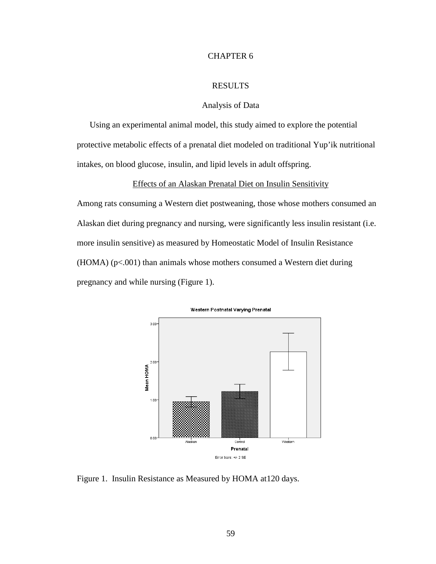# CHAPTER 6

### RESULTS

# Analysis of Data

Using an experimental animal model, this study aimed to explore the potential protective metabolic effects of a prenatal diet modeled on traditional Yup'ik nutritional intakes, on blood glucose, insulin, and lipid levels in adult offspring.

## Effects of an Alaskan Prenatal Diet on Insulin Sensitivity

Among rats consuming a Western diet postweaning, those whose mothers consumed an Alaskan diet during pregnancy and nursing, were significantly less insulin resistant (i.e. more insulin sensitive) as measured by Homeostatic Model of Insulin Resistance  $(HOMA)$  ( $p<.001$ ) than animals whose mothers consumed a Western diet during pregnancy and while nursing (Figure 1).



Figure 1. Insulin Resistance as Measured by HOMA at120 days.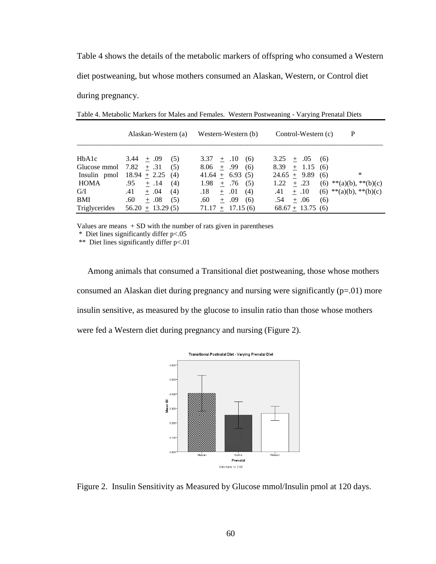Table 4 shows the details of the metabolic markers of offspring who consumed a Western diet postweaning, but whose mothers consumed an Alaskan, Western, or Control diet during pregnancy.

|                                                                              | Alaskan-Western (a)                                                                                                                                                      | Western-Western (b)                                                                                                                                                                  | Control-Western (c)                                                                                                                                                     | P                                                          |
|------------------------------------------------------------------------------|--------------------------------------------------------------------------------------------------------------------------------------------------------------------------|--------------------------------------------------------------------------------------------------------------------------------------------------------------------------------------|-------------------------------------------------------------------------------------------------------------------------------------------------------------------------|------------------------------------------------------------|
| HbA1c<br>Glucose mmol<br>Insulin pmol<br>HOMA<br>G/I<br>BMI<br>Triglycerides | $3.44 + .09$<br>(5)<br>7.82 $\pm$ .31<br>(5)<br>$18.94 + 2.25$<br>(4)<br>.95<br>$+ .14$<br>(4)<br>.41<br>$+.04$<br>(4)<br>.60<br>$+ .08$<br>(5)<br>$+ 13.29(5)$<br>56.20 | $3.37 + .10$<br>(6)<br>.99<br>8.06<br>(6)<br>$+$<br>$41.64 + 6.93(5)$<br>1.98<br>.76<br>(5)<br>$+$<br>.01<br>.18<br>(4)<br>$+$<br>.60<br>.09<br>(6)<br>$+$<br>$+$ 17.15 (6)<br>71.17 | 3.25<br>$+ .05$<br>(6)<br>8.39<br>$+$ 1.15<br>(6)<br>$24.65 + 9.89$<br>(6)<br>$+ .23$<br>1.22<br>(6)<br>$\pm .10$<br>.41<br>$+ .06$<br>.54<br>(6)<br>$68.67 + 13.75(6)$ | *<br>**(a)(b), **(b)(c)<br>$(6)$ ** $(a)(b)$ , ** $(b)(c)$ |

Table 4. Metabolic Markers for Males and Females. Western Postweaning - Varying Prenatal Diets

Values are means  $+$  SD with the number of rats given in parentheses

\* Diet lines significantly differ p<.05

\*\* Diet lines significantly differ p<.01

 Among animals that consumed a Transitional diet postweaning, those whose mothers consumed an Alaskan diet during pregnancy and nursing were significantly  $(p=01)$  more insulin sensitive, as measured by the glucose to insulin ratio than those whose mothers were fed a Western diet during pregnancy and nursing (Figure 2).



Figure 2. Insulin Sensitivity as Measured by Glucose mmol/Insulin pmol at 120 days.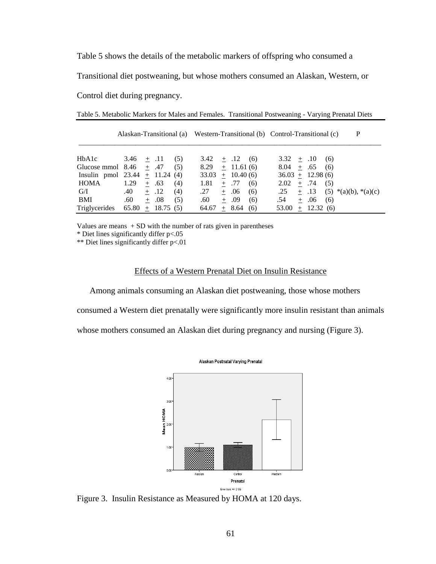Table 5 shows the details of the metabolic markers of offspring who consumed a

Transitional diet postweaning, but whose mothers consumed an Alaskan, Western, or

Control diet during pregnancy.

|                                  |              |     |          |     |       |     |                 |     | P<br>Alaskan-Transitional (a) Western-Transitional (b) Control-Transitional (c) |
|----------------------------------|--------------|-----|----------|-----|-------|-----|-----------------|-----|---------------------------------------------------------------------------------|
| HbA1c                            | $3.46 + .11$ |     |          | (5) | 3.42  |     | $+$ .12         | (6) | $3.32 + .10$<br>(6)                                                             |
| Glucose mmol 8.46                |              |     | $+$ .47  | (5) | 8.29  |     | $\pm$ 11.61 (6) |     | $8.04 +$<br>.65<br>(6)                                                          |
| Insulin pmol $23.44 + 11.24$ (4) |              |     |          |     | 33.03 |     | $+$ 10.40 (6)   |     | $36.03 + 12.98(6)$                                                              |
| HOMA                             | 1.29         | $+$ | .63      | (4) | 1.81  | $+$ | .77             | (6) | + .74<br>2.02<br>(5)                                                            |
| G/I                              | .40          |     | $+ .12$  | (4) | .27   | $+$ | .06             | (6) | .25<br>$+ .13$<br>$(5)$ *(a)(b), *(a)(c)                                        |
| <b>BMI</b>                       | .60          |     | $+.08$   | (5) | .60   | $+$ | .09             | (6) | .06<br>.54<br>(6)<br>$+$                                                        |
| Triglycerides                    | 65.80        | $+$ | 18.75(5) |     | 64.67 | $+$ | 8.64            | (6) | $+$ 12.32 (6)<br>53.00                                                          |

Values are means  $+$  SD with the number of rats given in parentheses

\* Diet lines significantly differ p<.05

\*\* Diet lines significantly differ p<.01

### Effects of a Western Prenatal Diet on Insulin Resistance

Among animals consuming an Alaskan diet postweaning, those whose mothers

consumed a Western diet prenatally were significantly more insulin resistant than animals

whose mothers consumed an Alaskan diet during pregnancy and nursing (Figure 3).



Figure 3. Insulin Resistance as Measured by HOMA at 120 days.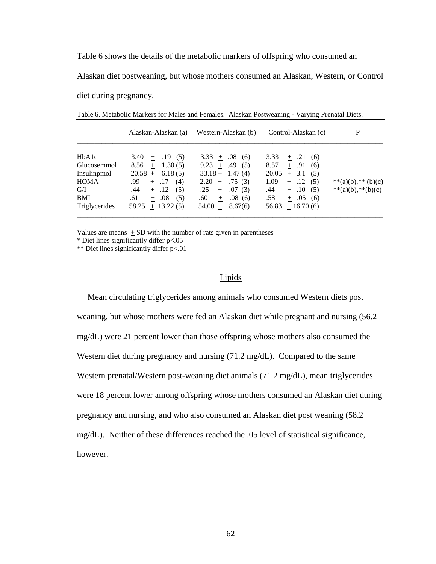Table 6 shows the details of the metabolic markers of offspring who consumed an

Alaskan diet postweaning, but whose mothers consumed an Alaskan, Western, or Control

diet during pregnancy.

|                                                                                          | Alaskan-Alaskan (a)                                                                                                                                          | Western-Alaskan (b)                                                                                                                                       | Control-Alaskan (c)                                                                                                                                                                 | P                                       |
|------------------------------------------------------------------------------------------|--------------------------------------------------------------------------------------------------------------------------------------------------------------|-----------------------------------------------------------------------------------------------------------------------------------------------------------|-------------------------------------------------------------------------------------------------------------------------------------------------------------------------------------|-----------------------------------------|
| HbA1c<br>Glucosemmol<br>Insulinpmol<br><b>HOMA</b><br>G/I<br><b>BMI</b><br>Triglycerides | $3.40 + .19(5)$<br>$8.56 + 1.30(5)$<br>$20.58 + 6.18(5)$<br>.99<br>$+$ .17<br>(4)<br>$+$ .12<br>.44<br>(5)<br>.08<br>.61<br>(5)<br>$+$<br>$58.25 + 13.22(5)$ | $3.33 + .08$ (6)<br>9.23 $\pm$ .49 (5)<br>$33.18 + 1.47(4)$<br>$2.20 +$<br>.75(3)<br>.25<br>.07(3)<br>$+$<br>.60<br>.08(6)<br>$+$<br>$54.00 +$<br>8.67(6) | $+$ .21<br>3.33<br>(6)<br>8.57<br>$+ .91$<br>(6)<br>20.05<br>$+ 3.1$<br>(5)<br>1.09<br>$+$ .12<br>(5)<br>.44<br>$+ 0.10$<br>(5)<br>.58<br>.05<br>(6)<br>$+$<br>56.83<br>$+16.70(6)$ | **(a)(b),** (b)(c)<br>**(a)(b),**(b)(c) |

Table 6. Metabolic Markers for Males and Females. Alaskan Postweaning - Varying Prenatal Diets.

Values are means  $\pm$  SD with the number of rats given in parentheses

\* Diet lines significantly differ p<.05

\*\* Diet lines significantly differ p<.01

### Lipids

 Mean circulating triglycerides among animals who consumed Western diets post weaning, but whose mothers were fed an Alaskan diet while pregnant and nursing (56.2 mg/dL) were 21 percent lower than those offspring whose mothers also consumed the Western diet during pregnancy and nursing (71.2 mg/dL). Compared to the same Western prenatal/Western post-weaning diet animals (71.2 mg/dL), mean triglycerides were 18 percent lower among offspring whose mothers consumed an Alaskan diet during pregnancy and nursing, and who also consumed an Alaskan diet post weaning (58.2 mg/dL). Neither of these differences reached the .05 level of statistical significance, however.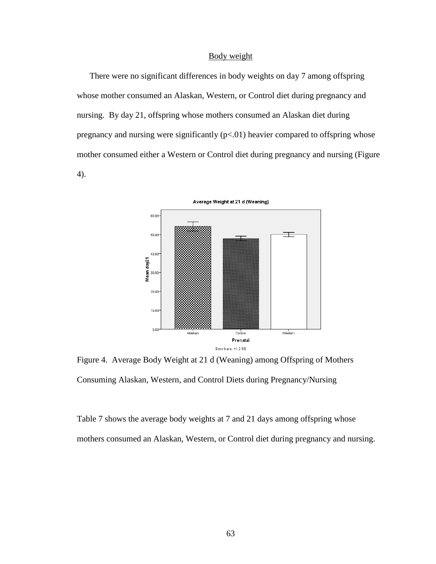# Body weight

 There were no significant differences in body weights on day 7 among offspring whose mother consumed an Alaskan, Western, or Control diet during pregnancy and nursing. By day 21, offspring whose mothers consumed an Alaskan diet during pregnancy and nursing were significantly  $(p<0.01)$  heavier compared to offspring whose mother consumed either a Western or Control diet during pregnancy and nursing (Figure 4).



Figure 4. Average Body Weight at 21 d (Weaning) among Offspring of Mothers Consuming Alaskan, Western, and Control Diets during Pregnancy/Nursing

Table 7 shows the average body weights at 7 and 21 days among offspring whose mothers consumed an Alaskan, Western, or Control diet during pregnancy and nursing.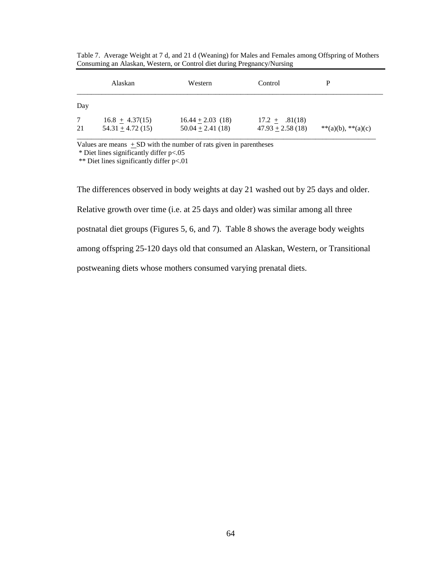|                       | Alaskan                                      | Western                                       | Control                                     | р                  |
|-----------------------|----------------------------------------------|-----------------------------------------------|---------------------------------------------|--------------------|
| Day                   |                                              |                                               |                                             |                    |
| $7\overline{ }$<br>21 | $16.8 \pm 4.37(15)$<br>$54.31 \pm 4.72$ (15) | $16.44 \pm 2.03$ (18)<br>$50.04 \pm 2.41(18)$ | $17.2 \pm .81(18)$<br>$47.93 \pm 2.58$ (18) | **(a)(b), **(a)(c) |

Table 7. Average Weight at 7 d, and 21 d (Weaning) for Males and Females among Offspring of Mothers Consuming an Alaskan, Western, or Control diet during Pregnancy/Nursing

Values are means  $\pm$  SD with the number of rats given in parentheses

\* Diet lines significantly differ p<.05

\*\* Diet lines significantly differ p<.01

The differences observed in body weights at day 21 washed out by 25 days and older. Relative growth over time (i.e. at 25 days and older) was similar among all three postnatal diet groups (Figures 5, 6, and 7). Table 8 shows the average body weights among offspring 25-120 days old that consumed an Alaskan, Western, or Transitional postweaning diets whose mothers consumed varying prenatal diets.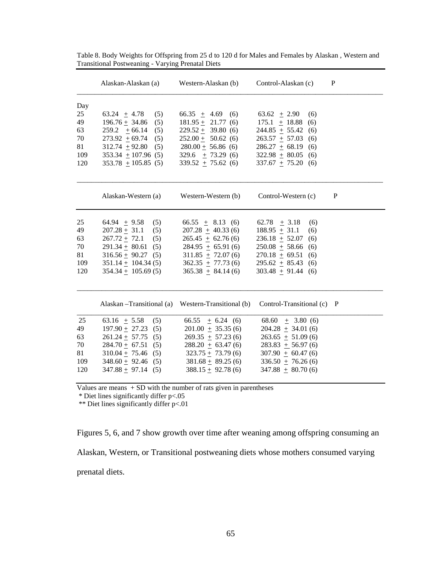|     | Alaskan-Alaskan (a)       | Western-Alaskan (b)                                 | Control-Alaskan (c)       | P |
|-----|---------------------------|-----------------------------------------------------|---------------------------|---|
| Day |                           |                                                     |                           |   |
| 25  | 63.24 $\pm$ 4.78<br>(5)   | $66.35 \pm 4.69$ (6)                                | 63.62 $\pm$ 2.90<br>(6)   |   |
| 49  | $196.76 + 34.86$<br>(5)   | $181.95 + 21.77(6)$                                 | $175.1 \pm 18.88$<br>(6)  |   |
| 63  | 259.2 $\pm$ 66.14<br>(5)  | $229.52 \pm 39.80$ (6)                              | 244.85 $\pm$ 55.42<br>(6) |   |
| 70  | $273.92 \pm 69.74$<br>(5) | $252.00 + 50.62(6)$                                 | $263.57 \pm 57.03$<br>(6) |   |
| 81  | $312.74 + 92.80$<br>(5)   | $280.00 \pm 56.86$ (6)                              | $286.27 + 68.19$<br>(6)   |   |
| 109 | $353.34 \pm 107.96$ (5)   | 329.6 $\pm$ 73.29 (6)                               | $322.98 \pm 80.05$<br>(6) |   |
| 120 | $353.78 + 105.85(5)$      | $339.52 \pm 75.62$ (6)                              | $337.67 \pm 75.20$<br>(6) |   |
|     | Alaskan-Western (a)       | Western-Western (b)                                 | Control-Western (c)       | P |
| 25  | $64.94 + 9.58$<br>(5)     | $66.55 \pm 8.13$ (6)                                | 62.78 $\pm$ 3.18<br>(6)   |   |
| 49  | $207.28 + 31.1$<br>(5)    | $207.28 \pm 40.33(6)$                               | $188.95 \pm 31.1$<br>(6)  |   |
| 63  | $267.72 + 72.1$<br>(5)    | $265.45 \pm 62.76(6)$                               | $236.18 \pm 52.07$<br>(6) |   |
| 70  | $291.34 \pm 80.61$ (5)    | $284.95 + 65.91(6)$                                 | $250.08 \pm 58.66$<br>(6) |   |
| 81  | $316.56 \pm 90.27$ (5)    | $311.85 + 72.07(6)$                                 | $270.18 \pm 69.51$<br>(6) |   |
| 109 | $351.14 \pm 104.34(5)$    | $362.35 + 77.73(6)$                                 | $295.62 \pm 85.43$<br>(6) |   |
| 120 | $354.34 + 105.69(5)$      | $365.38 + 84.14(6)$                                 | $303.48 + 91.44$<br>(6)   |   |
|     |                           | Alaskan – Transitional (a) Western-Transitional (b) | Control-Transitional (c)  | P |
| 25  | 63.16 $\pm$ 5.58<br>(5)   | $66.55 \pm 6.24$ (6)                                | $68.60 \pm 3.80(6)$       |   |
| 49  | $197.90 + 27.23$<br>(5)   | $201.00 + 35.35(6)$                                 | $204.28 + 34.01(6)$       |   |
| 63  | $261.24 + 57.75$ (5)      | $269.35 + 57.23(6)$                                 | $263.65 + 51.09(6)$       |   |
| 70  | $284.70 \pm 67.51$ (5)    | $288.20 \pm 63.47(6)$                               | $283.83 \pm 56.97(6)$     |   |
| 81  | $310.04 + 75.46$ (5)      | $323.75 + 73.79(6)$                                 | $307.90 + 60.47(6)$       |   |
| 109 | $348.60 \pm 92.46$ (5)    | $381.68 \pm 89.25(6)$                               | $336.50 + 76.26(6)$       |   |
| 120 | $347.88 \pm 97.14$ (5)    | $388.15 \pm 92.78(6)$                               | $347.88 + 80.70(6)$       |   |
|     |                           |                                                     |                           |   |

Table 8. Body Weights for Offspring from 25 d to 120 d for Males and Females by Alaskan , Western and Transitional Postweaning - Varying Prenatal Diets

Values are means  $+$  SD with the number of rats given in parentheses

\* Diet lines significantly differ p<.05

\*\* Diet lines significantly differ p<.01

Figures 5, 6, and 7 show growth over time after weaning among offspring consuming an Alaskan, Western, or Transitional postweaning diets whose mothers consumed varying prenatal diets.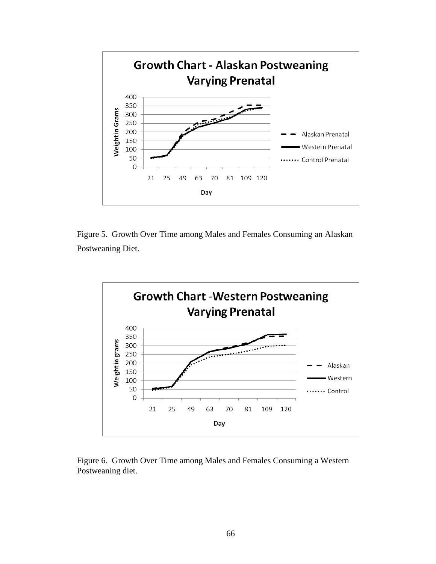

Figure 5. Growth Over Time among Males and Females Consuming an Alaskan Postweaning Diet.



Figure 6. Growth Over Time among Males and Females Consuming a Western Postweaning diet.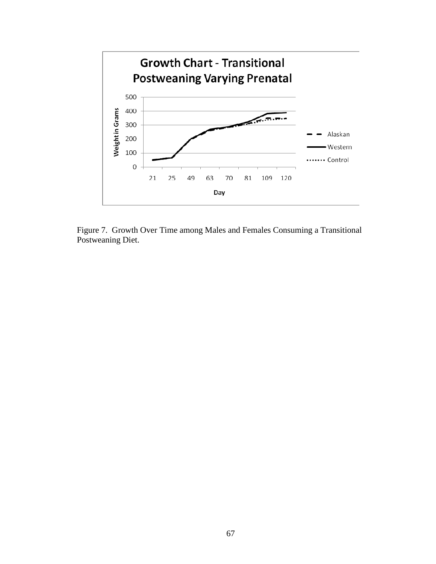

Figure 7. Growth Over Time among Males and Females Consuming a Transitional Postweaning Diet.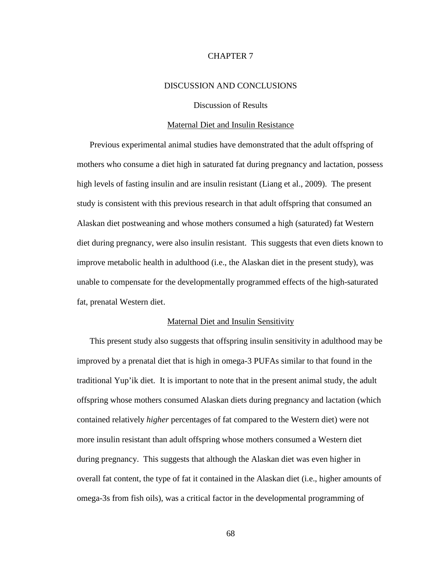## CHAPTER 7

### DISCUSSION AND CONCLUSIONS

### Discussion of Results

### Maternal Diet and Insulin Resistance

Previous experimental animal studies have demonstrated that the adult offspring of mothers who consume a diet high in saturated fat during pregnancy and lactation, possess high levels of fasting insulin and are insulin resistant (Liang et al., 2009). The present study is consistent with this previous research in that adult offspring that consumed an Alaskan diet postweaning and whose mothers consumed a high (saturated) fat Western diet during pregnancy, were also insulin resistant. This suggests that even diets known to improve metabolic health in adulthood (i.e., the Alaskan diet in the present study), was unable to compensate for the developmentally programmed effects of the high-saturated fat, prenatal Western diet.

### Maternal Diet and Insulin Sensitivity

This present study also suggests that offspring insulin sensitivity in adulthood may be improved by a prenatal diet that is high in omega-3 PUFAs similar to that found in the traditional Yup'ik diet. It is important to note that in the present animal study, the adult offspring whose mothers consumed Alaskan diets during pregnancy and lactation (which contained relatively *higher* percentages of fat compared to the Western diet) were not more insulin resistant than adult offspring whose mothers consumed a Western diet during pregnancy. This suggests that although the Alaskan diet was even higher in overall fat content, the type of fat it contained in the Alaskan diet (i.e., higher amounts of omega-3s from fish oils), was a critical factor in the developmental programming of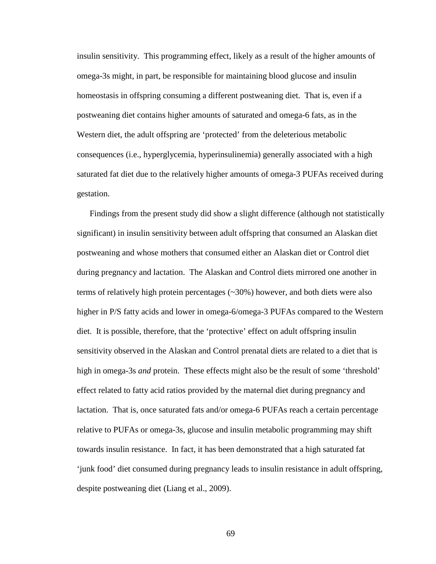insulin sensitivity. This programming effect, likely as a result of the higher amounts of omega-3s might, in part, be responsible for maintaining blood glucose and insulin homeostasis in offspring consuming a different postweaning diet. That is, even if a postweaning diet contains higher amounts of saturated and omega-6 fats, as in the Western diet, the adult offspring are 'protected' from the deleterious metabolic consequences (i.e., hyperglycemia, hyperinsulinemia) generally associated with a high saturated fat diet due to the relatively higher amounts of omega-3 PUFAs received during gestation.

Findings from the present study did show a slight difference (although not statistically significant) in insulin sensitivity between adult offspring that consumed an Alaskan diet postweaning and whose mothers that consumed either an Alaskan diet or Control diet during pregnancy and lactation. The Alaskan and Control diets mirrored one another in terms of relatively high protein percentages (~30%) however, and both diets were also higher in P/S fatty acids and lower in omega-6/omega-3 PUFAs compared to the Western diet. It is possible, therefore, that the 'protective' effect on adult offspring insulin sensitivity observed in the Alaskan and Control prenatal diets are related to a diet that is high in omega-3s *and* protein. These effects might also be the result of some 'threshold' effect related to fatty acid ratios provided by the maternal diet during pregnancy and lactation. That is, once saturated fats and/or omega-6 PUFAs reach a certain percentage relative to PUFAs or omega-3s, glucose and insulin metabolic programming may shift towards insulin resistance. In fact, it has been demonstrated that a high saturated fat 'junk food' diet consumed during pregnancy leads to insulin resistance in adult offspring, despite postweaning diet (Liang et al., 2009).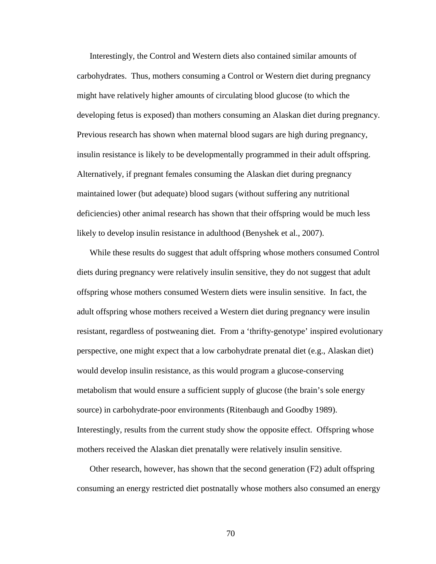Interestingly, the Control and Western diets also contained similar amounts of carbohydrates. Thus, mothers consuming a Control or Western diet during pregnancy might have relatively higher amounts of circulating blood glucose (to which the developing fetus is exposed) than mothers consuming an Alaskan diet during pregnancy. Previous research has shown when maternal blood sugars are high during pregnancy, insulin resistance is likely to be developmentally programmed in their adult offspring. Alternatively, if pregnant females consuming the Alaskan diet during pregnancy maintained lower (but adequate) blood sugars (without suffering any nutritional deficiencies) other animal research has shown that their offspring would be much less likely to develop insulin resistance in adulthood (Benyshek et al., 2007).

While these results do suggest that adult offspring whose mothers consumed Control diets during pregnancy were relatively insulin sensitive, they do not suggest that adult offspring whose mothers consumed Western diets were insulin sensitive. In fact, the adult offspring whose mothers received a Western diet during pregnancy were insulin resistant, regardless of postweaning diet. From a 'thrifty-genotype' inspired evolutionary perspective, one might expect that a low carbohydrate prenatal diet (e.g., Alaskan diet) would develop insulin resistance, as this would program a glucose-conserving metabolism that would ensure a sufficient supply of glucose (the brain's sole energy source) in carbohydrate-poor environments (Ritenbaugh and Goodby 1989). Interestingly, results from the current study show the opposite effect. Offspring whose mothers received the Alaskan diet prenatally were relatively insulin sensitive.

Other research, however, has shown that the second generation  $(F2)$  adult offspring consuming an energy restricted diet postnatally whose mothers also consumed an energy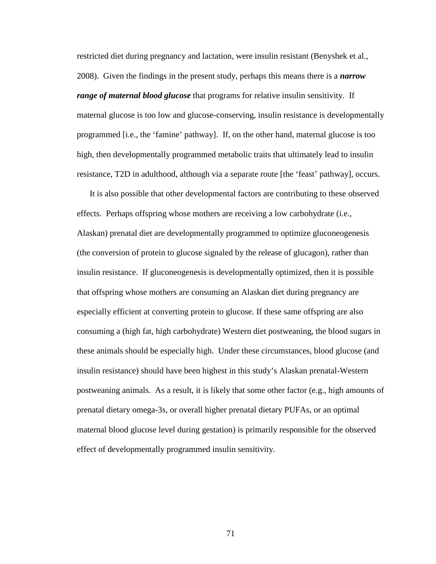restricted diet during pregnancy and lactation, were insulin resistant (Benyshek et al., 2008). Given the findings in the present study, perhaps this means there is a *narrow range of maternal blood glucose* that programs for relative insulin sensitivity. If maternal glucose is too low and glucose-conserving, insulin resistance is developmentally programmed [i.e., the 'famine' pathway]. If, on the other hand, maternal glucose is too high, then developmentally programmed metabolic traits that ultimately lead to insulin resistance, T2D in adulthood, although via a separate route [the 'feast' pathway], occurs.

It is also possible that other developmental factors are contributing to these observed effects. Perhaps offspring whose mothers are receiving a low carbohydrate (i.e., Alaskan) prenatal diet are developmentally programmed to optimize gluconeogenesis (the conversion of protein to glucose signaled by the release of glucagon), rather than insulin resistance. If gluconeogenesis is developmentally optimized, then it is possible that offspring whose mothers are consuming an Alaskan diet during pregnancy are especially efficient at converting protein to glucose. If these same offspring are also consuming a (high fat, high carbohydrate) Western diet postweaning, the blood sugars in these animals should be especially high. Under these circumstances, blood glucose (and insulin resistance) should have been highest in this study's Alaskan prenatal-Western postweaning animals. As a result, it is likely that some other factor (e.g., high amounts of prenatal dietary omega-3s, or overall higher prenatal dietary PUFAs, or an optimal maternal blood glucose level during gestation) is primarily responsible for the observed effect of developmentally programmed insulin sensitivity.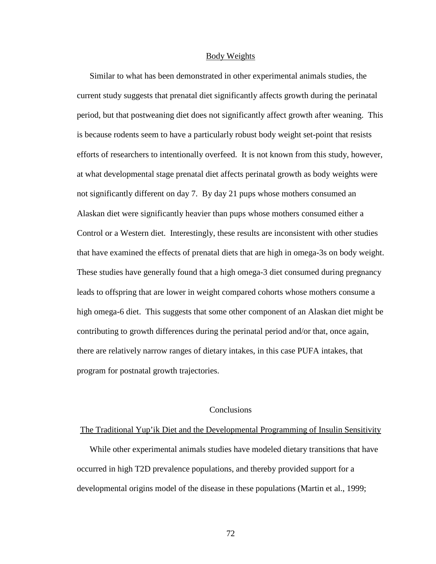#### Body Weights

Similar to what has been demonstrated in other experimental animals studies, the current study suggests that prenatal diet significantly affects growth during the perinatal period, but that postweaning diet does not significantly affect growth after weaning. This is because rodents seem to have a particularly robust body weight set-point that resists efforts of researchers to intentionally overfeed. It is not known from this study, however, at what developmental stage prenatal diet affects perinatal growth as body weights were not significantly different on day 7. By day 21 pups whose mothers consumed an Alaskan diet were significantly heavier than pups whose mothers consumed either a Control or a Western diet. Interestingly, these results are inconsistent with other studies that have examined the effects of prenatal diets that are high in omega-3s on body weight. These studies have generally found that a high omega-3 diet consumed during pregnancy leads to offspring that are lower in weight compared cohorts whose mothers consume a high omega-6 diet. This suggests that some other component of an Alaskan diet might be contributing to growth differences during the perinatal period and/or that, once again, there are relatively narrow ranges of dietary intakes, in this case PUFA intakes, that program for postnatal growth trajectories.

### **Conclusions**

#### The Traditional Yup'ik Diet and the Developmental Programming of Insulin Sensitivity

While other experimental animals studies have modeled dietary transitions that have occurred in high T2D prevalence populations, and thereby provided support for a developmental origins model of the disease in these populations (Martin et al., 1999;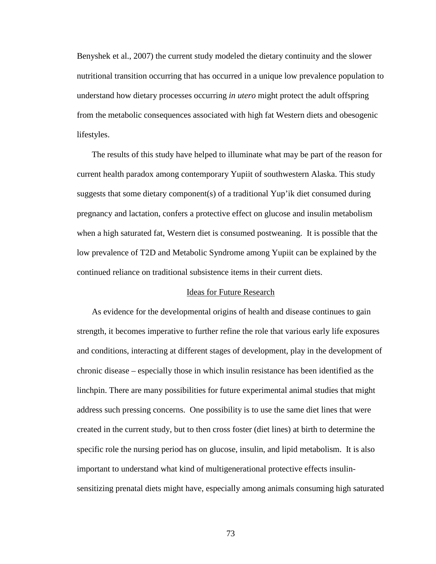Benyshek et al., 2007) the current study modeled the dietary continuity and the slower nutritional transition occurring that has occurred in a unique low prevalence population to understand how dietary processes occurring *in utero* might protect the adult offspring from the metabolic consequences associated with high fat Western diets and obesogenic lifestyles.

 The results of this study have helped to illuminate what may be part of the reason for current health paradox among contemporary Yupiit of southwestern Alaska. This study suggests that some dietary component(s) of a traditional Yup'ik diet consumed during pregnancy and lactation, confers a protective effect on glucose and insulin metabolism when a high saturated fat, Western diet is consumed postweaning. It is possible that the low prevalence of T2D and Metabolic Syndrome among Yupiit can be explained by the continued reliance on traditional subsistence items in their current diets.

### Ideas for Future Research

 As evidence for the developmental origins of health and disease continues to gain strength, it becomes imperative to further refine the role that various early life exposures and conditions, interacting at different stages of development, play in the development of chronic disease – especially those in which insulin resistance has been identified as the linchpin. There are many possibilities for future experimental animal studies that might address such pressing concerns. One possibility is to use the same diet lines that were created in the current study, but to then cross foster (diet lines) at birth to determine the specific role the nursing period has on glucose, insulin, and lipid metabolism. It is also important to understand what kind of multigenerational protective effects insulinsensitizing prenatal diets might have, especially among animals consuming high saturated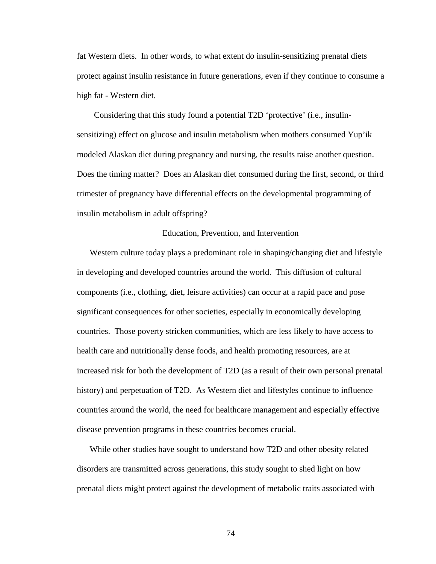fat Western diets. In other words, to what extent do insulin-sensitizing prenatal diets protect against insulin resistance in future generations, even if they continue to consume a high fat - Western diet.

 Considering that this study found a potential T2D 'protective' (i.e., insulinsensitizing) effect on glucose and insulin metabolism when mothers consumed Yup'ik modeled Alaskan diet during pregnancy and nursing, the results raise another question. Does the timing matter? Does an Alaskan diet consumed during the first, second, or third trimester of pregnancy have differential effects on the developmental programming of insulin metabolism in adult offspring?

### Education, Prevention, and Intervention

Western culture today plays a predominant role in shaping/changing diet and lifestyle in developing and developed countries around the world. This diffusion of cultural components (i.e., clothing, diet, leisure activities) can occur at a rapid pace and pose significant consequences for other societies, especially in economically developing countries. Those poverty stricken communities, which are less likely to have access to health care and nutritionally dense foods, and health promoting resources, are at increased risk for both the development of T2D (as a result of their own personal prenatal history) and perpetuation of T2D. As Western diet and lifestyles continue to influence countries around the world, the need for healthcare management and especially effective disease prevention programs in these countries becomes crucial.

While other studies have sought to understand how T2D and other obesity related disorders are transmitted across generations, this study sought to shed light on how prenatal diets might protect against the development of metabolic traits associated with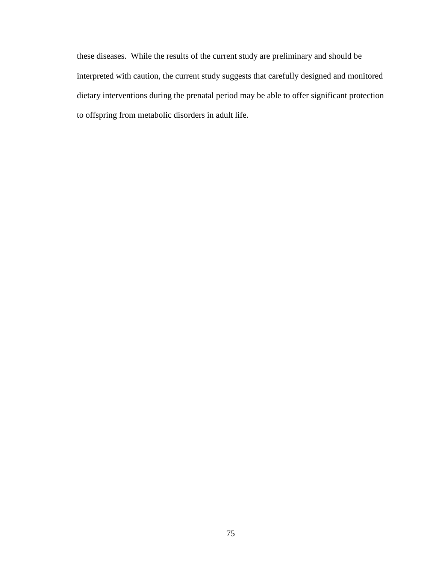these diseases. While the results of the current study are preliminary and should be interpreted with caution, the current study suggests that carefully designed and monitored dietary interventions during the prenatal period may be able to offer significant protection to offspring from metabolic disorders in adult life.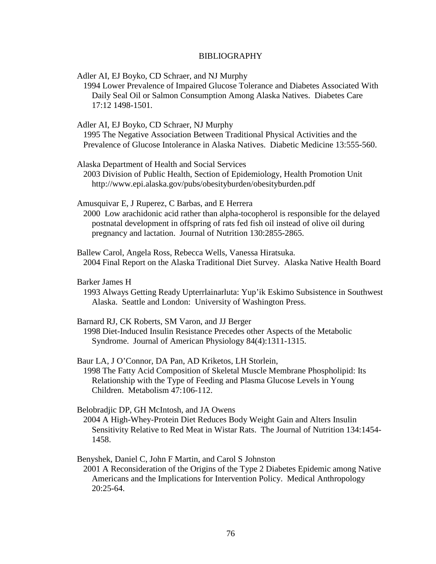### BIBLIOGRAPHY

Adler AI, EJ Boyko, CD Schraer, and NJ Murphy

 1994 Lower Prevalence of Impaired Glucose Tolerance and Diabetes Associated With Daily Seal Oil or Salmon Consumption Among Alaska Natives. Diabetes Care 17:12 1498-1501.

Adler AI, EJ Boyko, CD Schraer, NJ Murphy

 1995 The Negative Association Between Traditional Physical Activities and the Prevalence of Glucose Intolerance in Alaska Natives. Diabetic Medicine 13:555-560.

Alaska Department of Health and Social Services

 2003 Division of Public Health, Section of Epidemiology, Health Promotion Unit http://www.epi.alaska.gov/pubs/obesityburden/obesityburden.pdf

Amusquivar E, J Ruperez, C Barbas, and E Herrera

 2000 Low arachidonic acid rather than alpha-tocopherol is responsible for the delayed postnatal development in offspring of rats fed fish oil instead of olive oil during pregnancy and lactation. Journal of Nutrition 130:2855-2865.

Ballew Carol, Angela Ross, Rebecca Wells, Vanessa Hiratsuka. 2004 Final Report on the Alaska Traditional Diet Survey. Alaska Native Health Board

Barker James H

 1993 Always Getting Ready Upterrlainarluta: Yup'ik Eskimo Subsistence in Southwest Alaska. Seattle and London: University of Washington Press.

### Barnard RJ, CK Roberts, SM Varon, and JJ Berger

 1998 Diet-Induced Insulin Resistance Precedes other Aspects of the Metabolic Syndrome. Journal of American Physiology 84(4):1311-1315.

Baur LA, J O'Connor, DA Pan, AD Kriketos, LH Storlein,

 1998 The Fatty Acid Composition of Skeletal Muscle Membrane Phospholipid: Its Relationship with the Type of Feeding and Plasma Glucose Levels in Young Children. Metabolism 47:106-112.

#### Belobradjic DP, GH McIntosh, and JA Owens

 2004 A High-Whey-Protein Diet Reduces Body Weight Gain and Alters Insulin Sensitivity Relative to Red Meat in Wistar Rats. The Journal of Nutrition 134:1454- 1458.

Benyshek, Daniel C, John F Martin, and Carol S Johnston

 2001 A Reconsideration of the Origins of the Type 2 Diabetes Epidemic among Native Americans and the Implications for Intervention Policy. Medical Anthropology 20:25-64.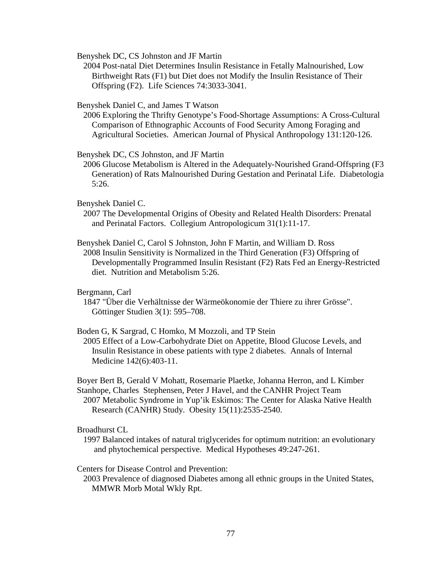Benyshek DC, CS Johnston and JF Martin

 2004 Post-natal Diet Determines Insulin Resistance in Fetally Malnourished, Low Birthweight Rats (F1) but Diet does not Modify the Insulin Resistance of Their Offspring (F2). Life Sciences 74:3033-3041.

Benyshek Daniel C, and James T Watson

 2006 Exploring the Thrifty Genotype's Food-Shortage Assumptions: A Cross-Cultural Comparison of Ethnographic Accounts of Food Security Among Foraging and Agricultural Societies. American Journal of Physical Anthropology 131:120-126.

Benyshek DC, CS Johnston, and JF Martin

 2006 Glucose Metabolism is Altered in the Adequately-Nourished Grand-Offspring (F3 Generation) of Rats Malnourished During Gestation and Perinatal Life. Diabetologia 5:26.

### Benyshek Daniel C.

 2007 The Developmental Origins of Obesity and Related Health Disorders: Prenatal and Perinatal Factors. Collegium Antropologicum 31(1):11-17.

Benyshek Daniel C, Carol S Johnston, John F Martin, and William D. Ross 2008 Insulin Sensitivity is Normalized in the Third Generation (F3) Offspring of Developmentally Programmed Insulin Resistant (F2) Rats Fed an Energy-Restricted diet. Nutrition and Metabolism 5:26.

### Bergmann, Carl

 1847 "Über die Verhältnisse der Wärmeökonomie der Thiere zu ihrer Grösse". Göttinger Studien 3(1): 595–708.

#### Boden G, K Sargrad, C Homko, M Mozzoli, and TP Stein

 2005 Effect of a Low-Carbohydrate Diet on Appetite, Blood Glucose Levels, and Insulin Resistance in obese patients with type 2 diabetes. Annals of Internal Medicine 142(6):403-11.

Boyer Bert B, Gerald V Mohatt, Rosemarie Plaetke, Johanna Herron, and L Kimber Stanhope, Charles Stephensen, Peter J Havel, and the CANHR Project Team 2007 Metabolic Syndrome in Yup'ik Eskimos: The Center for Alaska Native Health Research (CANHR) Study. Obesity 15(11):2535-2540.

Broadhurst CL

 1997 Balanced intakes of natural triglycerides for optimum nutrition: an evolutionary and phytochemical perspective. Medical Hypotheses 49:247-261.

### Centers for Disease Control and Prevention:

 2003 Prevalence of diagnosed Diabetes among all ethnic groups in the United States, MMWR Morb Motal Wkly Rpt.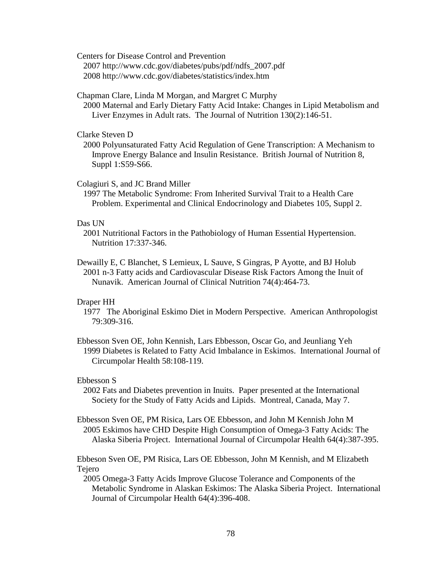Centers for Disease Control and Prevention

 2007 http://www.cdc.gov/diabetes/pubs/pdf/ndfs\_2007.pdf 2008 http://www.cdc.gov/diabetes/statistics/index.htm

Chapman Clare, Linda M Morgan, and Margret C Murphy

 2000 Maternal and Early Dietary Fatty Acid Intake: Changes in Lipid Metabolism and Liver Enzymes in Adult rats. The Journal of Nutrition 130(2):146-51.

Clarke Steven D

 2000 Polyunsaturated Fatty Acid Regulation of Gene Transcription: A Mechanism to Improve Energy Balance and Insulin Resistance. British Journal of Nutrition 8, Suppl 1:S59-S66.

### Colagiuri S, and JC Brand Miller

 1997 The Metabolic Syndrome: From Inherited Survival Trait to a Health Care Problem. Experimental and Clinical Endocrinology and Diabetes 105, Suppl 2.

### Das UN

- 2001 Nutritional Factors in the Pathobiology of Human Essential Hypertension. Nutrition 17:337-346.
- Dewailly E, C Blanchet, S Lemieux, L Sauve, S Gingras, P Ayotte, and BJ Holub 2001 n-3 Fatty acids and Cardiovascular Disease Risk Factors Among the Inuit of Nunavik. American Journal of Clinical Nutrition 74(4):464-73.

### Draper HH

- 1977 The Aboriginal Eskimo Diet in Modern Perspective. American Anthropologist 79:309-316.
- Ebbesson Sven OE, John Kennish, Lars Ebbesson, Oscar Go, and Jeunliang Yeh 1999 Diabetes is Related to Fatty Acid Imbalance in Eskimos. International Journal of Circumpolar Health 58:108-119.

## Ebbesson S

 2002 Fats and Diabetes prevention in Inuits. Paper presented at the International Society for the Study of Fatty Acids and Lipids. Montreal, Canada, May 7.

Ebbesson Sven OE, PM Risica, Lars OE Ebbesson, and John M Kennish John M 2005 Eskimos have CHD Despite High Consumption of Omega-3 Fatty Acids: The Alaska Siberia Project. International Journal of Circumpolar Health 64(4):387-395.

Ebbeson Sven OE, PM Risica, Lars OE Ebbesson, John M Kennish, and M Elizabeth Tejero

 2005 Omega-3 Fatty Acids Improve Glucose Tolerance and Components of the Metabolic Syndrome in Alaskan Eskimos: The Alaska Siberia Project. International Journal of Circumpolar Health 64(4):396-408.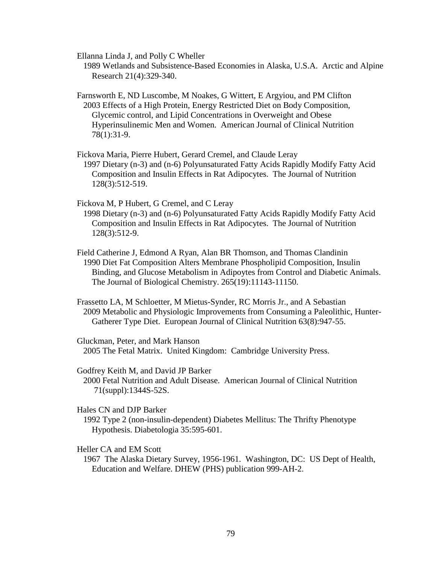Ellanna Linda J, and Polly C Wheller

 1989 Wetlands and Subsistence-Based Economies in Alaska, U.S.A. Arctic and Alpine Research 21(4):329-340.

Farnsworth E, ND Luscombe, M Noakes, G Wittert, E Argyiou, and PM Clifton 2003 Effects of a High Protein, Energy Restricted Diet on Body Composition, Glycemic control, and Lipid Concentrations in Overweight and Obese Hyperinsulinemic Men and Women. American Journal of Clinical Nutrition 78(1):31-9.

Fickova Maria, Pierre Hubert, Gerard Cremel, and Claude Leray

 1997 Dietary (n-3) and (n-6) Polyunsaturated Fatty Acids Rapidly Modify Fatty Acid Composition and Insulin Effects in Rat Adipocytes. The Journal of Nutrition 128(3):512-519.

Fickova M, P Hubert, G Cremel, and C Leray

 1998 Dietary (n-3) and (n-6) Polyunsaturated Fatty Acids Rapidly Modify Fatty Acid Composition and Insulin Effects in Rat Adipocytes. The Journal of Nutrition 128(3):512-9.

Field Catherine J, Edmond A Ryan, Alan BR Thomson, and Thomas Clandinin 1990 Diet Fat Composition Alters Membrane Phospholipid Composition, Insulin Binding, and Glucose Metabolism in Adipoytes from Control and Diabetic Animals. The Journal of Biological Chemistry. 265(19):11143-11150.

Frassetto LA, M Schloetter, M Mietus-Synder, RC Morris Jr., and A Sebastian 2009 Metabolic and Physiologic Improvements from Consuming a Paleolithic, Hunter- Gatherer Type Diet. European Journal of Clinical Nutrition 63(8):947-55.

Gluckman, Peter, and Mark Hanson 2005 The Fetal Matrix. United Kingdom: Cambridge University Press.

Godfrey Keith M, and David JP Barker

 2000 Fetal Nutrition and Adult Disease. American Journal of Clinical Nutrition 71(suppl):1344S-52S.

#### Hales CN and DJP Barker

 1992 Type 2 (non-insulin-dependent) Diabetes Mellitus: The Thrifty Phenotype Hypothesis. Diabetologia 35:595-601.

Heller CA and EM Scott

 1967 The Alaska Dietary Survey, 1956-1961. Washington, DC: US Dept of Health, Education and Welfare. DHEW (PHS) publication 999-AH-2.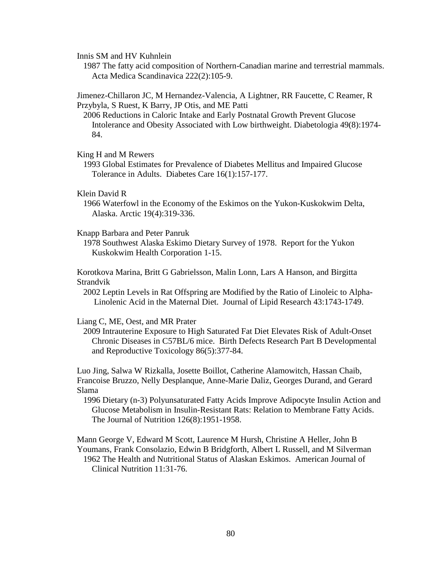Innis SM and HV Kuhnlein

 1987 The fatty acid composition of Northern-Canadian marine and terrestrial mammals. Acta Medica Scandinavica 222(2):105-9.

Jimenez-Chillaron JC, M Hernandez-Valencia, A Lightner, RR Faucette, C Reamer, R Przybyla, S Ruest, K Barry, JP Otis, and ME Patti

 2006 Reductions in Caloric Intake and Early Postnatal Growth Prevent Glucose Intolerance and Obesity Associated with Low birthweight. Diabetologia 49(8):1974- 84.

### King H and M Rewers

 1993 Global Estimates for Prevalence of Diabetes Mellitus and Impaired Glucose Tolerance in Adults. Diabetes Care 16(1):157-177.

#### Klein David R

 1966 Waterfowl in the Economy of the Eskimos on the Yukon-Kuskokwim Delta, Alaska. Arctic 19(4):319-336.

#### Knapp Barbara and Peter Panruk

 1978 Southwest Alaska Eskimo Dietary Survey of 1978. Report for the Yukon Kuskokwim Health Corporation 1-15.

Korotkova Marina, Britt G Gabrielsson, Malin Lonn, Lars A Hanson, and Birgitta Strandvik

 2002 Leptin Levels in Rat Offspring are Modified by the Ratio of Linoleic to Alpha- Linolenic Acid in the Maternal Diet. Journal of Lipid Research 43:1743-1749.

### Liang C, ME, Oest, and MR Prater

 2009 Intrauterine Exposure to High Saturated Fat Diet Elevates Risk of Adult-Onset Chronic Diseases in C57BL/6 mice. Birth Defects Research Part B Developmental and Reproductive Toxicology 86(5):377-84.

Luo Jing, Salwa W Rizkalla, Josette Boillot, Catherine Alamowitch, Hassan Chaib, Francoise Bruzzo, Nelly Desplanque, Anne-Marie Daliz, Georges Durand, and Gerard Slama

 1996 Dietary (n-3) Polyunsaturated Fatty Acids Improve Adipocyte Insulin Action and Glucose Metabolism in Insulin-Resistant Rats: Relation to Membrane Fatty Acids. The Journal of Nutrition 126(8):1951-1958.

Mann George V, Edward M Scott, Laurence M Hursh, Christine A Heller, John B Youmans, Frank Consolazio, Edwin B Bridgforth, Albert L Russell, and M Silverman 1962 The Health and Nutritional Status of Alaskan Eskimos. American Journal of Clinical Nutrition 11:31-76.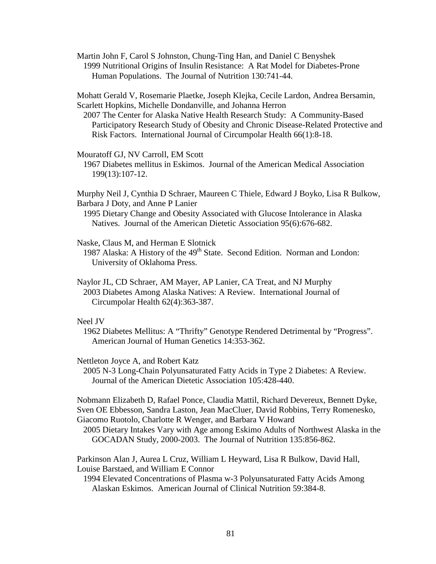Martin John F, Carol S Johnston, Chung-Ting Han, and Daniel C Benyshek 1999 Nutritional Origins of Insulin Resistance: A Rat Model for Diabetes-Prone Human Populations. The Journal of Nutrition 130:741-44.

Mohatt Gerald V, Rosemarie Plaetke, Joseph Klejka, Cecile Lardon, Andrea Bersamin, Scarlett Hopkins, Michelle Dondanville, and Johanna Herron

 2007 The Center for Alaska Native Health Research Study: A Community-Based Participatory Research Study of Obesity and Chronic Disease-Related Protective and Risk Factors. International Journal of Circumpolar Health 66(1):8-18.

Mouratoff GJ, NV Carroll, EM Scott

 1967 Diabetes mellitus in Eskimos. Journal of the American Medical Association 199(13):107-12.

Murphy Neil J, Cynthia D Schraer, Maureen C Thiele, Edward J Boyko, Lisa R Bulkow, Barbara J Doty, and Anne P Lanier

 1995 Dietary Change and Obesity Associated with Glucose Intolerance in Alaska Natives. Journal of the American Dietetic Association 95(6):676-682.

Naske, Claus M, and Herman E Slotnick

1987 Alaska: A History of the 49<sup>th</sup> State. Second Edition. Norman and London: University of Oklahoma Press.

Naylor JL, CD Schraer, AM Mayer, AP Lanier, CA Treat, and NJ Murphy 2003 Diabetes Among Alaska Natives: A Review. International Journal of Circumpolar Health 62(4):363-387.

## Neel JV

 1962 Diabetes Mellitus: A "Thrifty" Genotype Rendered Detrimental by "Progress". American Journal of Human Genetics 14:353-362.

Nettleton Joyce A, and Robert Katz

 2005 N-3 Long-Chain Polyunsaturated Fatty Acids in Type 2 Diabetes: A Review. Journal of the American Dietetic Association 105:428-440.

Nobmann Elizabeth D, Rafael Ponce, Claudia Mattil, Richard Devereux, Bennett Dyke, Sven OE Ebbesson, Sandra Laston, Jean MacCluer, David Robbins, Terry Romenesko, Giacomo Ruotolo, Charlotte R Wenger, and Barbara V Howard

 2005 Dietary Intakes Vary with Age among Eskimo Adults of Northwest Alaska in the GOCADAN Study, 2000-2003. The Journal of Nutrition 135:856-862.

Parkinson Alan J, Aurea L Cruz, William L Heyward, Lisa R Bulkow, David Hall, Louise Barstaed, and William E Connor

 1994 Elevated Concentrations of Plasma w-3 Polyunsaturated Fatty Acids Among Alaskan Eskimos. American Journal of Clinical Nutrition 59:384-8.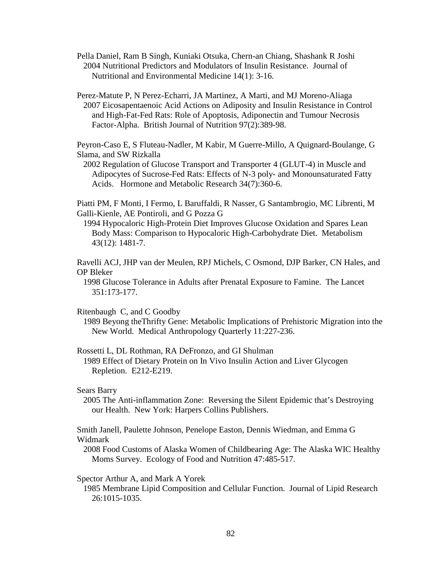Pella Daniel, Ram B Singh, Kuniaki Otsuka, Chern-an Chiang, Shashank R Joshi 2004 Nutritional Predictors and Modulators of Insulin Resistance. Journal of Nutritional and Environmental Medicine 14(1): 3-16.

Perez-Matute P, N Perez-Echarri, JA Martinez, A Marti, and MJ Moreno-Aliaga 2007 Eicosapentaenoic Acid Actions on Adiposity and Insulin Resistance in Control and High-Fat-Fed Rats: Role of Apoptosis, Adiponectin and Tumour Necrosis Factor-Alpha. British Journal of Nutrition 97(2):389-98.

Peyron-Caso E, S Fluteau-Nadler, M Kabir, M Guerre-Millo, A Quignard-Boulange, G Slama, and SW Rizkalla

 2002 Regulation of Glucose Transport and Transporter 4 (GLUT-4) in Muscle and Adipocytes of Sucrose-Fed Rats: Effects of N-3 poly- and Monounsaturated Fatty Acids. Hormone and Metabolic Research 34(7):360-6.

Piatti PM, F Monti, I Fermo, L Baruffaldi, R Nasser, G Santambrogio, MC Librenti, M Galli-Kienle, AE Pontiroli, and G Pozza G

 1994 Hypocaloric High-Protein Diet Improves Glucose Oxidation and Spares Lean Body Mass: Comparison to Hypocaloric High-Carbohydrate Diet. Metabolism 43(12): 1481-7.

Ravelli ACJ, JHP van der Meulen, RPJ Michels, C Osmond, DJP Barker, CN Hales, and OP Bleker

 1998 Glucose Tolerance in Adults after Prenatal Exposure to Famine. The Lancet 351:173-177.

Ritenbaugh C, and C Goodby

 1989 Beyong theThrifty Gene: Metabolic Implications of Prehistoric Migration into the New World. Medical Anthropology Quarterly 11:227-236.

Rossetti L, DL Rothman, RA DeFronzo, and GI Shulman

 1989 Effect of Dietary Protein on In Vivo Insulin Action and Liver Glycogen Repletion. E212-E219.

Sears Barry

 2005 The Anti-inflammation Zone: Reversing the Silent Epidemic that's Destroying our Health. New York: Harpers Collins Publishers.

Smith Janell, Paulette Johnson, Penelope Easton, Dennis Wiedman, and Emma G Widmark

 2008 Food Customs of Alaska Women of Childbearing Age: The Alaska WIC Healthy Moms Survey. Ecology of Food and Nutrition 47:485-517.

Spector Arthur A, and Mark A Yorek

 1985 Membrane Lipid Composition and Cellular Function. Journal of Lipid Research 26:1015-1035.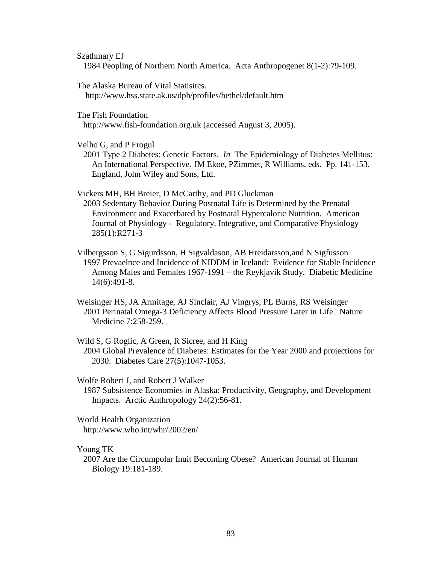Szathmary EJ

1984 Peopling of Northern North America. Acta Anthropogenet 8(1-2):79-109.

The Alaska Bureau of Vital Statisitcs.

http://www.hss.state.ak.us/dph/profiles/bethel/default.htm

The Fish Foundation

http://www.fish-foundation.org.uk (accessed August 3, 2005).

Velho G, and P Frogul

 2001 Type 2 Diabetes: Genetic Factors. *In* The Epidemiology of Diabetes Mellitus: An International Perspective. JM Ekoe, PZimmet, R Williams, eds. Pp. 141-153. England, John Wiley and Sons, Ltd.

Vickers MH, BH Breier, D McCarthy, and PD Gluckman

 2003 Sedentary Behavior During Postnatal Life is Determined by the Prenatal Environment and Exacerbated by Postnatal Hypercaloric Nutrition. American Journal of Physiology - Regulatory, Integrative, and Comparative Physiology 285(1):R271-3

Vilbergsson S, G Sigurdsson, H Sigvaldason, AB Hreidarsson,and N Sigfusson 1997 Prevaelnce and Incidence of NIDDM in Iceland: Evidence for Stable Incidence Among Males and Females 1967-1991 – the Reykjavik Study. Diabetic Medicine 14(6):491-8.

Weisinger HS, JA Armitage, AJ Sinclair, AJ Vingrys, PL Burns, RS Weisinger 2001 Perinatal Omega-3 Deficiency Affects Blood Pressure Later in Life. Nature Medicine 7:258-259.

Wild S, G Roglic, A Green, R Sicree, and H King 2004 Global Prevalence of Diabetes: Estimates for the Year 2000 and projections for 2030. Diabetes Care 27(5):1047-1053.

Wolfe Robert J, and Robert J Walker

 1987 Subsistence Economies in Alaska: Productivity, Geography, and Development Impacts. Arctic Anthropology 24(2):56-81.

World Health Organization http://www.who.int/whr/2002/en/

Young TK

 2007 Are the Circumpolar Inuit Becoming Obese? American Journal of Human Biology 19:181-189.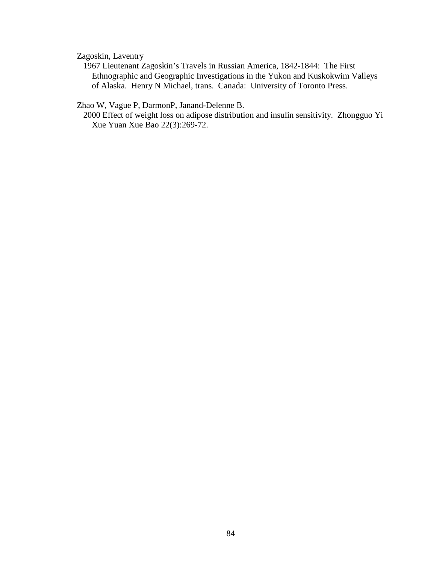Zagoskin, Laventry

 1967 Lieutenant Zagoskin's Travels in Russian America, 1842-1844: The First Ethnographic and Geographic Investigations in the Yukon and Kuskokwim Valleys of Alaska. Henry N Michael, trans. Canada: University of Toronto Press.

Zhao W, Vague P, DarmonP, Janand-Delenne B.

 2000 Effect of weight loss on adipose distribution and insulin sensitivity. Zhongguo Yi Xue Yuan Xue Bao 22(3):269-72.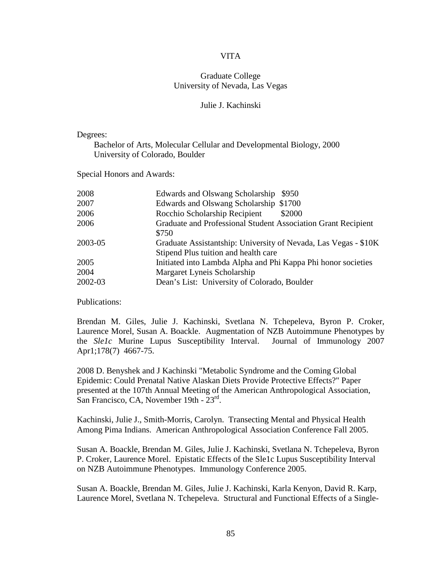## VITA

# Graduate College University of Nevada, Las Vegas

### Julie J. Kachinski

Degrees:

 Bachelor of Arts, Molecular Cellular and Developmental Biology, 2000 University of Colorado, Boulder

Special Honors and Awards:

| 2008    | Edwards and Olswang Scholarship<br>\$950                        |
|---------|-----------------------------------------------------------------|
| 2007    | Edwards and Olswang Scholarship \$1700                          |
| 2006    | Rocchio Scholarship Recipient<br>\$2000                         |
| 2006    | Graduate and Professional Student Association Grant Recipient   |
|         | \$750                                                           |
| 2003-05 | Graduate Assistantship: University of Nevada, Las Vegas - \$10K |
|         | Stipend Plus tuition and health care                            |
| 2005    | Initiated into Lambda Alpha and Phi Kappa Phi honor societies   |
| 2004    | Margaret Lyneis Scholarship                                     |
| 2002-03 | Dean's List: University of Colorado, Boulder                    |

Publications:

Brendan M. Giles, Julie J. Kachinski, Svetlana N. Tchepeleva, Byron P. Croker, Laurence Morel, Susan A. Boackle. Augmentation of NZB Autoimmune Phenotypes by the *Sle1c* Murine Lupus Susceptibility Interval. Journal of Immunology 2007 Apr1;178(7)4667-75.

2008 D. Benyshek and J Kachinski "Metabolic Syndrome and the Coming Global Epidemic: Could Prenatal Native Alaskan Diets Provide Protective Effects?" Paper presented at the 107th Annual Meeting of the American Anthropological Association, San Francisco, CA, November 19th - 23<sup>rd</sup>.

Kachinski, Julie J., Smith-Morris, Carolyn. Transecting Mental and Physical Health Among Pima Indians. American Anthropological Association Conference Fall 2005.

Susan A. Boackle, Brendan M. Giles, Julie J. Kachinski, Svetlana N. Tchepeleva, Byron P. Croker, Laurence Morel. Epistatic Effects of the Sle1c Lupus Susceptibility Interval on NZB Autoimmune Phenotypes. Immunology Conference 2005.

Susan A. Boackle, Brendan M. Giles, Julie J. Kachinski, Karla Kenyon, David R. Karp, Laurence Morel, Svetlana N. Tchepeleva. Structural and Functional Effects of a Single